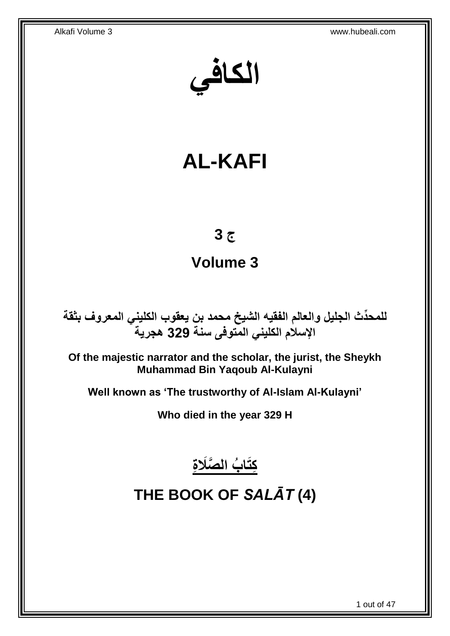**الكافي**

# **AL-KAFI**

# **ج 3**

## **Volume 3**

**دث الجليل والعالم الفقيه الشيخ محمد بن يعقوب الكليني المعروف بثقة للمح ِّ اإلسالم الكليني المتوفى سنة 329 هجرية**

**Of the majestic narrator and the scholar, the jurist, the Sheykh Muhammad Bin Yaqoub Al-Kulayni**

**Well known as 'The trustworthy of Al-Islam Al-Kulayni'**

**Who died in the year 329 H**



# <span id="page-0-0"></span>**THE BOOK OF** *SALĀT* **(4)**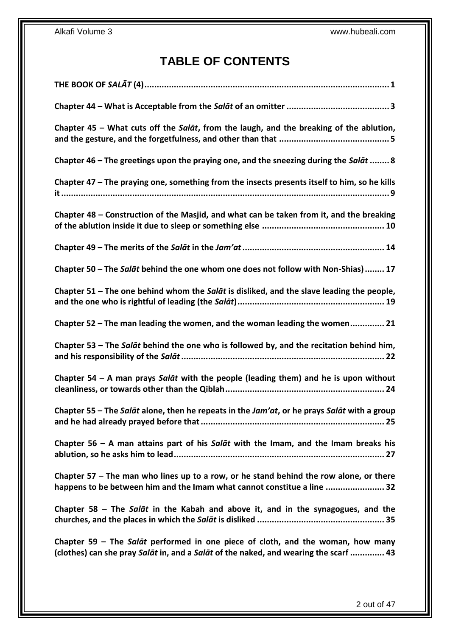## **TABLE OF CONTENTS**

| Chapter 45 - What cuts off the Salat, from the laugh, and the breaking of the ablution,                                                                                 |
|-------------------------------------------------------------------------------------------------------------------------------------------------------------------------|
| Chapter 46 - The greetings upon the praying one, and the sneezing during the Salat  8                                                                                   |
| Chapter 47 - The praying one, something from the insects presents itself to him, so he kills                                                                            |
| Chapter 48 – Construction of the Masjid, and what can be taken from it, and the breaking                                                                                |
|                                                                                                                                                                         |
| Chapter 50 - The Salat behind the one whom one does not follow with Non-Shias) 17                                                                                       |
| Chapter 51 – The one behind whom the Salat is disliked, and the slave leading the people,                                                                               |
| Chapter 52 - The man leading the women, and the woman leading the women 21                                                                                              |
| Chapter 53 - The Salat behind the one who is followed by, and the recitation behind him,                                                                                |
| Chapter 54 – A man prays Salat with the people (leading them) and he is upon without                                                                                    |
| Chapter 55 - The Salat alone, then he repeats in the Jam'at, or he prays Salat with a group                                                                             |
| Chapter 56 – A man attains part of his Sal $\bar{a}t$ with the Imam, and the Imam breaks his                                                                            |
| Chapter 57 – The man who lines up to a row, or he stand behind the row alone, or there<br>happens to be between him and the Imam what cannot constitue a line  32       |
| Chapter 58 - The Salat in the Kabah and above it, and in the synagogues, and the                                                                                        |
| Chapter 59 - The Salat performed in one piece of cloth, and the woman, how many<br>(clothes) can she pray Salat in, and a Salat of the naked, and wearing the scarf  43 |
|                                                                                                                                                                         |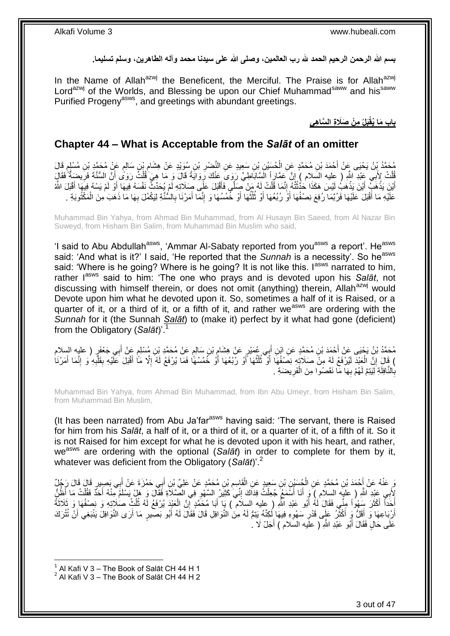**بسم هللا الرحمن الرحيم الحمد هلل رب العالمين، وصلى هللا على سيدنا محمد وآله الطاهرين، وسلم تسليما.**

In the Name of Allah<sup>azwj</sup> the Beneficent, the Merciful. The Praise is for Allah<sup>azwj</sup> Lord<sup>azwj</sup> of the Worlds, and Blessing be upon our Chief Muhammad<sup>saww</sup> and his<sup>saww</sup> Purified Progeny<sup>asws</sup>, and greetings with abundant greetings.

**ِم ْن َصَال ِة ال َّسا ِهي َبلُ باب َما ُيقْ**

### <span id="page-2-0"></span>**Chapter 44 – What is Acceptable from the** *Salāt* **of an omitter**

مُحَمَّدُ بِنُ يَحْيَى عَنْ أَحْمَدَ بْنِ مُحَمَّدٍ عَنِ الْحُسَيْنِ بْنِ سَعِيدٍ عَنِ النَّضْرِ بْنِ سُوَيْدٍ عَنْ هِشَامٍ بْنِ سَالِمٍ عَنْ مُحَمَّدٍ بْنِ مُسْلِمٍ قَالَ<br>سُمْسَكِمْ بِنُ يَحْيَى عَنْ أَحْمَدَ بْنِ مُحَمَّ ِ ِ ْ ֧֖֧֚֚֓֝֝֝ ٍ َفْلَتُ لِأَبِي عَِبْدِ اللَّهِ ( عِليه السِّلام ) إِنَّ عَمَّارٍ أَ الْسَّابَاطِيَّ رَوَى عَنْكَ رِّوَايَةً قَلْلَ وَ مَا هِيَ قُلْتُ رَوَى أَنَّ السُّنَّةَ فَرِيضَةٌ فَقَالٍَ ْ ِ ِ ْ ِ َ أَيْنَ يَذْهَبُ أَيْنَ يَذْهبُ لَيْسَ هَكَذَا حَذُّثْتُهُ إِنَّمَا قُلْتُ لَهُ مَنْ صِنَلَّى فَأَقْبَلَ عَلَى صِنَلَاتِهِ لَمْ يُحَدِّثَ نَفْسَهُ فِيهَا أَوْ لَمْ يَسْهُ فِيهَا أَقْبَلَ اللَّهُ ِ ْ **ٔ** َ :<br>-<br>-َ َ َ َ ْ عَلَيْهِ مَا أَقْبَلَ عَلَيْهَا فَرُبَّمَا رُفِعَ نِصْفُهَا أَوْ رُبُعُهَا أَوْ ثُلُثُهَا أَوْ خُمُسُهَا وَ إِنَّمَا أَمَرْنَا بِالسُّنَّةِ لِيَكْمُلَ بِهَا مَا ذَهَبَ مِنَ الْمَكْتُوبَةِ . َ ِ َ ُ ا:<br>ا ان<br>المقامات َ َ َ ِ ْ ِ

Muhammad Bin Yahya, from Ahmad Bin Muhammad, from Al Husayn Bin Saeed, from Al Nazar Bin Suweyd, from Hisham Bin Salim, from Muhammad Bin Muslim who said,

'I said to Abu Abdullah<sup>asws</sup>, 'Ammar Al-Sabaty reported from you<sup>asws</sup> a report'. He<sup>asws</sup> said: 'And what is it?' I said, 'He reported that the *Sunnah* is a necessity'. So he<sup>asws</sup> said: 'Where is he going? Where is he going? It is not like this. I<sup>asws</sup> narrated to him, rather I<sup>asws</sup> said to him: 'The one who prays and is devoted upon his *Salāt*, not discussing with himself therein, or does not omit (anything) therein, Allah<sup>azwj</sup> would Devote upon him what he devoted upon it. So, sometimes a half of it is Raised, or a quarter of it, or a third of it, or a fifth of it, and rather we<sup>asws</sup> are ordering with the *Sunnah* for it (the Sunnah *Salāt*) to (make it) perfect by it what had gone (deficient) from the Obligatory (*Salāt*)'.<sup>1</sup>

مُحَمَّدُ بْنُ يَجْيَى عَنْ أَحْمَدَ بْنِ مُحَمَّدٍ عَنِ ابْنِ أَبِي عُمَيْرٍ عَنْ هِشَامٍ بْنِ سَالِمٍ عَنْ مُحَمَّدٍ بْنِ مُسْلِمٍ عَنْ أَبِي جَعْفَرٍ ( عليه السلام ٍ م<br>پا َ َ ֧֖֖֖֖֧֧֧֧֦֧ׅ֧֧ׅ֧֛֧ׅ֧֛֛֛֚֚֚֚֚֚֚֚֓֝֝֬֝֟֓֝֓֝֓֝֓֜֟֓֟֓֝֬֜֓֜֜֡֓֜֜֜ ) قَالَ إِنَّ الْعَبْدَ لَيُرْفَعُ لَهُ مِنْ صَلَاتِهِ نِصَفْهَا أَوْ تُلُثُهَا أَوْ رُبُعُهَا أَوْ خُمُسُهًا فَمَا يُرْفَعُ لَهُ إِلَّا مَا أَقْبَلَ عَلَيْهِ بِقَلْبِهِ وَ إِنَّمَا أَمَرْنَا اّ َ ُ ُ الموسط المسلمات المسلمات المسلمات المسلمات المسلمات المسلمات المسلمات المسلمات المسلمات المسلمات المسلمات المس<br>المسلمات المسلمات المسلمات المسلمات المسلمات المسلمات المسلمات المسلمات المسلمات المسلمات المسلمات المسلمات ال َ ْ ِ َ ِ **∶** ْ ِ َ ِ لَ بِالنَّافِلَةِ لِيَتِمَّ لَهُمْ بِهَا مَا نَقَصُوا مِنَ الْفَرِيضَةِ . ِ ِ ْ ِ

Muhammad Bin Yahya, from Ahmad Bin Muhammad, from Ibn Abu Umeyr, from Hisham Bin Salim, from Muhammad Bin Muslim,

(It has been narrated) from Abu Ja'far<sup>asws</sup> having said: 'The servant, there is Raised for him from his *Salāt*, a half of it, or a third of it, or a quarter of it, of a fifth of it. So it is not Raised for him except for what he is devoted upon it with his heart, and rather, we<sup>asws</sup> are ordering with the optional (Salat) in order to complete for them by it, whatever was deficient from the Obligatory (*Salāt*)'.<sup>2</sup>

وَ عَنْهُ عَنْ إِحْمَدَ بْنِ مُحَمَّدٍ عَنِ الْجُسَيْنِ بْنِ سَعِيدٍ عَنِ الْقَاسِمِ بْنِ مُحَمَّدٍ عَنْ عَلِيٍّ بْنِ أَبِي حَمْزَةَ عَنْ أَبِي بَصِيرٍ قَالَ قَالَ رَجُلٌ َ ِ ْ ْ َ َ لِّأَبِي عَيْدِ اللَّهِ ( عِلْيِهِ السِلَام ) َوَ أَنَا أَسْمَعُ جُعِلْتُ فِدَاكَ إِنِّي كَثِيرٌ ٍ السَّهْوِ فِي الصَّنَلاَةِ فَقَالَ وَ هَلْ يَسْلَمُ مِنْهُ أَحَدٌّ فَقُلْتُ مَا أَظُنُّ ِ ِ ْ َ ْ َ أَخَذَّلَ أَكْثَرَ سِهْواً مِنِّي فَقَالَ لَهُ أَبُو عَبْدِ اللَّهِ ( عِليه السلام ۖ ) يَا أَبَا مُحَمَّدٍ إِنَّ الْعَبْدَ يُرْفَعُ لَهُ ثُلُثُ صَلَاتِهِ وَ نِصْفُهَا وَ ثَلاثَةُ َ َ َ َ َ ا<br>المقام ْ ِ أَرْبَاعِهَا وَ أَقَلُّ وَ أَكْثُرُ عَلَى قَدْرِ سَهْوِهِ فِيهَا لَكِنَّهُ يَتِمُّ لَهُ مِنَ النَّوَافِلِ قَالَ فَقَالَ لَهُ أَبُو بَصِيرٍ مَا أَرَى النَّوَافِلَ يَنْبَغِي أَنْ تُتْرَكَ **∶** ِ  $\ddot{\phantom{a}}$ َ َ َ َ عَلَى حَالٍ فَقَالَ أَبُو عَبْدِ اللَّهِ ( علَيه السَلام ) أَجَلْ لَا  $\,$ َ َ

 $1$  Al Kafi V 3 – The Book of Salāt CH 44 H 1

 $^2$  Al Kafi V 3 – The Book of Salāt CH 44 H 2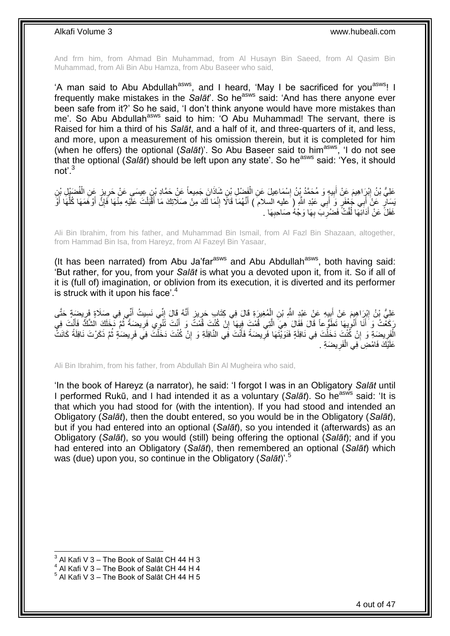And frm him, from Ahmad Bin Muhammad, from Al Husayn Bin Saeed, from Al Qasim Bin Muhammad, from Ali Bin Abu Hamza, from Abu Baseer who said,

'A man said to Abu Abdullah<sup>asws</sup>, and I heard, 'May I be sacrificed for you<sup>asws</sup>! I frequently make mistakes in the *Salāt*'. So he<sup>asws</sup> said: 'And has there anyone ever been safe from it?' So he said, 'I don't think anyone would have more mistakes than me'. So Abu Abdullah<sup>asws</sup> said to him: 'O Abu Muhammad! The servant, there is Raised for him a third of his *Salāt*, and a half of it, and three-quarters of it, and less, and more, upon a measurement of his omission therein, but it is completed for him (when he offers) the optional (*Salāt*)'. So Abu Baseer said to him<sup>asws</sup>, 'I do not see that the optional (*Salāt*) should be left upon any state'. So he<sup>asws</sup> said: 'Yes, it should not'.<sup>3</sup>

عَلِيُّ بْنُ إِبْرَاهِيمَ عَنْ أَبِيهٍ وَ مُحَمَّدُ بِنُ إِسْمَاعِيلَ عَنِ الْفَضْلِ بْنِ شَاذَانَ جَمِيعاً عَنْ حَمَّادِ بْنِ عِيسَى عَنْ حَرِيزٍ عَنِ الْفُضَيْلِ بْنِ ْ ِ **!** َ ِ ْ ِ َبِيَنالِۖ عَنْ أَبِي جُعْفَرٍ وَ أَبِي عَبْدِ اللَّهِ ( َعليه السلام ) أَنَّهُمَا قَالًا إِنَّمَا لَكَ مِنْ صَلَاتِكَ مَا أَقْبَلْتَ عَلَيْهِ مِنْهَا فَإِنَّ أَوْهَمَهَا كُلَّهَا أَوَّ َ ِ َ َ َ َ َّ َ ِ ْ غَفَلَّ عَنْ أَدَائِهَا لُفَّتْ فَضُرِبَ بِهَا وَجْهُ صَاحِبِهَا . ُ<br>ا َ **∶ ∶** ِ

Ali Bin Ibrahim, from his father, and Muhammad Bin Ismail, from Al Fazl Bin Shazaan, altogether, from Hammad Bin Isa, from Hareyz, from Al Fazeyl Bin Yasaar,

(It has been narrated) from Abu Ja'far<sup>asws</sup> and Abu Abdullah<sup>asws</sup>, both having said: 'But rather, for you, from your *Salāt* is what you a devoted upon it, from it. So if all of it is (full of) imagination, or oblivion from its execution, it is diverted and its performer is struck with it upon his face'. $4$ 

ِ عَلِيُّ بْنُ إِبْرِاهِيمَ عَنْ أَبِيهِ عَنْ عَيْدِ اللَّهِ بْنِ الْمُغِيرَةِ قَالَ فِي كِتَابٍ حَرِيزٍ أَنَّهُ قَالَ إِنِّي نَسِيتُ أَنِّي فِي صَلَاةٍ فَرِيضَةٍ حَتَّى َ ∣∣ َ ِ ْ ¦; ِ رَكَغْتُ وَ َأَنَا أَنْوِيهَا تَطَوُّعاً قَالَ فَقَالَ هِيَ الَّتِي قُمْتَ فِيهَا إِنْ كُنْتَ قُمْتً وَ أَنْتَ تَتَوِي فَرِيضَةً ثُمَّ دَخَلَكَ الْشَكُّ فَأَنْتَ فِي ِ َّ ِ َ َ َ ُ ِ َ الْفَرِيضَةِ وَ إِنْ كُنْتَ دَخَلْتَ فِي نَافِلَةٍ فَنَوَيْتَهَا فَرِيضَةً فَأَنْتَ فَِي النَّافِلَةِ وَ إِنْ كُنْتَ دَخَلْتَ فِيَ فَرِيضَةٍ ثُمَّ ذَكَرْتَ نَافِلَةً كَانَتْ ْ ِ َ **∶** ْ ِ ِ ْ ُ ِ عَلَيْكَ فَامْضِ فِي الْفَرِيضَةِ . ِ ْ

Ali Bin Ibrahim, from his father, from Abdullah Bin Al Mugheira who said,

'In the book of Hareyz (a narrator), he said: 'I forgot I was in an Obligatory *Salāt* until I performed Rukū, and I had intended it as a voluntary (Salat). So he<sup>asws</sup> said: 'It is that which you had stood for (with the intention). If you had stood and intended an Obligatory (*Salāt*), then the doubt entered, so you would be in the Obligatory (*Salāt*), but if you had entered into an optional (*Salāt*), so you intended it (afterwards) as an Obligatory (*Salāt*), so you would (still) being offering the optional (*Salāt*); and if you had entered into an Obligatory (*Salāt*), then remembered an optional (*Salāt*) which was (due) upon you, so continue in the Obligatory (*Salāt*)'.<sup>5</sup>

 $^3$  Al Kafi V 3 – The Book of Salāt CH 44 H 3

 $^4$  Al Kafi V 3 – The Book of Salāt CH 44 H 4

 $^5$  Al Kafi V 3 – The Book of Salāt CH 44 H 5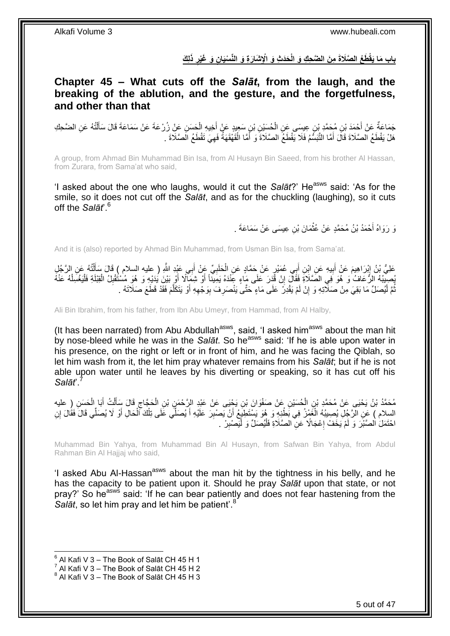بِابِ مَا يَقْطَعُ الصَّلَاةَ مِنَ الضَّحِكِ وَ الْحَدَثِ وَ الْإِشَارَةِ وَ النِّسْيَانِ وَ غَيْرِ ذَلِكَ

<span id="page-4-0"></span>**Chapter 45 – What cuts off the** *Salāt***, from the laugh, and the breaking of the ablution, and the gesture, and the forgetfulness, and other than that**

جَمَاعَةً عَنْ أَحْمَدَ بْنِ مُحَمَّدِ بْنِ عِيسَى عَنِ الْحُسَيْنِ بْنِ سَعِيدٍ عَنْ أَخِيهِ الْحَسَنِ عَنْ زُرْعَةَ عَنْ سَمَاعَةَ قَالَ سَأَلْتُهُ عَنِ الضَّحِكِ<br>... وَيَرَوْجَ الْمُسَائِلَةُ عَنِ الضَّحِكِ ْ َ ْ ْ َ هَلْ يَقْطَعُ الصَّلَاةَ قَالَ أَمَّا النَّبَسُّمُ فَلَا يَقْطَعُ الصَّلَاةَ وَ أَمَّا الْقَهْقَهَةُ فَهِيَ تَقْطَعُ الصَّلَاةَ . ْ َ َ ِ

A group, from Ahmad Bin Muhammad Bin Isa, from Al Husayn Bin Saeed, from his brother Al Hassan, from Zurara, from Sama'at who said,

'I asked about the one who laughs, would it cut the *Salāt*?' He<sup>asws</sup> said: 'As for the smile, so it does not cut off the *Salāt*, and as for the chuckling (laughing), so it cuts off the *Salāt*'.<sup>6</sup>

> وَ رَوَاهُ أَحْمَدُ بْنُ مُحَمَّدٍ عَنْ عُثْمَانَ بْنِ عِيسَى عَنْ سَمَاعَةَ . **ٔ**

And it is (also) reported by Ahmad Bin Muhammad, from Usman Bin Isa, from Sama'at.

عَلِيُّ بْنُ إِبْرَاهِيمَ عَنْ أَبِيهِ عَنِ اِبْنِ أَبِي عُمَيْرٍ عَنْ حَمَّادٍ عَنِ الْحَلَبِيِّ عَنْ أَبِي عَيْدِ اللَّهِ ( عليه السلام ) قَالَ سَأَلْتُهُ عَنِ الرَّجُلِ َ **∶** ْ َ **!** َ ֦֦֦֦֦֦֦֦֦֦֦֧֚֚֝֝֝֜֜*֓* ْ َ بُصِيبُهُ الرُّعَافُ وَ هُوَ فِي الصَّلَاةِ فَقََالَ إِنْ قَدَرَ عَلَى مَاءٍ عِنْدَهُ يَمِيناً أَوْ شِمَالًا أَوْ بَيْنَ يُدَيْهِ وَ هُوَ مُسْتُقْلِلُ الْقِبْلَةِ فَلْيَغْسِلْهُ عَنْهُ  $\frac{1}{2}$ ْ ْ ْ ِ َ َ نُّمَّ لْيُصَلِّ مَا بَقِيَ مِنْ صَلَّاتِهِ وَ إِنْ لَمْ يَقْدِرْ عَلَى مَاءٍ حَتَّى يَنْصَرِفَ بِوَجْهِهِ أَوْ يَتَكَلَّمَ فَقَدْ قَطَعَ صَلَاتَهُ . َّ َ ِ ِ ِ ِ ا<br>ا ُ

Ali Bin Ibrahim, from his father, from Ibn Abu Umeyr, from Hammad, from Al Halby,

(It has been narrated) from Abu Abdullah<sup>asws</sup>, said, 'I asked him<sup>asws</sup> about the man hit by nose-bleed while he was in the *Salāt*. So he<sup>asws</sup> said: 'If he is able upon water in his presence, on the right or left or in front of him, and he was facing the Qiblah, so let him wash from it, the let him pray whatever remains from his *Salāt*; but if he is not able upon water until he leaves by his diverting or speaking, so it has cut off his *Salāt*'.<sup>7</sup>

مُحَمَّدُ بْنُ يَحْيَى عَنْ مُحَمَّدِ بْنِ الْحُسَيْنِ عَنْ صَفْوَانَ بْنِ يَجْيَى عَنْ عَبْدِ الرِّحْمَنِ بْنِ الْحَجَّاجِ قَالَ سَأَلْتُ أَبَا الْحَسَنِ (ِ عليه ِ ْ ْ ْ َ ْ َ السِلام ) عَنِ الرَّجُلِ يُصِيبُهُ الْغَمْزُ فِي بَطْنِهِ وَ هُوَ يَسْتَطِيَعُ أَنْ يَصْبِرَ عَلَيْهِ أَيْصَلَّي عَلَى تِلْكَ الْحَالِ أَوْ لَا يُصَلِّي قَالَ فَقَالَ إِنِ اُ ْ َ ْ ْ َ **!** احْتَمَلَ الْصَّبْرَ وَ لَمْ يَخَفْ إِعْجَالًا عَنِّ الصَّلَاةِ فَلْيُصَلِّ وَ لْيَصْبِرْ . ِ ْ ْ ِ

Muhammad Bin Yahya, from Muhammad Bin Al Husayn, from Safwan Bin Yahya, from Abdul Rahman Bin Al Hajjaj who said,

'I asked Abu Al-Hassan<sup>asws</sup> about the man hit by the tightness in his belly, and he has the capacity to be patient upon it. Should he pray *Salāt* upon that state, or not pray?' So he<sup>asws</sup> said: 'If he can bear patiently and does not fear hastening from the *Salāt*, so let him pray and let him be patient'.<sup>8</sup>

 $^6$  Al Kafi V 3 – The Book of Salāt CH 45 H 1

 $^7$  Al Kafi V 3 – The Book of Salāt CH 45 H 2

 $^8$  Al Kafi V 3 – The Book of Salāt CH 45 H 3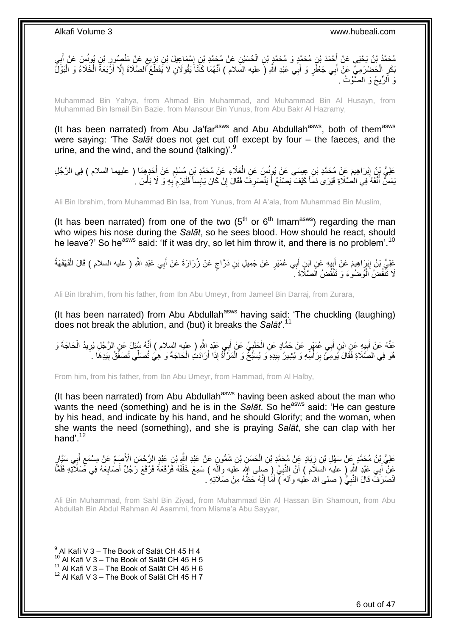

Muhammad Bin Yahya, from Ahmad Bin Muhammad, and Muhammad Bin Al Husayn, from Muhammad Bin Ismail Bin Bazie, from Mansour Bin Yunus, from Abu Bakr Al Hazramy,

(It has been narrated) from Abu Ja'far $a<sup>asws</sup>$  and Abu Abdullah $a<sup>asws</sup>$ , both of them $a<sup>asws</sup>$ were saying: 'The *Salāt* does not get cut off except by four – the faeces, and the urine, and the wind, and the sound (talking)'.<sup>9</sup>

عَلِيُّ بِنُ إِبْرَاهِيمَ عَنْ مُحَمَّدِ بْنِ عِيسَى عَنْ يُونُسَ عَنِ الْعَلَاءِ عَنْ مُحَمَّدِ بْنِ مُسْلِمٍ عَنْ أَحَدٍهِمَا ( عليهما السلام ) فِي الرَّجُلِ َ ֧֖֧֖֖֖֖֖֧֖֖֖֧֧֧֧֧֧֧֧֧֧֧֧֧֧֚֚֚֚֚֚֚֚֚֝֝֟֓֝֓֝֓֝֬֟֓֝֬֟֓֝֬֝֓֝֓֝֓֝֬֝֓֝֬֝֓֝֬֝֓֝֬֝֬֓֝֬֝֬ ْ ِ يَمَسُّ أَنْفَهُ فِي الصَّلَاةِ فَيَرَى دَمَاً كَيْفَ يَصْنَعُ أَ يَنْصَرِفُ فَقَالَ إِنْ كَانَ يَابِساً فَلْيَرْمِ ّبِهِ وَ ۖ لَا بَأْسَ . َ ْ **∶** ِ ْ ِ **ٍ** َ

Ali Bin Ibrahim, from Muhammad Bin Isa, from Yunus, from Al A'ala, from Muhammad Bin Muslim,

(It has been narrated) from one of the two  $(5<sup>th</sup>$  or  $6<sup>th</sup>$  Imam<sup>asws</sup>) regarding the man who wipes his nose during the *Salāt*, so he sees blood. How should he react, should he leave?' So he<sup>asws</sup> said: 'If it was dry, so let him throw it, and there is no problem'.<sup>10</sup>

عَلِيُّ بْنُ إِبْرَاهِيمَ عَنْ أَبِيهِ عَنِ ابْنِ أَمِي عُمَيْرٍ عَنْ جَمِيلِ بْنِ دَرَّاحٍ عَنْ زُرَارَةَ عَنْ أَبِي عَبْدِ اللَّهِ ( عليه السلام ) قَالَ الْقَهْقَهَةُ ¦; َ ِ ْ َ ٍ لَا تَنْقُضُ الْوُضُوعَ وَ تَنْقُضُ الصَّلَاةَ ۚ ٰ ْ

Ali Bin Ibrahim, from his father, from Ibn Abu Umeyr, from Jameel Bin Darraj, from Zurara,

(It has been narrated) from Abu Abdullah<sup>asws</sup> having said: 'The chuckling (laughing) does not break the ablution, and (but) it breaks the *Salāt*'.<sup>11</sup>

عَنْهُ عَنْ أَبِيهِ عَنِ ابْنِ أَبِي عُمَيْرٍ عَنْ حَمَّادٍ عَنِ الْحَلَبِيِّ عَنْ أَبِي عَنْدٍ النَّهِ ( عليه السلام ) أَنَّهُ سُئِلَ عَنِ الرَّجُلِ يُرِيدُ الْحَاجَةَ وَ َ ِ ْ َ ِ َ ْ ِ َ هُوَ فِي الْصَّلَاةِ فَقَالَ يُومِّئُ بِرَأْسِهِ وَ يُشِيرُ بِيَدِهِ وَ يُسَبَّحْ وَ الْمَرَّأَةُ إِذَا أَرَادَتِ الْحَاجَةَ وَ هِيَ تُصَلِّي تُصَفِّقُ بِيَدِهَا ۚ ْ َ ا<br>ا ْ **!** .<br>أ ِ ِ

From him, from his father, from Ibn Abu Umeyr, from Hammad, from Al Halby,

(It has been narrated) from Abu Abdullah<sup>asws</sup> having been asked about the man who wants the need (something) and he is in the Salat. So he<sup>asws</sup> said: 'He can gesture by his head, and indicate by his hand, and he should Glorify; and the woman, when she wants the need (something), and she is praying *Salāt*, she can clap with her hand'.<sup>12</sup>

عَلِيُّ بِنُ مُحَمَّدٍ عِنْ سَهْلِ بْنِ زِيَادٍ عِنْ مُحَمَّدِ بْنِ الْحَسَنِ بْنِ شَمُّونٍ عَنْ عَبْدِ النَّهِ بْنِ عَبْدٍ الزَّحْمَنِ الْأَصَمِّ عَنْ مِسْمَعٍ أَبِي سَيَّارٍ ْ ِ أ ٍ عَنْ أَبِي عَبْدِ اللَّهِ ( عليه السَلاَم ) أَنَّ النَّبِيَّ ( صَلِّي اللَّهِ عَليه وآلِه ) سَمِعَ خَلْفَهُ فَرْقَعَةً فَرْقَعَ رَجُلٌ أَصَابِعَهُ فِي صِّنَلاَتِهِ فَلَمَّا ْ ِ َ َ **∶** َ انْصَدَفَّ قَالَ النَّبِيُّ ( صلى الله عليه وآله َ ٓ أَمَا إِنَّهُ حَظَّهُ مِنْ صَلَاتِهِ ۚ ـ ِ َ **∶** 

Ali Bin Muhammad, from Sahl Bin Ziyad, from Muhammad Bin Al Hassan Bin Shamoun, from Abu Abdullah Bin Abdul Rahman Al Asammi, from Misma'a Abu Sayyar,

9 Al Kafi V 3 – The Book of Salāt CH 45 H 4

- $10$  Al Kafi V 3 The Book of Salāt CH 45 H 5
- $11$  Al Kafi V 3 The Book of Salāt CH 45 H 6

 $12$  Al Kafi V 3 – The Book of Salāt CH 45 H 7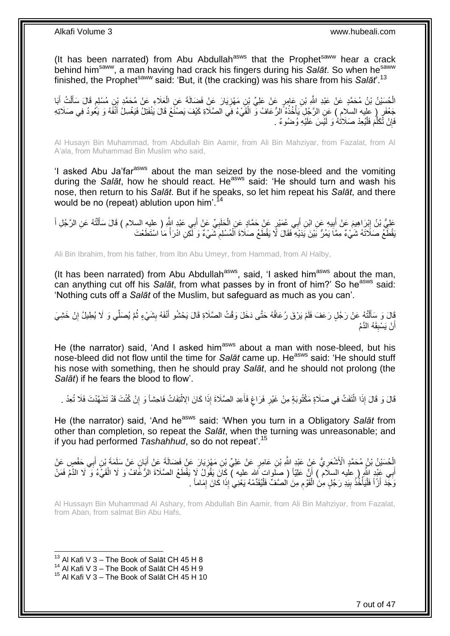(It has been narrated) from Abu Abdullah<sup>asws</sup> that the Prophet<sup>saww</sup> hear a crack he had been manually herm having had crack his fingers during his *Salāt*. So when he<sup>saww</sup>, a man having had crack his fingers during his *Salāt*. So when he<sup>saww</sup> finished, the Prophet<sup>saww</sup> said: 'But, it (the cracking) was his share from his *Salāt*<sup>'', 13</sup>

ِن َمْه ٍر َع ْن َعلِ ِّي ْب ِن َعا ِم ُح َسْي ُن ْب ُن ُم َح َّمٍد َع ْن َعْبِد ََّّللاِ ْب ال َبا ُت أ ل َقا َل َسأ ِن ُم ْسلِم َعَالِء َع ْن ُم َح َّمِد ْب َيا َر َع ْن َف َضالَ َة َع ِن ال َ ْ َ ْ َ ֖֖֖֧֧ׅ֧֧ׅ֧ׅ֧ׅ֧ׅ֧֛֛֛֛֛֛֚֚֚֚֚֚֝֝֝֝֝֝֝֟֓֝֬֝֓֟֓֝֬֝֓֝֬֝֓֟֓֟֓֟֓֟֓֟֓֝֬֜֟֓֝֬֜֜֜֜֓֜֜֜ ْ ِ جَعْفَرٍ ( عليه السلام ) عَنِ الرَّجُلِ يَأْخُذُهُ الرُّعَافُ وَّ الْقَيْءُ فِي الصَّلَاةِ كَيْفَ يَصنْعُ قَالَ يَنْفَتِلُ فَيَغْسِلُ أَنْفَهُ وَ يَكُودُ فِي صَلَاتِهِ ْ ة<br>أ َ فَإِنْ تَكَلَّمَ فَلْيُعِدْ صَلَاتَهُ وَ لَيُسَ عَلَيْهِ وُضُوءٌ . ֺ֦֖֟֟֓֕֟֟֓֕׆<br>֧֢**֛** َّ ِ

Al Husayn Bin Muhammad, from Abdullah Bin Aamir, from Ali Bin Mahziyar, from Fazalat, from Al A'ala, from Muhammad Bin Muslim who said,

'I asked Abu Ja'far<sup>asws</sup> about the man seized by the nose-bleed and the vomiting during the *Salāt*, how he should react. He<sup>asws</sup> said: 'He should turn and wash his nose, then return to his *Salāt*. But if he speaks, so let him repeat his *Salāt*, and there would be no (repeat) ablution upon him<sup>'.14</sup>

عَلِيُّ بْنُ إِبْرَاهِيمَ عَنْ أَبِيهِ عَنِ ابْنِ أَبِي عُمَيْرٍ عَنْ حَمَّادٍ عَنِ الْحَلَبِيِّ عَنْ أَبِي عَبْدِ اللَّهِ ( عليه السلام ) قَالَ سَأَلْتُهُ عَنِ الرَّجُلِ أَ َ ِ ْ َ ِ َ ِ َ ْ َ يَقْطَّعُ صَلَاتَهُ شَيْءٌ مِمَّاَ يَمُرُّ بََيْنَ يَدَيْهِ ۚ فَقَالَ لَا يَقْطَعُ صَلَاةَ اَلْمُسْلِمِ شَيْءٌ وَ لَكِنِ ادْرَأْ مَا اسْتَطَعْتَ ْ ِ *<u>British</u>* 

Ali Bin Ibrahim, from his father, from Ibn Abu Umeyr, from Hammad, from Al Halby,

(It has been narrated) from Abu Abdullah<sup>asws</sup>, said, 'I asked him<sup>asws</sup> about the man, can anything cut off his *Salāt*, from what passes by in front of him?' So he<sup>asws</sup> said: 'Nothing cuts off a *Salāt* of the Muslim, but safeguard as much as you can'.

قَالَ وَ سَأَلْتُهُ عَنْ رَجُلٍ رَعَفَ فَلَمْ يَرْقَ رُعَافُهُ حَتَّى دَخَلَ وَقْتُ الصَّلَاةِ قَالَ يَحْشُو أَنْفَهُ بِشَيْءٍ ثُمَّ يُصَلِّي وَ لَا يُطِيلُ إِنْ خَشِيَ ِ َ ֺ֦֖֦֧֦֧֦֧֦֦֦֦֪ׅ֧֦֦֪ׅ֧֦֧֦֧֧֦֧֦֧֝֟֟֓֕֟֓֕֝֓֓֟֓֓֡֟֓֡֟֓֓֞֓֞֓֞֓֞֓֞֓֞֓֡֟֓֡֟֓֡֟֓֡֟֓֟֓֡֟֓֟֓֟֓֝֬֝֬֞֞֝<br>֧֪֪֪֧֪֧֪֪֧֪֪֦֧֦֧֪֪֦֧֝֝֝֬֝֬ َ ِ أَنْ يَسْبِقَهُ الدَّمُ **∣** اً

He (the narrator) said, 'And I asked him<sup>asws</sup> about a man with nose-bleed, but his nose-bleed did not flow until the time for *Salāt* came up. He<sup>asws</sup> said: 'He should stuff his nose with something, then he should pray *Salāt*, and he should not prolong (the *Salāt*) if he fears the blood to flow'.

قَالَ وَ قَالَ إِذَا الْتَفَتَّ فِي صَلَاةٍ مَكْتُوبَةٍ مِنْ غَيْرِ فَرَاغٍ فَأَعِدِ الصَّلَاةَ إِذَا كَانَ الِالْتِفَاتُ فَاحِشَاً وَ إِنْ كُنْتَ قَدْ تَشَهَّدْتَ فَلَا تُعِدْ . ْ َ ٍ **ٍ** ْ ِ

He (the narrator) said, 'And he<sup>asws</sup> said: 'When you turn in a Obligatory Salat from other than completion, so repeat the *Salāt*, when the turning was unreasonable; and if you had performed *Tashahhud*, so do not repeat'.<sup>15</sup>

إِلْحُسَيْنُ يْنُ مُحَمَّدٍ الْأَشْعَرِ يُّ عَنْ عَيْدٍ اللَّهِ يْنِ عَامِرٍ عَنْ عَلِيِّ بْنِ مَهْزِيَارَ عَنْ فَضَالَةَ عَنْ أَبَانٍ عَنْ سَلَمَةً بْنِ أَبِي حَفْصٍ عَنْ َ **∶ ∶** َ أَبِي عَنْدٍ النَّهِ ( عليه السلَّام ) أَنَّ عَلِيّاً ( صلَّوات أَلله عليه ) كَانَ يَقُولُ لَا يَقْطَعُ الصَّلاةَ الرُّعَّافُ وَ لَا الْقَيْءُ وَ لَا الذَّمُ فَمَنْ َ ْ وَجَدَ أَزَّاً فَلْيَأْخُذُ بِيَدِ رَجُلٍ مِنَ الْقَوْمِ مِنَ الصَّفِّ فَلْيُقَدِّمْهُ يَعْنِي إِذَا كَانَ إِمَاماً . ِ ْ ِ ْ **! ٔ** ا<br>المستقبل<br>المستقبل ا<br>ا

Al Hussayn Bin Muhammad Al Ashary, from Abdullah Bin Aamir, from Ali Bin Mahziyar, from Fazalat, from Aban, from salmat Bin Abu Hafs,

 $13$  Al Kafi V 3 – The Book of Salāt CH 45 H 8

 $^{14}$  Al Kafi V 3 – The Book of Salāt CH 45 H 9

 $15$  Al Kafi V 3 – The Book of Salāt CH 45 H 10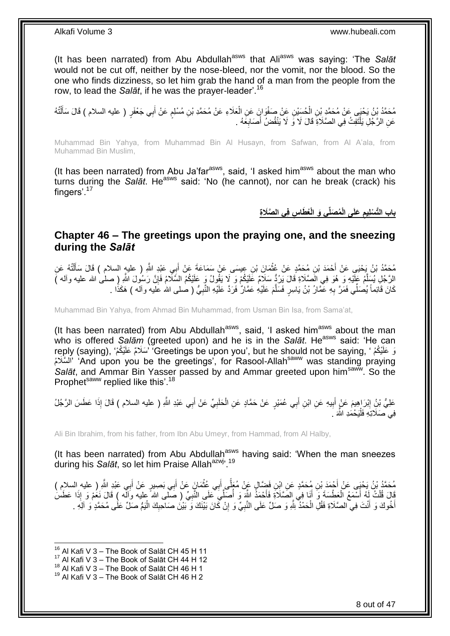(It has been narrated) from Abu Abdullah<sup>asws</sup> that Ali<sup>asws</sup> was saying: 'The Salat would not be cut off, neither by the nose-bleed, nor the vomit, nor the blood. So the one who finds dizziness, so let him grab the hand of a man from the people from the row, to lead the *Salāt*, if he was the prayer-leader'.<sup>16</sup>

مُحَمَّدُ بْنُ يَحْيَى عَنْ مُحَمَّدٍ بْنِ الْحُسَيْنِ عَنْ صَفْوَانٍ عَنِ الْعَلَاءِ عَنْ مُحَمَّدِ بْنِ مُسْلِمٍ عَنْ أَبِي جَعْفَوٍ ( عليه السلام ) قَالَ سَأَلْتُهُ َ ֧֖֖֖֧֖֧֧֧֧֧֧֧֧֧֧֧֚֚֚֚֓֝֝֝֝֟֓֟֓֝֬֝֓֝֬֟֓֟֓֬֝֓֟֓֟֓֝֬֝֓֝֓֟֓֝֬֝֬֝֓֝֬֝֓֝֬ ْ ْ ْ َ عَنِ الرَّجُلِ يَلْتَفِتُ فِي الصَّلَاةِ قَالَ لَا وَ لَا يَنْقُضُ أَصَابِعَهُ . ِ َ ֺ֝֟֟֓֕֟֓֕֓֕׆<br>֧֢ׅ֦֧ׅ֦֧֦֧֦֦ׅ֦֧֦֧֦֦֧֧֧ׅ֘֘֜֓֬֘֓֞֬֘֩֓֓֬֟֩֓֓֞֬֩֩֓֓֩

Muhammad Bin Yahya, from Muhammad Bin Al Husayn, from Safwan, from Al A'ala, from Muhammad Bin Muslim,

(It has been narrated) from Abu Ja'far $a_{\text{sws}}$ , said, 'I asked him $a_{\text{sws}}$  about the man who turns during the *Salāt*. He<sup>asws</sup> said: 'No (he cannot), nor can he break (crack) his fingers'.<sup>17</sup>

> **ِس فِي ال َّصَال ِة ُع َطا ُم َصلِّي َو الْ َعلَى الْ باب الَّت ْسلِيم ِ**

### <span id="page-7-0"></span>**Chapter 46 – The greetings upon the praying one, and the sneezing during the** *Salāt*

مُحَمَّدُ بْنُ يَحْيَىِ عَنْ أَحْمَدَ بْنِ مُحَمَّدٍ عَنْ عُثْمَانَ بْنِ عِيسَى عَنْ سَمَاعَةَ عَنْ أَبِي عَبْدِ اللَّهِ ( عليهِ السلام ) قَالَ سَأَلْتُهُ عَنِ<br>مَعَدَّدُ بْنُ يَحْيَىِ عَنْ أَحْمَدَ بْنِ مُحَمَّدٍ عَنْ عُث َ ْ َ ْ اً<br>أ الرَّجُلِ يُسَلَّمُ عَلَيْهِ وَ هُوَ فِي الصَّلَاةِ قَالَ يَرُدُّ سَلَامٌ عَلَيْكُمْ وَ لَا يَقُولُ وَ عَلَيْكُمُ السَّلَامُ فَإِنَّ رَسُولَ اللَّهِ ( صلى الله عليه وأله ) َّ ∣ٍ كَانَ قَائِماً يُصَلِّي فَمَرَّ بِهِ عَمَّارُ بْنُ يَاسِرٍ فَسَلَّمَ عَلَيْهِ عَمَّارٌ فَرَدَّ عَلَيْهِ النَّبِيُّ ( صلى الله عليه وآله ) هَكَذَا . ِ َّ ِ

Muhammad Bin Yahya, from Ahmad Bin Muhammad, from Usman Bin Isa, from Sama'at,

(It has been narrated) from Abu Abdullah $a_{\text{sws}}$ , said, 'I asked him $a_{\text{sws}}$  about the man who is offered *Salām* (greeted upon) and he is in the *Salāt*. He<sup>asws</sup> said: 'He can reply (saying), 'سَلَامٌ عَلَيْكُمُ 'Greetings be upon you', but he should not be saying, ' مَلَيْكُمْ الْسَلَامُ' 'And upon you be the greetings', for Rasool-Allah<sup>saww</sup> was standing praying Salat, and Ammar Bin Yasser passed by and Ammar greeted upon him<sup>saww</sup>. So the Prophet<sup>saww</sup> replied like this'.<sup>18</sup>

عَلِيُّ بْنُِ إِبْرَاهِيمَ عَنْ أَبِيهِ عَنِ ابْنِ أَبِي عُمَيْرٍ عَنْ حَمَّادٍ عَنِ الْحَلَبِيِّ عَنْ أَبِي عَبْدِ اللَّهِ ( عليه السلام ) قَالَ إِذَا عَطَسَ الرَّجُلُ َ ِ ْ ِ َ <u>֖֓</u> فِي صَلَاتِهِ فَلْيَحْمَدِ اللَّهَ  $\,$ ا<br>ا

Ali Bin Ibrahim, from his father, from Ibn Abu Umeyr, from Hammad, from Al Halby,

(It has been narrated) from Abu Abdullah<sup>asws</sup> having said: 'When the man sneezes during his *Salāt*, so let him Praise Allah<sup>azwj, 19</sup>

مُحَمَّدُ بْنُ يَحْيَى عَنْ أَجْمَدَ بْنِ مُحَمَّدٍ عَنِ ابْنِ فَضَّالٍ عَنْ مُعَلَّى أَبِي عُثْمَانَ عَنْ أَبِي بَصِبِيرٍ عَنْ أَبِي عَبْدِ اللَّهِ ( عليه السلامِ )<br>. َ َ َ ْ َ  $-6$ اً قَالَ قُلْتُ لَهُ أَسْمَعُ الْعَطْسَةَ وَ أَنَا فِي الصَّلَاةِ فَأَحْمَدُ الثَّهَ وَ أُصَلِّيَ كَلَى النَّبِيِّ ( صَلَّى الله عليه وآله ) قَالَ نَعُمْ وَ إِذَا عَطَسُ<br>أَمُّهُ بِلَّهِ أَسْمَعُ الْعَطْسَةَ وَ أَنَا فِي الصَ ِ ا<br>ا َ َ ْ َ ْ أَخُوكَ وَ أَنْتَ فِي الصَّلَاةِ فَقُلِّ الْحَمْدُّ لِلَّهِ وَ صَلِّ عَلَى النَّبِيِّ وَ إِنْ كَانَ بَيْنَكَ وَ يَّبْنُ صَاحِبِكَ الْبَمُّ صَلِّ عَلَى مُحَمَّدٍ وَ الْلَهِ . ْ ِ ِ ِ ْ اً<br>ا

- $17$  Al Kafi V 3 The Book of Salāt CH 44 H 12
- <sup>18</sup> Al Kafi V 3 The Book of Salāt CH 46 H 1

<sup>1</sup>  $16$  Al Kafi V 3 – The Book of Salāt CH 45 H 11

 $19$  Al Kafi V 3 – The Book of Salāt CH 46 H 2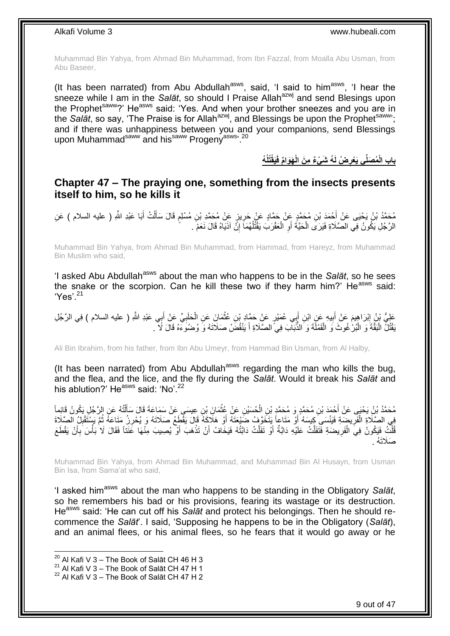Muhammad Bin Yahya, from Ahmad Bin Muhammad, from Ibn Fazzal, from Moalla Abu Usman, from Abu Baseer,

(It has been narrated) from Abu Abdullah<sup>asws</sup>, said, 'I said to him<sup>asws</sup>, 'I hear the sneeze while I am in the *Salāt*, so should I Praise Allah<sup>azwj</sup> and send Blesings upon the Prophet<sup>saww</sup>?' He<sup>asws</sup> said: 'Yes. And when your brother sneezes and you are in the Salat, so say, 'The Praise is for Allah<sup>azwj</sup>, and Blessings be upon the Prophet<sup>saww</sup>; and if there was unhappiness between you and your companions, send Blessings upon Muhammad<sup>saww</sup> and his<sup>saww</sup> Progeny<sup>asws</sup><sup>20</sup>

> باب الْمُصَلِّى يَعْرِضُ لَهُ شَىْءٌ مِنَ الْهَوَامِّ فَيَقْتُلُهُ **ِ**

### <span id="page-8-0"></span>**Chapter 47 – The praying one, something from the insects presents itself to him, so he kills it**

َ مُحَمَّدُ بْنُ يَحْيَى عَنْ أَحْمَدَ بْنِ مُحَمَّدٍ عَنْ حَمَّادٍ عَنْ حَرِيزٍ عَنْ مُحَمَّدٍ بْنِ مُسْلِمٍ قَالَ سَأَلْتُ أَبَا عَبْدِ اللَّهِ ( عليه السلام ) عَنِ<br>مَصَدِينَ مِنْ يَحْيَى عَنْ أَحْمَدَ بْنِ مُحَمَّدٍ عَنْ ْ َ ֧֖֖֖֧֖֧֧֧֧֧֧֧֧֧֧֧֚֚֚֚֓֝֝֝֝֟֓֟֓֝֬֝֓֝֬֟֓֟֓֬֝֓֟֓֟֓֝֬֝֓֝֓֟֓֝֬֝֬֝֓֝֬֝֓֝֬ ِ َ الرَّجُلِ يَكُونُ فِي الصَّلَاةِ فَيَرَى الْحَيَّةَ أَوِ الْعَقْرَبَ يَقْتُلُهُمَاَ إِنَّ آذَيَاهُ قَالَ نَعَمْ ِ ا<br>ا ْ ِ اً ْ

Muhammad Bin Yahya, from Ahmad Bin Muhammad, from Hammad, from Hareyz, from Muhammad Bin Muslim who said,

'I asked Abu Abdullah<sup>asws</sup> about the man who happens to be in the *Salāt*, so he sees the snake or the scorpion. Can he kill these two if they harm him?' He<sup>asws</sup> said: 'Yes'.<sup>21</sup>

عَلِيُّ بْنُ إِبْرَاهِيمَ عَنْ أَبِيهِ عَنِ ابْنِ أَبِي عُمَيْرٍ عَنْ حَمَّادٍ بْنِ عُثْمَانَ عَنِ الْحَلَبِيِّ عَنْ أَبِي عَبْدِ اللَّهِ ( عليه السلام ) فِي الرَّجُلِ<br>وَمَنْ يَامِي الْمَرْضَى مَنْ أَبِيهِ عَنْ إِبْنِ أَبِ َ **! ֽ** َ ِ ْ **ٔ** بَقْتُلٌ الْبَقَّةَ وَ الْبُرْغُوثَ وَ الْقَمْلَةَ وَ الذَّبَاّبَ فِيَ الصَّلَاةِ أَ يَنْقُضَ صَلَاتَهُ وَ وُضُوَءَهُ قَالَ لَا ۖ . َ ْ ֧֘֝֟֟֓֕׆֧ :<br>ا

Ali Bin Ibrahim, from his father, from Ibn Abu Umeyr, from Hammad Bin Usman, from Al Halby,

(It has been narrated) from Abu Abdullah<sup>asws</sup> regarding the man who kills the bug, and the flea, and the lice, and the fly during the *Salāt*. Would it break his *Salāt* and his ablution?' He $^{35W5}$  said: 'No'.<sup>22</sup>

مُحَمَّدُ بْنُ يَحْيَى عَنْ أَحْمَدَ بْنِ مُحَمَّدٍ وَ مُحَمَّدٍ بْنِ الْحُسَيْنِ عَنْ عُثْمَانَ بْنِ عِيسَى عَنْ سَمَاعَةَ قَالَ سَأَلْتُهُ عَنِ الرَّجُلِ يَكُونُ قَائِماً<br>يَجْمَعُ اللَّهُ عَنِ أَحْمَدَ بْنِ مُحَمَّدٍ وَ **ٔ** ْ َ ْ َ فِي الصَّلَاةِ الْفَرِيضَةِ فَيَنْسَىَ كِبِسَهُ أَوْ مَتَاعاً يَتَخَوَّفُ ضَيْعَتَهُ أَوْ هَلَاعَهُ ثَمَّا يَقْطَعُ صَلَاتَهُ وَ يُحْرِزُ مَتَاعَهُ ثُمَّ يَسْتَقْلِّ الصَّلَاةَ َ **∶** ْ ِ ُ ِ قُلْتُ فَيَكُونُ فِيَ الْفَرِيضَةِ فَّتَفَلَّتُ عَلَيْهِ دَابَّةٌ أَوْ تَفَلَّتُ دَابَّتُهُ فَيَخَافُ أَنْ تَذْهَبَ أَوْ يُصِيبَ مِنْهَا عَنَتاً فَقَالَ لَا ٰبَأْسَ بِأَنْ يَقْطَعَ َ **ٔ** اُ َّ َ َّ ِ ْ ْ َ ِ ا<br>أا َصَالَت ُه .

Muhammad Bin Yahya, from Ahmad Bin Muhammad, and Muhammad Bin Al Husayn, from Usman Bin Isa, from Sama'at who said,

'I asked him<sup>asws</sup> about the man who happens to be standing in the Obligatory Salat, so he remembers his bad or his provisions, fearing its wastage or its destruction. He<sup>asws</sup> said: 'He can cut off his Salat and protect his belongings. Then he should recommence the *Salāt*'. I said, 'Supposing he happens to be in the Obligatory (*Salāt*), and an animal flees, or his animal flees, so he fears that it would go away or he

 $^{20}$  Al Kafi V 3 – The Book of Salāt CH 46 H 3

<sup>21</sup> Al Kafi V 3 – The Book of Salāt CH 47 H 1

 $22$  Al Kafi V 3 – The Book of Salāt CH 47 H 2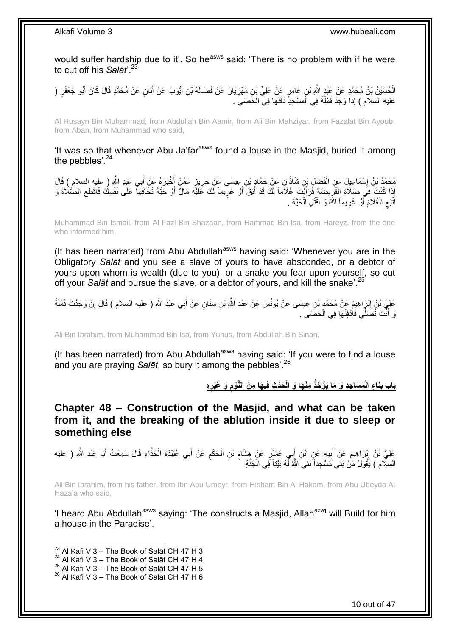would suffer hardship due to it'. So he<sup>asws</sup> said: 'There is no problem with if he were to cut off his *Salāt*'.<sup>23</sup>

الْحُسَيْنُ بْنُ مُحَمَّدٍ عَنْ عَيْدٍ اللَّهِ بْنِ عَامِرٍ عَنْ عَلِيٍّ بْنِ مَهْزِيَارَ عَنْ فَضَالَةَ بْنِ أَيُّوبَ عَنْ أَبَانٍ عَنْ مُحَمَّدٍ قَالَ كَانَ أَبُو جَعْفَرٍ ( ِ َ َ ا<br>ا عليه السلام ) إِذَا وَجَدَ قَمْلَةً فِي الْمَسْجِدِّ دَفَنَهَا فِي الْحَصَىَ . ْ ْ

Al Husayn Bin Muhammad, from Abdullah Bin Aamir, from Ali Bin Mahziyar, from Fazalat Bin Ayoub, from Aban, from Muhammad who said,

'It was so that whenever Abu Ja'far<sup>asws</sup> found a louse in the Masjid, buried it among the pebbles'. $24$ 

**∶** مُحَمَّدُ بْنُ إِسْمَاعِيلَ عَنِ الْفَضْلِ بْنِ شَاذَانَ عَنْ حَمَّادٍ بْنِ عِيسَى عَنْ حَرِينٍ عَمَّنْ أَخْبَرَهُ عَنْ أَبِي عَبْدِ اللَّهِ ( عليه السلام ) قَالَ َ َ ِ ْ ِ إِذَا كُنْتَ فِي صَلَاةِ الْفَرِيضَةِ فَرَأَيْتَ غُلَاماً لَكَ قَدْ أَبَقَ أَوْ غَرِيماً لَكَ عَلَيْهِ مَالٌ أَوْ حَيَّةً تَخَافُهَا عَلَى نَفْسِكَ فَاقْطَعِ الصَّلَاةَ وَ َ لَ ِ اُ َ لَ َ **∶** ْ ِ اتْبَعِ الْغُلَامَ أَوْ غَرِيماً لَكَ وَ اقْتُلِ الْحَيَّةَ . لَ **∶** َ ْ  $\zeta$ ْ

Muhammad Bin Ismail, from Al Fazl Bin Shazaan, from Hammad Bin Isa, from Hareyz, from the one who informed him,

(It has been narrated) from Abu Abdullah<sup>asws</sup> having said: 'Whenever you are in the Obligatory *Salāt* and you see a slave of yours to have absconded, or a debtor of yours upon whom is wealth (due to you), or a snake you fear upon yourself, so cut off your *Salāt* and pursue the slave, or a debtor of yours, and kill the snake'.<sup>25</sup>

عَلِيُّ لِنُ إِنْرٍاهِيمَ عَنْ مُحَمَّدٍ بْنِ عِيسَى عَنْ يُونُسَ عَنْ عَبْدِ اللَّهِ بْنِ سِنَانٍ عَنْ أَبِي عَبْدِ اللَّهِ ( عليه السلام ) قَالَ إِنْ وَجَدْتَ قَمْلَةً <u>֖֚֚֓</u>֦֧֢֦֦֦֓֕֝֡ ِ َ رَ أَنْتَ تُصَلِّّي فَاٰدْفِنْهَا فِي الْحَصَى . ْ ا<br>ا

Ali Bin Ibrahim, from Muhammad Bin Isa, from Yunus, from Abdullah Bin Sinan,

(It has been narrated) from Abu Abdullah<sup>asws</sup> having said: 'If you were to find a louse and you are praying *Salāt*, so bury it among the pebbles'.<sup>26</sup>

> باب بِنَاءِ الْمَسَاجِدِ وَ مَا يُؤْخَذُ مِنْهَا وَ الْحَدَثِ فِيهَا مِنَ النَّوْمِ وَ غَيْرِهِ **ِ ِ ِ**

<span id="page-9-0"></span>**Chapter 48 – Construction of the Masjid, and what can be taken from it, and the breaking of the ablution inside it due to sleep or something else**

عَلِيُّ بْنُ إِبْرَاهِيمَ عَنِْ أَبِيهِ عَنِ ابْنِ أَبِي عُمَيْرٍ عَنْ هِشَامِ بْنِ الْحَكَمِ عَنْ أَبِي عُبَيْدَةَ الْحَذَّاءِ قَالَ سَمِعْتُ أَبَا عَبْدِ اللَّهِ ( عليه ْ َ ِ ْ ِ **!** َ ِ َ السلَّام ) يَقُولُ مَنْ بَنَى مَسْجِداً بَنَى اللَّهُ لَّهُ بَيْتاً فِي الْجَنَّةِ ْ

Ali Bin Ibrahim, from his father, from Ibn Abu Umeyr, from Hisham Bin Al Hakam, from Abu Ubeyda Al Haza'a who said,

'I heard Abu Abdullah<sup>asws</sup> saying: 'The constructs a Masjid, Allah<sup>azwj</sup> will Build for him a house in the Paradise'.

- $^{24}$  Al Kafi V 3 The Book of Salāt CH 47 H 4
- $^{25}$  Al Kafi V 3 The Book of Salāt CH 47 H 5

 $^{23}$  Al Kafi V 3 – The Book of Salāt CH 47 H 3

 $26$  Al Kafi V 3 – The Book of Salāt CH 47 H 6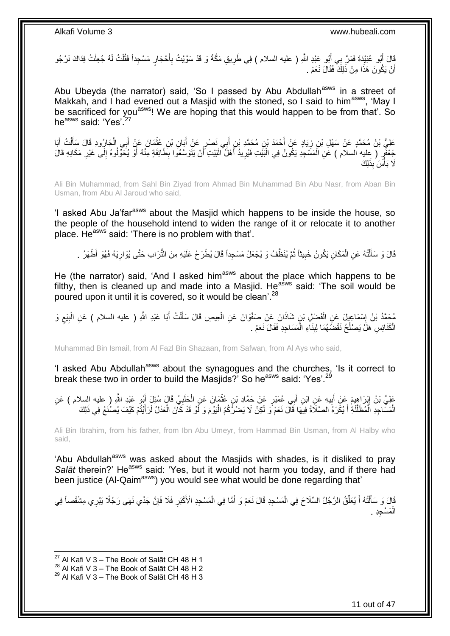قَالَ أَبُو عُبَيْدَةَ فَمَرَّ بِي أَبُو عَبْدِ اللَّهِ ( عليه السلام ) فِي طَرِيقِ مَكَّةَ وَ قَدْ سَوَّيْتُ بِأَحْجَارٍ مَسْجِداً فَقُلْتُ لَهُ جُعِلْتُ فِدَاكَ نَرْجُو<br>نَبِّ َ ِ ِ َ َ ْ ْ أَنْ يَكُونَ هَذَا مِنْ ذَٰلِكَ فَقَالَ نَعَمْ . اً

Abu Ubeyda (the narrator) said, 'So I passed by Abu Abdullah<sup>asws</sup> in a street of Makkah, and I had evened out a Masjid with the stoned, so I said to him<sup>asws</sup>, 'May I be sacrificed for you<sup>asws</sup>! We are hoping that this would happen to be from that'. So he<sup>asws</sup> said: 'Yes'.<sup>27</sup>

عَلِيُّ بْنُ مُحَمَّدٍ عَنْ سَهْلِ بْنِ زِيَادٍ عَنْ أَحْمَدَ بْنِ مُحَمَّدٍ بْنِ أَبِي نَصْرٍ عَنْ أَبَانِ بْنِ عُثْمَانَ عَنْ أَبِي الْجَارُودِ قَالَ سَأَلْتُ أَبَا ْ َ َ ِ َ ْ ĺ ْ َ حَفْفَرٍ ( عِليه السلام ) عَنِ الْمَسْجِدِ يَكُونُ فِي الْبَيْتِ فَيُرِيدُ أَهْلُ الْبَيْتِ أَنْ يَتَوَسَّعُوا بِطَائِفَةٍ مِنْهُ أَوْ يُحَوِّلُوهُ إِلَى غَيْرِ مَكَانِهِ قَالَ ا<br>ا َ ِ َ ْ َ **∶** ْ ْ ِ َلَا بَأْسََ بِذَلِكَ ا<br>ا

Ali Bin Muhammad, from Sahl Bin Ziyad from Ahmad Bin Muhammad Bin Abu Nasr, from Aban Bin Usman, from Abu Al Jaroud who said,

'I asked Abu Ja'far<sup>asws</sup> about the Masjid which happens to be inside the house, so the people of the household intend to widen the range of it or relocate it to another place. He<sup>asws</sup> said: 'There is no problem with that'.

قَالَ وَ سَأَلْتُهُ عَنِ الْمَكَانِ يَكُونُ خَبِيثاً ثُمَّ يُنَظَّفُ وَ يُجْعَلُ مَسْجِداً قَالَ يُطْرَحُ عَلَيْهِ مِنَ التُّرَابِ حَتَّى يُوَارِيَهُ فَهُوَ أَطْهَرُ . ا<br>ا **!** ْ ֦֖֖֦֧֦֦֦֖֦֧֦֦֖֦֧֦֦֧֦֦֧֦֪֦֪֪֦֧֦֪֦֧֦֧֦֪֦֧֦֪֪֦֧֦֧֦֪֪֦֧֦֧֦֧֦֧֦֧֟֟֟֟֟֟֟֟֟֟֟֟֟֟֟֟֟֟֟֟֟֬֟֟֟֟֟֓֞֟֟֟֟֬֟֟֓֞֟֟֩֕֟֟֩֞֟֟֓֞֟֟֟֟֟֝֟ َ ِ

He (the narrator) said, 'And I asked him<sup>asws</sup> about the place which happens to be filthy, then is cleaned up and made into a Masiid. He<sup>asws</sup> said: 'The soil would be poured upon it until it is covered, so it would be clean'.<sup>28</sup>

مُحَمَّدُ بْنُ إِسْمَاعِيلَ عَنِ الْفَضْلِ بْنِ شَاذَانَ عَنْ صَفْوَانَ عَنِ الْعِيصِ قَالَ سَأَلْتُ أَبَا عَبْدِ اللَّهِ ( عليه السلام ) عَنِ الْبِيَعِ وَ<br>وَيَحَمَّدُ بْنُ إِسْمَاعِيلَ عَنِ الْفَضْلِ بْنٍ شَاذَانَ عَنْ ص َ ْ َ ْ ْ ِ ِ ِ ْ الْكَذَائِسِ هَلَّ يَصْلُحُ نَقْضُهُمَا لِبِنَاءِ الْمَسَاجِدِ فَقَالَ نَعَمْ . ْ **∣** ا<br>ا ْ

Muhammad Bin Ismail, from Al Fazl Bin Shazaan, from Safwan, from Al Ays who said,

'I asked Abu Abdullah<sup>asws</sup> about the synagogues and the churches, 'Is it correct to break these two in order to build the Masjids?' So heasws said: 'Yes'.<sup>29</sup>

عَلِيُّ بْنُ إِبْرَاهِيمَ عَنْ أَبِيهِ عَنِ ابْنِ أَبِي عُمَيْرٍ عَنْ حَمَّادِ بْنِ عُثْمَانَ عَنِ الْحَلَبِيِّ قَالَ سُئِلَ أَبُو عَبْدِ اللَّهِ ( عليه السلام ) عَنِ<br>إِن أَبْرَى بَيْنَ إِنَّ أَمَّةٍ عَنْ أَبِيهِ عَنِّ ابْ ِ ْ **ٔ** َ **!** َ  $\frac{1}{2}$ َ الْمَسَاجِدِ الْمُظَلَّلَةِ أَ يُكْرَهُ الصَّلَاةُ فِيهَا قَالَ نَعَمْ وَ لَكِنْ لَا يَضُرُّكُمُ الْيَوْمَ وَ لَوْ قَدْ كَانَ الْعَدْلُ لَرَ أَيْتُمْ كَيْفَ يُصنَٰعُ فِي ذَلِكَ ْ َ لَ َّ ْ َ ْ

Ali Bin Ibrahim, from his father, from Ibn Abu Umeyr, from Hammad Bin Usman, from Al Halby who said,

'Abu Abdullah<sup>asws</sup> was asked about the Masjids with shades, is it disliked to pray Salat therein?' He<sup>asws</sup> said: 'Yes, but it would not harm you today, and if there had been justice (Al-Qaim<sup>asws</sup>) you would see what would be done regarding that'

َّةِلَ وَ سَأَلْتُهُ أَ يُعَلِّقُ الرَّجُلُ السِّلَاحَ فِي الْمَسْجِدِ قَالَ نَعَمْ وَ أَمَّا فِي الْمَسْجِدِ الْأَكْبَرِ فَلَا فَإِنَّ جَدِّي نَهَى رَجُلًا يَبْرِي مِشْقَصاً فِي **∶** ْ َ ْ ِّ َ ْ ∣ļ الْمَسْجِدِ . ْ

 $27$  Al Kafi V 3 – The Book of Salāt CH 48 H 1

 $^{28}$  Al Kafi V 3 – The Book of Salāt CH 48 H 2

 $^{29}$  Al Kafi V 3 – The Book of Salāt CH 48 H 3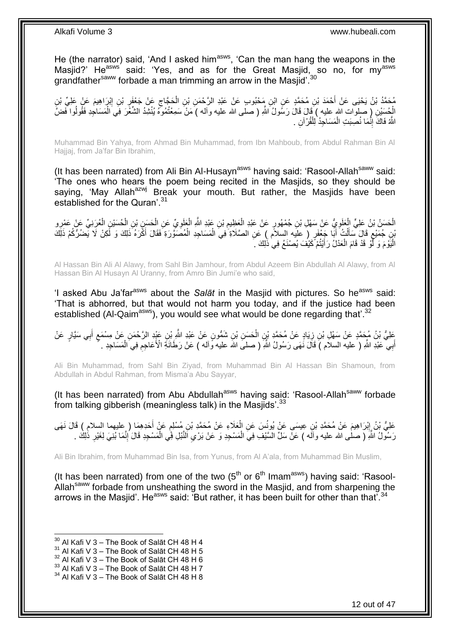He (the narrator) said, 'And I asked him<sup>asws</sup>, 'Can the man hang the weapons in the Masjid?' He<sup>asws'</sup> said: 'Yes, and as for the Great Masjid, so no, for my<sup>asws</sup> grandfather<sup>saww</sup> forbade a man trimming an arrow in the Masjid'.<sup>30</sup>

ِن َم ْحُبو ٍب ِن ُم َح َّمٍد َع ِن اْب ْح َمَد ْب ِن ُم َح َّمُد ْب ُن َي ْحَيى َع ْن أ َم َع ْن َعلِ ِّي ْب ْب َرا ِهي ِن إ ْب َع ْن َج ْعَفر َح َّجاج ِن ال ِن ْب َع ْن َعْبِد ال َّر ْح َم َ ِ ِ  $\zeta$ ْ الْجُسَيْنِ ( صلوات الله عليه ) فَالَ قَالَ رَسُولُ اللّهِ ( صلَّى الله عليه وأله ) مَنْ سَمِعْتُمُوهُ يُنْشِدُ الشُّغَرَ فِيَ الْمَسَاجِدِ فَقُولُوا فَضَّ ُ ْ اللَّهُ فَاكَ إِنَّمَا نُصِبَتِ الْمَسَاجِدُ لِلْقُرْآنِ . ْ ْ ֺׅׅ֧֧֦֧֧֧֧ׅ֧֧ׅ֧ׅ֧ׅ֧ׅ֧֧ׅ֧ׅ֧֧ׅ֧ׅ֧֧֧֧֚֚֚֚֚֚֚֚֚֚֚֚֚֚֚֚֚֚֚֚֚֚֚֚֚֚֚֝֡֡֡֡֡֡֡֝֡֓֡֝֓֓֡֓֡֬֓֝֬֡֬֝֬֝֬֝֬

Muhammad Bin Yahya, from Ahmad Bin Muhammad, from Ibn Mahboub, from Abdul Rahman Bin Al Hajjaj, from Ja'far Bin Ibrahim.

(It has been narrated) from Ali Bin Al-Husayn<sup>asws</sup> having said: 'Rasool-Allah<sup>saww</sup> said: 'The ones who hears the poem being recited in the Masjids, so they should be saying, 'May Allah<sup>azwj</sup> Break your mouth. But rather, the Masjids have been established for the Quran<sup>'31</sup>

الْحَسَنُ بْنُ عَلِيٍّ الْعَلَوِيُّ عَنْ سَهْلِ بْنِ جُمْهُورٍ عَنْ عَبْدِ الْعَظِيمِ بْنِ عَبْدِ الثَّهِ الْمَلَوِيِّ عَنِ الْحَسَنِ بْنِ الْحُسَيْنِ الْعُرَنِيِّ عَنْ عَمْرِو **∶** ْ ¦ ْ ْ ْ **∶** ْ ِ ْ َّنْ بِجُمَيْعٍ قَالَ سَأَلْتُ أَبَا جَعْفَرٍ ( علَيه السلام ) عَنِ الصَّلَاةِ فِي الْمَسَاجِدِ الْمُصَوَّرَةِ فَقَالَ أَكْرَهُ ذَلِكَ وَ لَمِنْ لَا يَصْرُكُمْ ذَلِكَ َ ْ ْ َ ْ َ ٍ الْبَوْمَ وَ لَّوْ قَدْ قَامَ الْعَدْلُ رَأَيْتُمْ كَيْفَ يُصنْنَعُ فِي ذَٰلِكَ . َ ْ :<br>ا

Al Hassan Bin Ali Al Alawy, from Sahl Bin Jamhour, from Abdul Azeem Bin Abdullah Al Alawy, from Al Hassan Bin Al Husayn Al Uranny, from Amro Bin Jumi'e who said,

'I asked Abu Ja'far<sup>asws</sup> about the *Salāt* in the Masjid with pictures. So he<sup>asws</sup> said: 'That is abhorred, but that would not harm you today, and if the justice had been established (Al-Qaim<sup>asws</sup>), you would see what would be done regarding that'.<sup>32</sup>

عَلِيُّ بْنُ مُجَمَّدٍ عَنْ سَهْلِ بْنِ زِيَادٍ عَنْ مُحَمَّدٍ بْنِ الْحَسَنِ بْنِ شَمُّونٍ عَنْ عَبْدِ الثَّهِ بْنِ عَنْدٍ الرَّحْمَنِ عَنْ مِسْمَعٍ أَبِي سَيَّارٍ عَنْ ْ ِ َ ٍ أَبِي عَبْدِ اللَّهِ ( َعليه السلام ) قَالَ نَهَى رَسُولُ اللَّهِ ( صلى الله عليه وَّاله ) عَنْ رَطَانَةِ الْأَعَاجِمِ فِي الْمَسَاجِدِ . َ ْ ِ

Ali Bin Muhammad, from Sahl Bin Ziyad, from Muhammad Bin Al Hassan Bin Shamoun, from Abdullah in Abdul Rahman, from Misma'a Abu Sayyar,

(It has been narrated) from Abu Abdullah<sup>asws</sup> having said: 'Rasool-Allah<sup>saww</sup> forbade from talking gibberish (meaningless talk) in the Masjids'.<sup>33</sup>

عَلِيُّ بْنُ إِبْرَاهِيمَ عَنْ مُحَمَّدِ بْنِ عِيسَى عَنْ يُونُسَ عَنِ الْعَلَاءِ عَنْ مُحَمَّدِ بْنِ مُسْلِمٍ عَنْ أَحَدِهِمَا ( عليهما السلامِ ) قَالَ نَهَى َ ٍ ْ ِ رَسُولُ اللَّهِ ( صلْمى الله عليه وآلَه ) عَنْ سَلِّ السَّيْفِ فِيَ الْمَسْجِدِ وَ عَنْ بَرْيِ اَلنَّبْلِ فَبِي الْمَسْجِدِ قَالَ ٰإِنَّمَا بُنِيَ لِغَيْرِ ذَٰلِكَ . ِ ِ ْ  $\ddot{\phantom{0}}$ ْ

Ali Bin Ibrahim, from Muhammad Bin Isa, from Yunus, from Al A'ala, from Muhammad Bin Muslim,

(It has been narrated) from one of the two  $(5<sup>th</sup>$  or  $6<sup>th</sup>$  Imam<sup>asws</sup>) having said: 'Rasool-Allah<sup>saww</sup> forbade from unsheathing the sword in the Masjid, and from sharpening the arrows in the Masjid'. He<sup>asws</sup> said: 'But rather, it has been built for other than that'.<sup>34</sup>

- $31$  Al Kafi V  $3 -$  The Book of Salāt CH 48 H 5
- $32$  Al Kafi V 3 The Book of Salāt CH 48 H 6

 $^{30}$  Al Kafi V 3 – The Book of Salāt CH 48 H 4

 $33$  Al Kafi V  $3 -$  The Book of Salāt CH 48 H 7

 $34$  Al Kafi V 3 – The Book of Salāt CH 48 H 8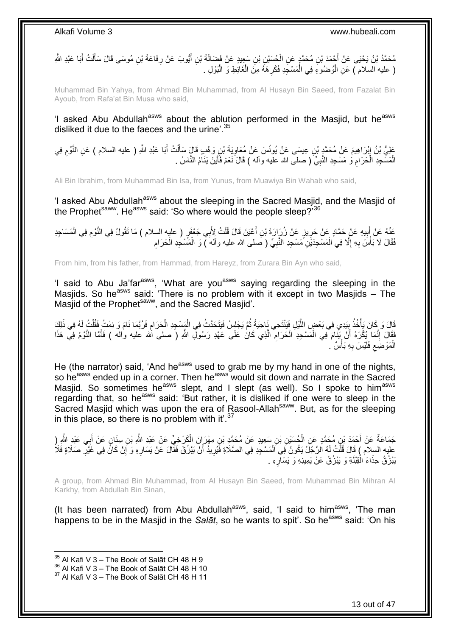مُحَمَّدُ بْنُ يَحْيَى عَنْ أَجْمَدَ بْنِ مُحَمَّدٍ عَنِ الْحُسَيْنِ بْنِ سَعِيدٍ عَنْ فَضَالَةَ بْنِ أَيُّوبَ عَنْ رِفَاعَةَ بْنِ مُوسَى قَالَ سَأَلْتُ أَبَا عَبْدِ الثَّهِ َ ْ َ **ٍ** َ ْ ( عليه السلام ) عَنِ الْمُوضُوعِ فِي الْمَسْجِدِ فَكَرِهَهُ مِنَ الْغَائِطِ وَ الْبَوْلِ . ْ ْ ِ ْ ْ

Muhammad Bin Yahya, from Ahmad Bin Muhammad, from Al Husayn Bin Saeed, from Fazalat Bin Ayoub, from Rafa'at Bin Musa who said,

'I asked Abu Abdullah<sup>asws</sup> about the ablution performed in the Masjid, but he<sup>asws</sup> disliked it due to the faeces and the urine<sup>'.35</sup>

عَلِيُّ بْنُ إِبْرَاهِيمَ عَنْ مُحَمَّدٍ بْنِ عِيسَى عَنْ يُونُسَ عَنْ مُعَاوِيَةَ بْنِ وَهْبِ قَالَ سَأَلْتُ أَبَا عَبْدِ اللَّهِ ( عليه السلام ) عَنِ النَّوْمِ فِي ِ َ ْ ĺ ِ  $\ddot{\phantom{a}}$ الْمَسْْجِدِ الْحَرَامِ وَ مَسْجِدِ النَّبِيِّ ( صلى الله عليه وأله ) قَالَ نَعَمْ فَأَيْنَ يَنَامُ النَّاسُ . َ ِ ِ ْ ْ

Ali Bin Ibrahim, from Muhammad Bin Isa, from Yunus, from Muawiya Bin Wahab who said,

'I asked Abu Abdullah<sup>asws</sup> about the sleeping in the Sacred Masjid, and the Masjid of the Prophet<sup>saww</sup>. He<sup>asws</sup> said: 'So where would the people sleep?'<sup>36</sup>

عَنْهُ عَنْ أَبِيهِ عَنْ حَمَّادٍ عَنْ حَرِيزٍ عَنْ زُرَارَةَ بْنِ أَعْيَنَ قَالَ قُلْتُ لِأَبِي جَعْفَرٍ ( عليه السلام ) مَا تَقُولُ فِي النَّوْمِ فِي الْمَسَاجِدِ **!** ْ َ ِ ْ ِ ْ فَقَالَ لَا بَأْسَ بِهِ إِلَّا فِي الْمَسْجِدَيْنِ مَسْجِدِ النَّبِيِّ ( صَلى الله عليه وأله ٓ) وَ الْمَسْجِدِ الْحَرَامِ ْ **∶** ْ ِ **∶ ٔ** ِ

From him, from his father, from Hammad, from Hareyz, from Zurara Bin Ayn who said,

'I said to Abu Ja'far<sup>asws</sup>, 'What are you<sup>asws</sup> saying regarding the sleeping in the Masjids. So he<sup>asws</sup> said: 'There is no problem with it except in two Masjids  $-$  The Masjid of the Prophet<sup>saww</sup>, and the Sacred Masjid'.

قَالَ وَ كَانَ يَأْخُذُ بِنَدِي فِي بَعْضٍ اللَّيْلِ فَيَنْتَحِي نَاحِيَةً ثُمَّ يَجْلِسُ فَيَتَحَدَّثُ فِي الْمَسْجِدِ الْحَرَامِ فَرُبَّمَا نَامَ وَ نِمْتُ فَقُلْتُ لَهُ فِي ذَلِكَ ْ ْ ُ َّ ِ ة<br>أ ْ ِ فَقَالَ إِنَّمَا يُكْرَهُ أَنْ بَنَبَامَ فِي الْمَسْجِدِ الْحَرَامِ الَّذِي كَانُ عَلَى عَهْدِ رَسُولِ اللَّهِ (َ صلى الله عليه واله ) فَأَمَّا النَّوْمُ فِي هَذَا ِ َ َّ ِ ْ ْ اً الْمَوْضِعِ فَلَيْسَ بِهِ بَأْسٌ ۚ ِ  $\zeta$ ْ

He (the narrator) said, 'And he<sup>asws</sup> used to grab me by my hand in one of the nights, so he<sup>asws</sup> ended up in a corner. Then he<sup>asws</sup> would sit down and narrate in the Sacred Masjid. So sometimes he<sup>asws</sup> slept, and I slept (as well). So I spoke to him<sup>asws</sup> regarding that, so he<sup>asws</sup> said: 'But rather, it is disliked if one were to sleep in the Sacred Masjid which was upon the era of Rasool-Allah<sup>saww</sup>. But, as for the sleeping in this place, so there is no problem with it'. $37$ 

جَمَاعَةٌ عَنْ أَحْمَدَ بْنِ مُحَمَّدٍ عَنِ الْحُسَيْنِ بْنِ سَعِيدٍ عَنْ مُحَمَّدِ بْنِ مِهْرَانَ الْكَرْخِيِّ عَنْ عَبْدِ اللَّهِ بْنِ سِنَانٍ عَنْ أَبِي عَبْدِ اللَّهِ ( ْ ْ َ َ عليه السلام ) قَالَ قُلْتُ لَهُ الرَّجُلُ يَكُونُ فِي الْمَسْجِدِ فِي الصَّلَاةِ فَيُرِيدُ أَنْ يَبْزُقَ فَقَالَ عَنْ يَسَارِهِ وَ إَنْ كَانً فِي غَيْرِ صَلَاةٍ فَلَا<br>وَأَسْرَعُ الْقَدَاءِ : وَفَقَالَ الرَّجُلُ يَكُونُ فِ ْ ْ ِ ِ َ ِ يَبْرُقُ حِذَاءَ الْقِبْلَةِ وَ يَبْرُقُ عَنْ يَمِينِهِ وَ يَسَارِهِ . ِ ْ

A group, from Ahmad Bin Muhammad, from Al Husayn Bin Saeed, from Muhammad Bin Mihran Al Karkhy, from Abdullah Bin Sinan,

(It has been narrated) from Abu Abdullah<sup>asws</sup>, said, 'I said to him<sup>asws</sup>, 'The man happens to be in the Masjid in the *Salāt*, so he wants to spit'. So he<sup>asws</sup> said: 'On his

 $35$  Al Kafi V 3 – The Book of Salāt CH 48 H 9

 $36$  Al Kafi V  $3 -$  The Book of Salāt CH 48 H 10

 $37$  Al Kafi V 3 – The Book of Salāt CH 48 H 11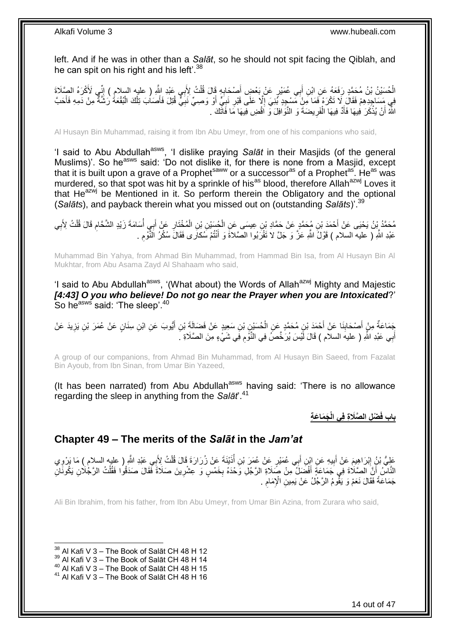left. And if he was in other than a *Salāt*, so he should not spit facing the Qiblah, and he can spit on his right and his left'.<sup>38</sup>

الْحُسَيْنُ بْنُ مُحَمَّدٍ رَفَعَهُ عَنِ ابْنِ أَبِي عُمَيْرٍ عَنْ بَعْضٍ أَصْحَابِهٍ قَالَ قُلْتُ لِأَبِي عَيْدِ اللَّهِ ( عليه السلام ) إِنِّي لَأَكْرَهُ الصَّلَاةَ ْ ِ َ َ ِ فِي مَسَاجِدِهِمْ فَقَالَ ِلَا تَكْرَهْ فَمَا مَنْ مَسْجِدٍ بُنِيَ إِلَّا عَلَى قَبْرِ نَبِيٍّ أَوْ وَصِيٍّ نَبِيٍّ قُتِلَ فَأَصَابَ تِلْكَ الْبُقْعَةُ رَشَّةٌ مِنْ دَمِهِ فَأَحَبَّ ْ ْ َ ِ َ ِ ِ  $\frac{1}{2}$ َ اللَّهُ أَنْ يُذْكَرَ فِيهَا فَأَدَّ فِيهَا الْفَرِيضَةَ وَ النَّوَافِلَ وَ اَقْضِ فِيهَا مَا فَاتَّكَ . ِ ْ َ **ٔ** 

Al Husayn Bin Muhammad, raising it from Ibn Abu Umeyr, from one of his companions who said,

'I said to Abu Abdullah<sup>asws</sup>, 'I dislike praying Salat in their Masjids (of the general Muslims)'. So he<sup>asws</sup> said: 'Do not dislike it, for there is none from a Masjid, except that it is built upon a grave of a Prophet<sup>saww</sup> or a successor<sup>as</sup> of a Prophet<sup>as</sup>. He<sup>as</sup> was murdered, so that spot was hit by a sprinkle of his<sup>as</sup> blood, therefore Allah<sup>azwj</sup> Loves it that He<sup>azwj</sup> be Mentioned in it. So perform therein the Obligatory and the optional (*Salāts*), and payback therein what you missed out on (outstanding *Salāts*)'.<sup>39</sup>

ا<br>أ مُحَمَّدُ بِّنُ يَحْيَى عَنْ أَحْمَدَ بْنِ مُحَمَّدٍ عَنْ جَمَّادِ بْنِ عِيسَى عَنِ الْجُسَيْنِ بْنِ الْمُخْتَارِ عَنْ أَبِي أُسَامَةَ زَيْدِ الشَّحَّامِ قَالَ قُلْتُ لِأَبِي َ **∶** ْ ْ ِ ْ ِ عَبْدِ اللَّهِ ( عليه السلام ) قَوْلُ اللَّهِ عَزَّ وَ جَلَّ لا تَقْرَبُوا الصَّلاةَ وَ أَنْتُمْ سُكارَى فَقَالَ سُكْرُ اَلْنَّوْمِ . ِ َ

Muhammad Bin Yahya, from Ahmad Bin Muhammad, from Hammad Bin Isa, from Al Husayn Bin Al Mukhtar, from Abu Asama Zayd Al Shahaam who said,

'I said to Abu Abdullah<sup>asws</sup>, '(What about) the Words of Allah<sup>azwj</sup> Mighty and Majestic *[4:43] O you who believe! Do not go near the Prayer when you are Intoxicated*?' So he<sup>asws</sup> said: 'The sleep'.<sup>40</sup>

ِجَمَاعَةٌ مِنْ أَصْحَابِنَا عَنْ أَحْمَدَ بْنِ مُحَمَّدٍ عَنِ الْحُسَيْنِ بْنِ سَعِيدٍ عَنْ فَضَالَةَ بْنِ أَيُّوبَ عَنِ ابْنِ سِنَانٍ عَنْ عُمَرَ بْنِ يَزِيدَ عَنْ َ **ِ** َ ِ َ ْ أَبِي عَبْدِ اللَّهِ ( عليهَ السلام ) قَالَ لَّيْسَ يُرَخَّصَ فِي النَّوَّمِ فَِي شَيْءٍ مِنَ الصَّلَاةِ ـَ ِ َ

A group of our companions, from Ahmad Bin Muhammad, from Al Husayn Bin Saeed, from Fazalat Bin Ayoub, from Ibn Sinan, from Umar Bin Yazeed,

(It has been narrated) from Abu Abdullah<sup>asws</sup> having said: 'There is no allowance regarding the sleep in anything from the *Salāt*'.<sup>41</sup>

**ْض ِل ال َّصَال باب ف َج َما َع ِة َ ِة فِي الْ**

## <span id="page-13-0"></span>**Chapter 49 – The merits of the** *Salāt* **in the** *Jam'at*

عَلِيُّ بْنُ إِبْرَاهِيمَ عَنْ أَبِيهِ عَنِ ابْنِ أَبِي عُمَيْرٍ عَنْ عُمَرَ بْنِ أُذَيْنَةَ عَنْ زُرَارَةَ قَالَ قُلْتُ لِأَبِي عَبْدِ اللَّهِ ( عليه السلام ) مَا بَرْوِي ْ ُ َ **!**  ِ ِ َ النَّاسُ ۚ أَنَّ الصَّلَاةَ فِي جَمَاعَةٍ أَفْضَلُ مِنْ صَلَاةِ الرَّجُلِ وَحْدَهُ بِخَمْسٍ وَ عِشْرِينَ صَلَاةً فَقَالَ صَدَقُوا فَقُلْتُ الرَّجُلَانِ يَكُونَانِ ْ **∶ ∶** َ جَمَاعَةً فَقَالَ نَعَمْ وَ يَقُومُ الرَّجُلُ عَنْ يَمِينِ الْإِمَامِ . ِ

Ali Bin Ibrahim, from his father, from Ibn Abu Umeyr, from Umar Bin Azina, from Zurara who said,

 $38$  Al Kafi V 3 – The Book of Salāt CH 48 H 12

 $39$  Al Kafi V 3 – The Book of Salāt CH 48 H 14

<sup>40</sup> Al Kafi V 3 – The Book of Salāt CH 48 H 15

<sup>41</sup> Al Kafi V 3 – The Book of Salāt CH 48 H 16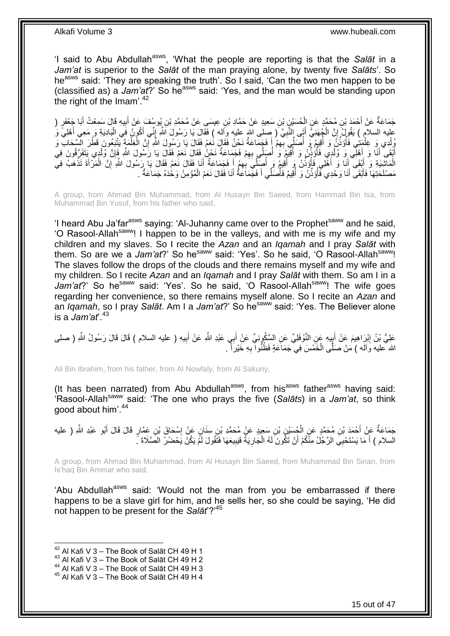'I said to Abu Abdullah<sup>asws</sup>, 'What the people are reporting is that the Salat in a *Jam'at* is superior to the *Salāt* of the man praying alone, by twenty five *Salāts*'. So he<sup>asws</sup> said: 'They are speaking the truth'. So I said, 'Can the two men happen to be (classified as) a *Jam'at*?' So he<sup>asws</sup> said: 'Yes, and the man would be standing upon the right of the Imam'. $42$ 

جَمَاعَةٌ عَنْ أَحْمَدَ بْنِ مُحَمَّدٍ عَنِ الْحُسَيْنِ بْنِ سَعِيدٍ عَنْ حَمَّادِ بْنِ عِيسَىِ عَنْ مُحَمَّدِ بْنِ يُوسُفَ عَنْ أَبِيهِ قَالَ سَمِعْتُ أَبَا جَعْفَرٍ ( ْ َ َ ِ َ عليه السلام ) يَقُولُ إِنَّ الْجُهَنِيَّ أَتَى النَّبِيَّ ( صلَّى اللهِ عليه واله ) فَقَالَ يَا رَسُولَ اللّهِ إِنِّي أَكُونُ فَي الْبَادِيَةِ وَ مَعِي أَهْلِيَّ وَ َ ।।<br>इ∝ **∶** ْ ِ َ ْ وُلْدِي وَ غِلْمَتِي فَأَوُذُنَّ وَ أُقِيمُ وَ أُصَلِّي بِهِمْ إَ فَجَمَاعَةٌ نَحْنُ فَقَالَ نُعَمْ فَقَالَ يَا رَسُولَ اللَّهِ إِنَّ الْغِلْمَةَ يَتْنِعُونَ قَطْرَ السَّحَابَ وَ ْ ْ ِ َ ِ ا<br>ا ا<br>ا ر<br>ا ْ أَبْقَى أَنَا وَ أَفِلِّي وَ وُلْدِيِّ فَأُوَٰذٍۢنُ وَ أُقِيَّمُ وَ أُصِلَّي بِهِمْ فَجَمَاعَةٌ نَحْنُ فَقَالَ نَعَمْ فَقَالَ يَا رَسُولَ اللَّهِ فَإِنَّ وَلَٰدِي بِنَقَرَ قُونَ فِي ِ ا<br>ا ا<br>ا ُ ْ ا<br>ا َ ْ ∣ļ الْمَاشِدَةِ وَ أَنْقِى ۖ أَنَا وَ أَهْلِي فَأُوَّذُنُ وَ أُقِيمٍ وَ أُصِلِّي بِهِمْ أَ فَجَمَاعَةٌ أَنَا فَقَالَ نَعَمْ فَقَالَ يَا رِسُولَ اللَّهِ ۚ إِنَّ الْمَرْأَةَ تَذْهَبُ فِي َ َ ِ ا<br>ا ا<br>ا ا<br>أ َ َ َ ْ **ٔ** َ ْ ِ مَصْلَحَتِهَا فَأَبْقَى أَنَا وَحْدِي فَأُؤَذِّنُ وَ أُقِيمُ فَأُصَلِّي أَ فَجَّمَاعَةٌ أَنَا فَقَالَ نَعَمْ الْمُؤْمِنُ وَحْدَهُ جَمَاعَةٌ . ْ َ َ ُ ا<br>ا ر<br>ا َ َ

A group, from Ahmad Bin Muhammad, from Al Husayn Bin Saeed, from Hammad Bin Isa, from Muhammad Bin Yusuf, from his father who said,

'I heard Abu Ja'far<sup>asws</sup> saying: 'Al-Juhanny came over to the Prophet<sup>saww</sup> and he said, 'O Rasool-Allah<sup>saww</sup>! I happen to be in the valleys, and with me is my wife and my children and my slaves. So I recite the *Azan* and an *Iqamah* and I pray *Salāt* with them. So are we a *Jam'at*?' So he<sup>saww</sup> said: 'Yes'. So he said, 'O Rasool-Allah<sup>saww</sup>! The slaves follow the drops of the clouds and there remains myself and my wife and my children. So I recite *Azan* and an *Iqamah* and I pray *Salāt* with them. So am I in a Jam'at?' So he<sup>saww</sup> said: 'Yes'. So he said, 'O Rasool-Allah<sup>saww</sup>! The wife goes regarding her convenience, so there remains myself alone. So I recite an *Azan* and an *Igamah*, so I pray *Salāt*. Am I a *Jam'at*?' So he<sup>saww</sup> said: 'Yes. The Believer alone is a *Jam'at*'.<sup>43</sup>

عَلِيُّ بْنُ إِبْرَاهِيمَ عَنْ أَبِيهِ عَنِ النَّوْفَلِيِّ عَنِ السَّكُوِنِيِّ عَنْ أَبِي عَبْدِ اللَّهِ عَنْ أَبِيهِ ( عليه السلام ) قَالَ قَالَ رَسُولُ اللَّهِ ( صلى ِ َ َ ِ َ ِ الله عليه وَأله ) مَنْ صَلَّى الْخَمْسَ فِي جَمَاعَةٍ فَظُنُّوا ۖ بِهِ خَيْرَأً ۖ . ِ ْ

Ali Bin Ibrahim, from his father, from Al Nowfaly, from Al Sakuny,

(It has been narrated) from Abu Abdullah<sup>asws</sup>, from his<sup>asws</sup> father<sup>asws</sup> having said: 'Rasool-Allahsaww said: 'The one who prays the five (*Salāts*) in a *Jam'at*, so think good about him'.<sup>44</sup>

جَمَاعَةٌ عَنْ أَحْمَدَ بْنِ مُحَمَّدٍ عَنِ الْجُسَيْنِ بْنِ سَعِيدٍ عَنْ مُحَمَّدِ بْنِ سِنَانٍ عَنْ إِسْحَاقَ بْنِ عَمَّارٍ قَالَ قَالَ أَبُو عَبْدِ اللَّهِ ( عليه<br>جَمَاعَةٌ عَنْ أَحْمَدَ بْنِ مُحَمَّدٍ عَنْ أَجْسَنَةٍ م ِ ْ َ َ السلام ) أَ مَا يَسْتَحْيِيَ الرَّجُلُ مِنْكُمْ أَنْ تَكُونَ لَهُ الْجَارِيَةُ فَيَبِيعَهَا فَتَقُولَ لَمَّ يَكُنْ يَحْضُرُ الصَّلَاةَ ۚ **!** ِ ْ َ َ

A group, from Ahmad Bin Muhammad, from Al Husayn Bin Saeed, from Muhammad Bin Sinan, from Is'haq Bin Ammar who said,

'Abu Abdullah<sup>asws</sup> said: 'Would not the man from you be embarrassed if there happens to be a slave girl for him, and he sells her, so she could be saying, 'He did not happen to be present for the *Salāt*'?'<sup>45</sup>

 $42$  Al Kafi V 3 – The Book of Salāt CH 49 H 1

 $43$  Al Kafi V 3 – The Book of Salat CH 49 H 2

<sup>44</sup> Al Kafi V 3 – The Book of Salāt CH 49 H 3

 $45$  Al Kafi V 3 – The Book of Salāt CH 49 H 4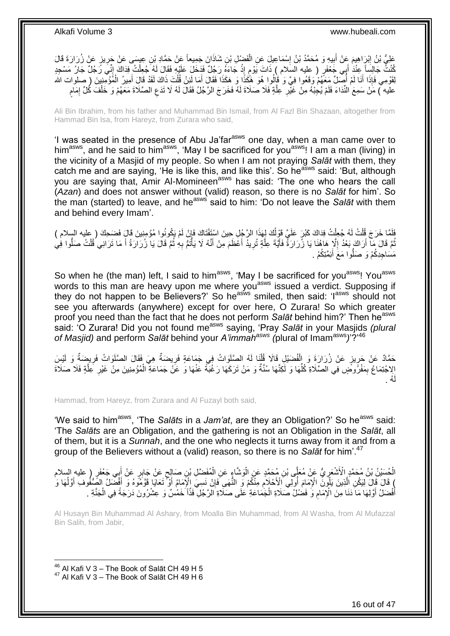عْلِيُّ بْنُ إِبْرَاهِيمَ عَنْ أَبِيهِ وَ مُحَمَّدُ بْنُ إِسْمَاعِيلِ عَنِ الْفَضْلِ بْنِ شَاذَانَ جَمِيعاً عَنْ حَمَّادِ بْنِ عِيسَى عَنْ حَرِيزٍ عَنْ زُرَارَةَ قَالَ<br>مُعْلَمَ الْمَسْرَ الْمَسْرَةِ مِن الْمَسْرِينِي وَ مُ ْ ∣l<br>∶ **!** ِ ِ كُنْتُ جَالِساً عِنْدَ أَبِي جَعْفَرٍ ( عليه السلام ) ذَاتَ يَوْمٍ إِذْ جَاءَهُ رَجُلٌ فَدَخَلَ عَلَيْهِ فَقَالَ لَهُ جُعِلْتُ فِدَاكَ إِنِّي رَجُلٌ جَارُ مَسْجِدٍ<br>تَدَيَّتُ جَالِساً عِنْدَ أَبِي جَعْفَرٍ ( عليه السلام ) ْ ْ ֖֖֢֚֚֚֚֚֚֚֚֚֚֚֚֚֚֩֘֝֘֝֘֝֓׆֧ َ ֺ֦֦֦֦֦֦֦֪֦֖֖֦֦֦֚֚֚֚֚֝֝֝֝֝֝֝֝֝֝ لِقَوْمِي فَإِذَا أَنَا لَمْ أَصَلِّ مَعَهُمْ وَقَعُوا فِيَّ وَ قَالُوا هُوَ هَكَذَا فَقَالَ أَهَا لَئِنْ قُلْتَ ذَاكَ لَقَدْ قَالَ أُمِيرُ الْمُؤْمِنِينَ ( صلوات الله ُ َ ْ َ ْ َ عليه ٓ) مَنْ سَمِعَ النِّدَاءَ فَلَمْ يُجِبْهُ مِنْ غَيْْرِ عِلَّةٍ فَلَا صَلَاةَ لَهُ فَخَرَجَ الرَّجُلُ فَقَالَ لَهُ لَا تَدَعِ الصَّلَاةَ مَعَهُمْ وَ خَلْفَ كُلِّ إِمَامٍ َّ ِ م ِ ْ

Ali Bin Ibrahim, from his father and Muhammad Bin Ismail, from Al Fazl Bin Shazaan, altogether from Hammad Bin Isa, from Hareyz, from Zurara who said,

'I was seated in the presence of Abu Ja'far<sup>asws</sup> one day, when a man came over to himasws, and he said to him<sup>asws</sup>, 'May I be sacrificed for you<sup>asws</sup>! I am a man (living) in the vicinity of a Masjid of my people. So when I am not praying *Salāt* with them, they catch me and are saying, 'He is like this, and like this'. So he<sup>asws</sup> said: 'But, although you are saying that, Amir Al-Momineen<sup>asws</sup> has said: 'The one who hears the call (*Azan*) and does not answer without (valid) reason, so there is no *Salāt* for him'. So the man (started) to leave, and heasws said to him: 'Do not leave the *Salāt* with them and behind every Imam'.

لَفَلَمَا خَرَجَ قُلْتُ لَهُ جُعِلْتُ فِدَاكَ كَبُرَ عَلَيَّ قَوْلُكَ لِهَذَا الرَّجُلِ حِينَ اسْتَفْتَاكَ فَإِنْ لَمْ يَكُونُوا مُؤْمِنِينَ قَالٍ فَضَحِكَ ( عليه السلام ) اِ ُ ْ ْ نُّمَّ قَالَ مِّآ أَرَاكَ بَعْدُ إِلَّا هَاهُنَا يَا زُرَارَةٌ فَأَيَّةَ عِلَّةٍ تُرِيدُ أَعْظَمَ مِنْ أَنَّهُ لَا يَأْتُمُّ بِهِ ثُمَّ قَالَ يَا زُرَارَةُ أَ مَا تَرَانِي ُقُلْتُ صَلُّوا فِي ِ َ ْ َ ا<br>المقام **∶** ֧֧֧֧֧֧֧֧֧֧֧֧֧֧֧֧֧֧֧֧֧֧֧֧֧֧֧֧֧֘֝֟֓֝֟֓֝֟֓֝֟֓֝֓֝֬֝֓֝֬֝֓֝֬֝֓֝֬֝֓֝֬֝֓֝֬֝֬֝֓֝֬֝֬֝֬֝֬֝֬֝֬֝֬֝֬֝֬֝֬֝֬֝֬ َ َ **ٍ** َّ َ مَسَاجِدِكُمْ وَ صَلُّوا مَعَ أَئِمَّتِكُمْ .

So when he (the man) left, I said to him<sup>asws</sup>, 'May I be sacrificed for you<sup>asws</sup>! You<sup>asws</sup> words to this man are heavy upon me where you<sup>asws</sup> issued a verdict. Supposing if they do not happen to be Believers?' So he<sup>asws</sup> smiled, then said: 'I<sup>asws</sup> should not see you afterwards (anywhere) except for over here, O Zurara! So which greater proof you need than the fact that he does not perform Salat behind him?' Then he<sup>asws</sup> said: 'O Zurara! Did you not found me<sup>asws</sup> saying, 'Pray Salat in your Masjids (plural *of Masjid)* and perform *Salāt* behind your *A'immahasws (*plural of Imamasws*)*'?'<sup>46</sup>

حَمَّادٌ عَنْ جَرِيزٍ عَنْ زُرَارَةَ وَ الْفُضَيْلِ قَالَا قُلْنَا لَهُ الصَّلَوَاتُ فِي جَمَاعَةٍ فَرِيضَةٌ هِيَ فَقَالَ الصَّلَوَاتُ فَرِيضَةٌ وَ لَيْسِ ْ ِ ِ ِ ْ الِاجْتِمَاعُ بِمَفْرُوضٍ فِي الصَّلَاةِ كُلِّهَا وَ لَكِنَّهَا سُنَّةٌ وَ مَنْ تَرَكَهَا رَغْبَةً عَنْهَا وَ عَنْ جَمَاعَةِ الْمُؤْمِنِينَ مِنْ غَيْرِ عِلَّةٍ فَلَا صَلَاةَ ِّ ِ َّ ِ ُه . لَ

Hammad, from Hareyz, from Zurara and Al Fuzayl both said,

'We said to him<sup>asws</sup>, 'The *Salāts* in a *Jam'at*, are they an Obligation?' So he<sup>asws</sup> said: 'The *Salāts* are an Obligation, and the gathering is not an Obligation in the *Salāt*, all of them, but it is a *Sunnah*, and the one who neglects it turns away from it and from a group of the Believers without a (valid) reason, so there is no *Salāt* for him'.<sup>47</sup>

الْحُسَيْنُ بْنُ مُحَمَّدٍ الْأَشْعَرِيُّ عَنْ مُعَلِّي بْنِ مُحَمَّدٍ عَنِ الْوَشَّاءٍ عَنِ الْمُفَضَّلِ بْنِ صَالِحٍ عَنْ جَابِرٍ عَنْ أَبِي جَعْفَرٍ ( عليه السلام<br>الْحُسَيْنُ بْنُ مُحَمَّدٍ الْأَشْعَرِيُّ عَنْ مُعَلِّي ْ ِ َ ٍ ْ } قَالَ فَال لَيَكُنِ الِّذِينَ يَلْهَنَّ الْإِمَامَ أُولِّي الْأُحْلَامِ مِنْكُمْ وَ النُّهَى فَإِنْ نَسِيَ الْإِمَامُ أَوْ تَعَايَا قَوَّمُوهُ وَ أَفْضَلُ الصِّئُوفِ أَوَّلُهَا وَ َ ِ ِ ُ َّ ا<br>ا َ َ أَفْضَلُ أَوَّلِهَا مَا دَنَا مِنَ الْإِمَامِ وَ فَضْلُ صَلَاةِ الْجَمَاعَةِ عَلَى صَلَاةِ الرَّجُلِّ فَذَّا خَمْسٌ وَ عِشْرُونَ دَرَجَةً فِي الْجَنَّةِ . ْ ِ َ َ ْ

Al Husayn Bin Muhammad Al Ashary, from Moalla Bin Muhammad, from Al Washa, from Al Mufazzal Bin Salih, from Jabir,

 $^{46}$  Al Kafi V 3 – The Book of Salāt CH 49 H 5  $47$  Al Kafi V 3 – The Book of Salāt CH 49 H 6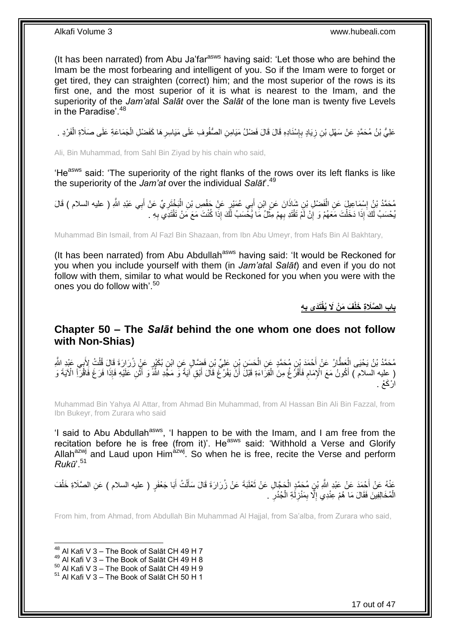(It has been narrated) from Abu Ja'far<sup>asws</sup> having said: 'Let those who are behind the Imam be the most forbearing and intelligent of you. So if the Imam were to forget or get tired, they can straighten (correct) him; and the most superior of the rows is its first one, and the most superior of it is what is nearest to the Imam, and the superiority of the *Jam'at*al *Salāt* over the *Salāt* of the lone man is twenty five Levels in the Paradise'.<sup>48</sup>

عَلِيُّ بْنُ مُحَمَّدٍ عَنْ سَهْلِ بْنِ زِيَادٍ بِإِسْنَادِهِ قَالَ قَالَ فَضْلُ مَيَامِنِ الصُّفُوفِ عَلَى مَيَاسِرِ هَا كَفَضْلِ الْجَمَاعَةِ عَلَى صَلَاةِ الْفَرْدِ . ِ ِ ِ **∶** ْ ْ

Ali, Bin Muhammad, from Sahl Bin Ziyad by his chain who said,

'He<sup>asws</sup> said: 'The superiority of the right flanks of the rows over its left flanks is like the superiority of the *Jam'at* over the individual *Salāt*'.<sup>49</sup>

مُحَمَّدُ بْنُ إِسْمَاعِيلَ عَنِ الْفَضْلِ بْنِ شَاذَانَ عَنِ ابْنِ أَبِي عُمَيْرٍ عَنْ حَفْصِ بْنِ الْبَخْتَرِيِّ عَنْ أَبِي عَبْدِ اللَّهِ ( عليه السلام ) قَالَ<br>منصوص الله عليه السلام ) قَالَ ْ َ ِ ْ َ ُحْسَبُ لَكَ إِذَا دَخَلْتَ مَعَهُمْ وَ إِنْ لَمْ تَقْتَدِ بِهِمْ مِثْلُ مَا يُخْسَبُ لَّكَ إِذَا كُنْتَ مَعَ مَنْ تَقْتَدِي بِهِ . **ٔ** ِ ِ ْ **∶** 

Muhammad Bin Ismail, from Al Fazl Bin Shazaan, from Ibn Abu Umeyr, from Hafs Bin Al Bakhtary,

(It has been narrated) from Abu Abdullah<sup>asws</sup> having said: 'It would be Reckoned for you when you include yourself with them (in *Jam'at*al *Salāt*) and even if you do not follow with them, similar to what would be Reckoned for you when you were with the ones you do follow with'.<sup>50</sup>

> **ِه َتَدى ب َف َم ْن ََل ُيقْ باب ال َّصَال ِة َخلْ ِ**

### <span id="page-16-0"></span>**Chapter 50 – The** *Salāt* **behind the one whom one does not follow with Non-Shias)**

مُحَمَّدُ بْنُ يَحْيَى الْعَطَّارُ عَنْ أَحْمَدَ بْنِ مُحَمَّدٍ عَنِ الْحَسَنِ بْنِ عَلِيِّ بْنِ فَضَّالٍ عَنِ ابْنِ بُكَيْرٍ عَنْ زُرَارَةَ قَالَ قُلْتُ لِأَبِي عَبْدِ اللَّهِ ْ َ ْ ا<br>پ ْ رِعِليه السلام ۖ) أَكُونُ مَعَ الْإِمَامِ فَأَفْرُغُ مِنَ الْقِرَاءَةِ قَبْلَ أَنْ يَفْرُغَ قَالَ أَبْقِ أَيَةً وَ مَجَّدِ اللَّهَ وَ أَثْنِ عَلَيْهِ فَإِذَا فَرَغَ فَاقْرَأِ الْآيَةَ وَ َ َ ْ َ ِ **ٔ** َ ارْكَعْ .

Muhammad Bin Yahya Al Attar, from Ahmad Bin Muhammad, from Al Hassan Bin Ali Bin Fazzal, from Ibn Bukeyr, from Zurara who said

'I said to Abu Abdullah<sup>asws</sup>, 'I happen to be with the Imam, and I am free from the recitation before he is free (from it)'. He<sup>asws</sup> said: 'Withhold a Verse and Glorify Allah $a^{2x}$  and Laud upon Him<sup>azwj</sup>. So when he is free, recite the Verse and perform *Rukū*'.<sup>51</sup>

عَذْهُ عَنْ أَحْمَدَ عَنْ عَبْدِ اللَّهِ بْنِ مُحَمَّدٍ الْجَجَّالِ عَنْ ثَعْلَبَةَ عَنْ زُرَارَةَ قَالَ سَأَلْتُ أَبَا جَعْفَرٍ ( عليه السلام ) عَنِ الصَّلَاةِ خَلْفَ<br>فَيَجَمَعُ مَنْ أَحْمَدَ عَنْ عَبْدِ اللَّهِ بْنِ مُح َ ْ اً<br>أ  $\ddot{\phantom{0}}$ ْ ْ الْمُخَالِفِينَ فَقَالَ مَا هُمْ عِنْدِي إِلَّا بِمَنْزِلَةِ الْجُدُرِ ۚ . ِ ْ لَ **∶** ِ ِ ْ

From him, from Ahmad, from Abdullah Bin Muhammad Al Hajjal, from Sa'alba, from Zurara who said,

 $^{48}$  Al Kafi V 3 – The Book of Salāt CH 49 H 7

 $49$  Al Kafi V 3 – The Book of Salāt CH 49 H 8

 $^{50}$  Al Kafi V 3 – The Book of Salāt CH 49 H 9

 $51$  Al Kafi V 3 – The Book of Salāt CH 50 H 1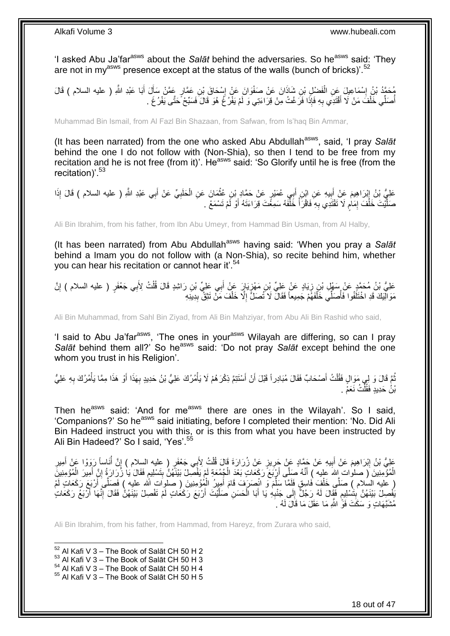'I asked Abu Ja'far<sup>asws</sup> about the Salat behind the adversaries. So he<sup>asws</sup> said: 'They are not in my<sup>asws</sup> presence except at the status of the walls (bunch of bricks)<sup>'.52</sup>

ْ مُحَمَّدُ بْنُ إِسْمَاعِيلَ عَنِ الْفَضْلِ بْنِ شَاذَانَ عَنْ صَفْوَانَ عَنْ إِسْحَاقَ بْنِ عَمَّارٍ عَمَّنْ سَأَلَ أَبَا عَبْدِ اللَّهِ ( عليه السلام ) قَالَ ِ َ Í ِ أُصَلِّي خَلْفَ مَنْ لَا أَقْتَدِي بِهِ فَإِذَا فَرَغْتُ مِنْ قِرَاءَتِي وَ لَمْ يَفْرُ عُ هُوَ قَالَ فَسَبِّحْ حَتَّى يَفْرُ عَ ـ ِ ْ ُ

Muhammad Bin Ismail, from Al Fazl Bin Shazaan, from Safwan, from Is'haq Bin Ammar,

(It has been narrated) from the one who asked Abu Abdullah<sup>asws</sup>, said, 'I pray Salat behind the one I do not follow with (Non-Shia), so then I tend to be free from my recitation and he is not free (from it)'. He<sup>asws</sup> said: 'So Glorify until he is free (from the recitation)<sup>'.53</sup>

عَلِيُّ بْنُ إِبْرَاهِيمَ عَنْ أَبِيهِ عَنِ ابْنِ أَبِي عُمَيْرٍ عَنْ حَمَّادٍ بْنِ عُثْمَانَ عَنِ الْحَلَبِيِّ عَنْ أَبِي عَبْدِ اللَّهِ ( عليه السلام ) قَالَ إِذَا َ ِ ْ **ٔ** َ **!** َ ِ صَلَّيْتَ خَلْفَ إِمَامٍ لَا تَقْتَدِي بِهِ فَاقْرَأْ خَلْفَهُ سَمِعَتَ قِرَاءَتَهُ أَوْ لَمْ تَسْمَعْ . َ ْ  $\frac{1}{2}$ **∶** ٍ ِ ْ َّ

Ali Bin Ibrahim, from his father, from Ibn Abu Umeyr, from Hammad Bin Usman, from Al Halby,

(It has been narrated) from Abu Abdullah<sup>asws</sup> having said: 'When you pray a Salat behind a Imam you do not follow with (a Non-Shia), so recite behind him, whether you can hear his recitation or cannot hear it'.<sup>54</sup>

عَلِيُّ بْنُ مُحَمَّدٍ عَنْ سَهْلٍ بْنِ زِيَادٍ عَنْ عَلِيٍّ بْنِ مَهْزِيَارَ عَنْ أَبِي عَلِيٍّ بْنِ رَاشِدٍ قَالَ قُلْتُ لِأَبِي جَعْفَرٍ ( عليه السلام ) إِنَّ َ ់<br>៖ ِ ِ ْ مَوَالْلِّيَكَ قَدِ اخْتَلَفُوا فَأُصَلِّي خَلَّفَهُمْ جَمِيعاً فَقَالَ لَا تُصَلِّ إِلَّا خَلْفَ مَنْ تَتِقُ بِدِينَهِ **!** ْ ِ ْ ُ

Ali Bin Muhammad, from Sahl Bin Ziyad, from Ali Bin Mahziyar, from Abu Ali Bin Rashid who said,

'I said to Abu Ja'far<sup>asws</sup>, 'The ones in your<sup>asws</sup> Wilayah are differing, so can I pray *Salāt* behind them all?' So he<sup>asws</sup> said: 'Do not pray *Salāt* except behind the one whom you trust in his Religion'.

نُّمَّ قَالَ وَ لِي مَوَالٍ فَقُلْتُ أَصْحَابٌ فَقَالَ مُبَادِراً قَبْلَ أَنْ أَسْتَتِمَّ ذِكْرَهُمْ لَا يَأْمُرُكَ عَلِيُّ بْنُ حَدِيدٍ بِهَذَا أَوْ هَذَا مِمَّا يَأْمُرُكَ بِهِ عَلِيُّ َ ِ ا<br>أ َ َ ْ ِ ْ بْنُ حَدِيدٍ فَقُلْتُ نَعَمْ . ْ

Then he<sup>asws</sup> said: 'And for me<sup>asws</sup> there are ones in the Wilayah'. So I said, 'Companions?' So he<sup>asws</sup> said initiating, before I completed their mention: 'No. Did Ali Bin Hadeed instruct you with this, or is this from what you have been instructed by Ali Bin Hadeed?' So I said, 'Yes'.<sup>55</sup>

عَلِيُّ بْنُ إِبْرَاهِيمَ عَنْ أَبِيهِ عَنْ جَمَّادٍ عَنْ جَرِيزٍ عَنْ زُرَارَةَ قَالَ قُلْتُ لِأَبِي جَعْفَرٍ ( عليه السلام ) إِنَّ أُنَاساً رَوَوْا عَنْ أَمِيرِ<br>وَيَجْمَعُونَ اللَّهُ الْعَلَيْقَ عَنْ جَمَّادٍ عَنْ جَرِي **ֽ**ו َ ُ ِ ْ ِ **!** ِ ֧֖֧֖֖֖֖֖֧֖֖֖֖֧֧֧֧֧֧֧֧֧֧֧֧֧֧֧֧֧֚֚֚֚֚֚֚֚֚֚֚֝֝֟֓֝֓֝֓֝֬֟֓֝֬֟֓֝֬֝֓֝֓֝֬֝֓֝֬֝֬֝֓֝֬֝֬֓֝֬֝֬֝֬ الْمُؤْمِنِينَ ( صلوات اِللهَ عليه ) أَنَّهُ صَلَّى أَرْبَعَ رَكَعَاتٍ بَعْدَ الْجُمُعَةِ لَمْ يَفْصِلْ بَيْنَهُنَّ بِتَسْلِيم فَقَالَ يَا زُرَارَةُ إِنَّ أَمِيرَ الْمُؤْمِنِينَ ِ ْ َ َ ْ َ ِ ( عليه السلام ) صَلَّي خَلْفَ فَاسِقٍ فَلَمَّا سَلَّمَ ۖ وَ انْصَرَفَ قَامَ أَمِيرُ الْمُؤْمِنِينَ ( صلوِات الله عليه ) فَصَلَّيَ أَرْبَعَ رَكَعَاتٍ لَمْ ْ َ َّ ْ َ  $\frac{1}{2}$ يَفْصِلْ بَيْنَهُنَّ بِتَشْلِيمٍ فَقَالَ لَهُ رَجُلٌّ إِلَى جَنْبِهِ يَا أَبَا الْحَسَنِ صَلَّيْتَ أَرْبَعَ رَكَعَاتٍ لَمْ تَفْصِلْ بَيْنَهُنَّ فَقَالَ إِنَّهَا أَرْبَعُ رَكَعَاتٍ ٍ ِ َ ِ َ َّ ْ َ ِ مُشَبَّهَاتٍ وَ سَكَتَ فَوٍّ اللَّهِ مَا عَقَلَ مَا قَالَ لَهُ .

Ali Bin Ibrahim, from his father, from Hammad, from Hareyz, from Zurara who said,

1  $52$  Al Kafi V 3 – The Book of Salāt CH 50 H 2

- $53$  Al Kafi V 3 The Book of Salāt CH 50 H 3
- $54$  Al Kafi V 3 The Book of Salāt CH 50 H 4

<sup>55</sup> Al Kafi V 3 – The Book of Salāt CH 50 H 5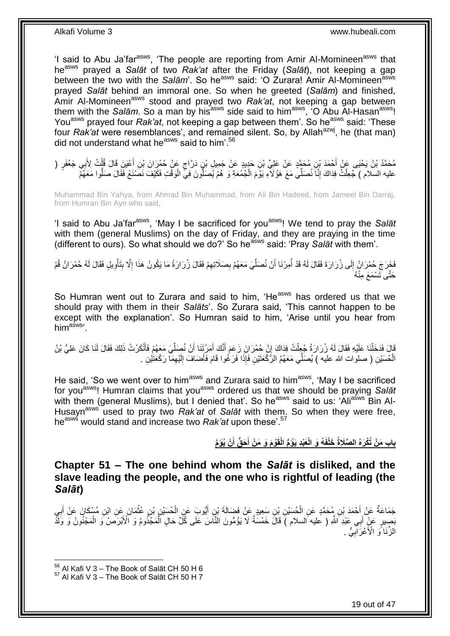'I said to Abu Ja'far<sup>asws</sup>, 'The people are reporting from Amir Al-Momineen<sup>asws</sup> that heasws prayed a *Salāt* of two *Rak'at* after the Friday (*Salāt*), not keeping a gap between the two with the *Salām*'. So he<sup>asws</sup> said: 'O Zurara! Amir Al-Momineen<sup>asws</sup> prayed *Salāt* behind an immoral one. So when he greeted (*Salām*) and finished, Amir Al-Momineen<sup>asws</sup> stood and prayed two *Rak'at*, not keeping a gap between them with the *Salām*. So a man by his<sup>asws</sup> side said to him<sup>asws</sup>, <sup>'</sup>O Abu Al-Hasan<sup>asws</sup>! You<sup>asws</sup> prayed four *Rak'at*, not keeping a gap between them'. So he<sup>asws</sup> said: 'These four *Rak'at* were resemblances', and remained silent. So, by Allah<sup>azwj</sup>, he (that man) did not understand what he<sup>asws</sup> said to him<sup>'.56</sup>

مُحَمَّدُ بْنُ يَحْيَى عَنْ أَحْمَدَ بْنِ مُحَمَّدٍ عَنْ عَلِيِّ بْنِ حَدِيدٍ عَنْ جَمِيلِ بْنٍ دَرَّاجٍ عَنْ حُمْرَانَ بْنِ أَعْيَنَ قَالَ قُلْتُ لِأَبِي جَعْفَرٍ ( ْ َ ٍ عليه السلام ) جُعِلْتُ فِدَاكَ إِنَّا نُصَلِّي مَعَ هَؤُلاَءِ يَوْمَ الْجُمُعَةِ وَ هُمْ يُصَلُّونَ فِيٍّ الْوَقْتِ فَكَيْفَ نَصَنْغُ فَقَالَ صَلُّوا مَعَهُمْ ْ ْ ِ

Muhammad Bin Yahya, from Ahmad Bin Muhammad, from Ali Bin Hadeed, from Jameel Bin Darraj, from Humran Bin Ayn who said,

'I said to Abu Ja'far<sup>asws</sup>, 'May I be sacrificed for you<sup>asws</sup>! We tend to pray the Salat with them (general Muslims) on the day of Friday, and they are praying in the time (different to ours). So what should we do?' So he<sup>asws</sup> said: 'Pray Salat with them'.

فَخِرَجَ حُمْرَانُ إِلَى زُرَارَةَ فَقَالَ لَهُ قَدْ أُمِرْنَا أَنْ نُصَلِّيَ مَعَهُمْ بِصَلَاتِهِمْ فَقَالَ زُرَارَةُ مَا يَكُونُ هَذَا إِلَّا بِتَأْوِيلٍ فَقَالَ لَهُ حُمْرَانُ قُمْ ِ ِ ِّ ،<br>ا ِ **∶ ٔ** ِ ِ حَتَّى تَسْمَعَ مِنْهُ

So Humran went out to Zurara and said to him, 'He<sup>asws</sup> has ordered us that we should pray with them in their *Salāts*'. So Zurara said, 'This cannot happen to be except with the explanation'. So Humran said to him, 'Arise until you hear from  $him<sup>asws</sup>$ 

قَالَ فَدَخَلْنَا عَلَيْهِ فَقَالَ لَهُ زُرَارَةُ جُعِلْتُ فِدَاكَ إِنَّ جُمْرَانَ زَعَمَ أَنَّكَ أَمَرْتَنَا أَنْ نُصِلِّيَ مَعَهُمْ فَأَنْكَرْتُ ذَلِكَ فَقَالَ لَنَا كَانَ عَلِيُّ بْنُ ِّ َ َ ِ ْ ْ َ الْحُسَيْنِ ( صلوات الله عليه ) يُصَلِّي مَعَهُمُ الزَّكْعَتَيْنِ فَإِذَا فَرَغُوا قَامَ فَأَضَافَ إِلَيْهِمَا رَكْعَتَيْنِ . ِ لَ ِ َ ْ

He said, 'So we went over to him<sup>asws</sup> and Zurara said to him<sup>asws</sup>, 'May I be sacrificed for you<sup>asws</sup>! Humran claims that you<sup>asws</sup> ordered us that we should be praying Salāt with them (general Muslims), but I denied that'. So he<sup>asws</sup> said to us: 'Ali<sup>asws</sup> Bin Al-Husayn<sup>asws</sup> used to pray two *Rak'at* of *Salāt* with them. So when they were free, he<sup>asws</sup> would stand and increase two *Rak'at* upon these'.<sup>57</sup>

> باب مَنْ تُكْرَهُ الصَّلَاةُ خَلْفَهُ وَ الْعَبْدِ يَوُمُّ الْقَوْمَ وَ مَنْ أَحَقُّ أَنْ يُوَمَّ **َ**

<span id="page-18-0"></span>**Chapter 51 – The one behind whom the** *Salāt* **is disliked, and the slave leading the people, and the one who is rightful of leading (the**  *Salāt***)**

جَمَاعَةٌ عَنْ أَحْمَدَ بْنِ مُحَمَّدٍ عَنِ الْحُسَيْنِ بْنِ سَعِيدٍ عَنْ فَضَالَةَ بْنِ أَيُّوبَ عَنِ الْحُسَيْنِ بْنِ عُثْمَانَ عَنِ ابْنِ مُسْكَانَ عَنْ أَبِي<br>حَمَاعَةٌ عَنْ أَحْمَدَ بْنِ مُحَمَّدٍ عَنِ الْحُسَيْنِ بْنِ **ٔ** ْ َ ْ ِ َ َبْصِيرٍ ۚ عَنْ ۖ أَبِي عَبْدِ اللَّهِ ( عَليه السلام ) قَالَ خَمْسَةٌ لَا يَؤُمُّونَ النَّاسَ عَلَى كُلِّ حَالٍ الْمَجْذُومُ وَ الْأَبْرَصَٰنُ وَ الْمَجْنُونُ وَ وَلَذٌ َ ْ ْ الزِّنَا َوَ الْأَعْرَابِيُّ . ِ

 $56$  Al Kafi V 3 – The Book of Salāt CH 50 H 6

 $57$  Al Kafi V 3 – The Book of Salāt CH 50 H 7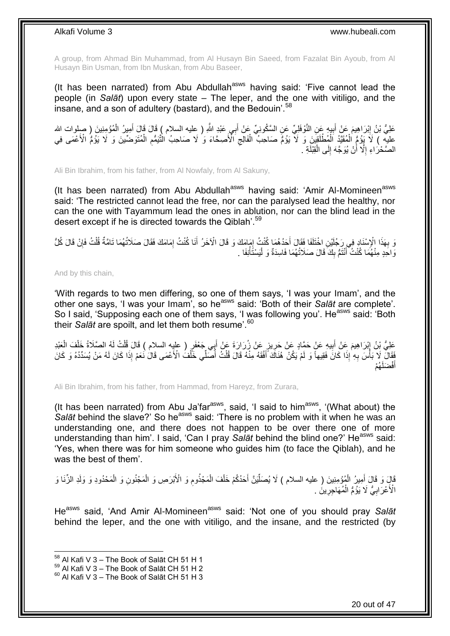A group, from Ahmad Bin Muhammad, from Al Husayn Bin Saeed, from Fazalat Bin Ayoub, from Al Husayn Bin Usman, from Ibn Muskan, from Abu Baseer,

(It has been narrated) from Abu Abdullah<sup>asws</sup> having said: 'Five cannot lead the people (in *Salāt*) upon every state – The leper, and the one with vitiligo, and the insane, and a son of adultery (bastard), and the Bedouin'.<sup>58</sup>

عَلِيُّ بْنُ إِبْرَاهِيمَ عَنْ أَبِيهٍ عَنِ النَّوْفَلِيِّ عَنِ السَّكُونِيِّ عَنْ أَبِي عَبْدِ اللَّهِ ( عليه السلام ) قَالَ قَالَ أَمِيرُ الْمُؤْمِنِينَ ( مبلوات الله ِ َ **ֽוּ** ْ َ َ ْ عليه ) لَا يَوُمُّ الْمُقَيَّدُ الْمُطْلَقِينَ وَ لاَّ يَوُمُّ صَاحِبُ الْفَالِجِ الْأَصَحَاءَ وَ لَا صَاحِبُ الْتَيَمُّم الْمُتَوَضِّينَ وَ لَا يَوُمُّ الْأَعْمَى فِي ِ ِ ْ ْ ْ الصَّحْرَاءِ إِلَّا أَنْ يُوَجَّهَ إِلَى الْقِبْلَةِ . ْ  $\frac{1}{2}$ ِ

Ali Bin Ibrahim, from his father, from Al Nowfaly, from Al Sakuny,

(It has been narrated) from Abu Abdullah<sup>asws</sup> having said: 'Amir Al-Momineen<sup>asws</sup> said: 'The restricted cannot lead the free, nor can the paralysed lead the healthy, nor can the one with Tayammum lead the ones in ablution, nor can the blind lead in the desert except if he is directed towards the Qiblah'.<sup>59</sup>

وَ بِهَذَا الْإِسْنَادِ فِي رَجُلَيْنِ اخْتَلَفَا فَقَالَ أَحَدُهُمَا كُنْتُ إِمَامَكَ وَ قَالَ الْآخَرُ أَنَا كُنْتُ إِمَامَكَ فَقَالَ صَلَاتُهُمَا تَامَّةٌ قُلْتُ فَإِنْ قَالَ كُلُّ ِ ْ ِ َ ِ َ ।।<br>़ نَاجَدٍ مِنْهُمَا كُنْتُ أَنْتَمُّ بِكَ َقَالَ صَلَاتُهُمَا فَاسِدَةٌ وَ لْيَسْتَأْنِفَا . ْ ا<br>ا ِ

And by this chain,

'With regards to two men differing, so one of them says, 'I was your Imam', and the other one says, 'I was your Imam', so heasws said: 'Both of their *Salāt* are complete'. So I said, 'Supposing each one of them says, 'I was following you'. He<sup>asws</sup> said: 'Both their *Salāt* are spoilt, and let them both resume'.<sup>60</sup>

عَلِيُّ بِنُ إِبْرَاهِيمَ عَنْ أَبِيهِ عَنْ حَمَّادٍ عَنْ حَرِيزٍ عَنْ زُرَارَةَ عَنْ أَبِي جَعْفَرٍ ( عليه السلام ) قَالَ قُلْتُ لَهُ الصَّلَاةُ خَلْفَ الْعَبْدِ ِ **!** َ ∣l<br>∶ ْ ْ ْ فَقَالَ لَا بَأْسَ بِهِ إِذَا كَانَ فَقِيهاً وَ لَمْ يَكُنْ هُنَاكَ أَفْقَهُ مِنْهُ قَالَ قُلْتُ أُصَلِّي خَلْفُ الْأَعْمَى قَالَ نُعَمْ إِذَا كَانَ لَهُ مَنْ يُسَدِّدُهُ وَ كَانَ **∶** ا<br>المستقبل<br>المستقبل ْ ُ ْ َ ُهْم َضلَ فْ َ أ

Ali Bin Ibrahim, from his father, from Hammad, from Hareyz, from Zurara,

(It has been narrated) from Abu Ja'far $a$ <sup>asws</sup>, said, 'I said to him $a$ <sup>asws</sup>, '(What about) the *Salāt* behind the slave?' So he<sup>asws</sup> said: 'There is no problem with it when he was an understanding one, and there does not happen to be over there one of more understanding than him'. I said, 'Can I pray Salat behind the blind one?' He<sup>asws</sup> said: 'Yes, when there was for him someone who guides him (to face the Qiblah), and he was the best of them'.

ِ ْ إِلَي وَ قَالَ أَمِيرُ الْمُؤْمِنِينَ ( عليه السلام ) لَا يُصَلِّيَنَّ أَحَدُكُمْ خَلْفَ الْمَجْنُومِ وَ الْأَبْرَصِ وَ الْمَجْنُونِ وَ الْمَحْدُودِ وَ وَلَدِ الزِّنَا وَ ْ ْ َ ِّ ْ َ ْ ْ الْأَعْرَابِيُّ لَا يَؤُمُّ الْمُهَاجِرِينُ ِ ْ **∶** 

He<sup>asws</sup> said. 'And Amir Al-Momineen<sup>asws</sup> said: 'Not one of you should pray Salat behind the leper, and the one with vitiligo, and the insane, and the restricted (by

 $58$  Al Kafi V 3 – The Book of Salāt CH 51 H 1

 $^{59}$  Al Kafi V 3 – The Book of Salāt CH 51 H 2

 $60$  Al Kafi V 3 – The Book of Salāt CH 51 H 3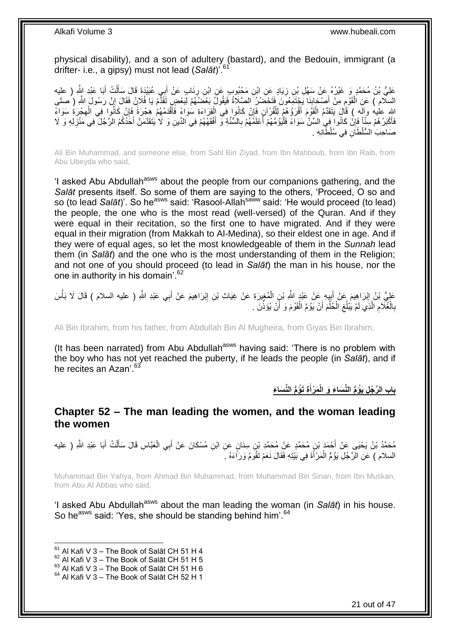physical disability), and a son of adultery (bastard), and the Bedouin, immigrant (a drifter- i.e., a gipsy) must not lead (*Salāt*)'.<sup>61</sup>

عَلِيُّ بْنُ مُحَمَّدٍ وَ غَيْرُهُ عَنْ سَهْلِ بْنِ زِيَادٍ عَنِ ابْنِ مَخْبُوبٍ عَنِ ابْنِ رِنَابٍ عَنْ أَبِيٍ عُبَيْدَةَ قَالَ سَأَلْتُ أَبَا عَبْدِ اللَّهِ ( عليه **∶** ِ َ ْ اً ا َ السلّام ) عَنِ الْقَوْمِ مِنْ أَصْحَابِنَا يَجْتَمَعُوَنَ فَتَحْضَنُرُ الصَّلَاةُ فَيَقُولُ بَعْضَنُهُمْ لِبَعْضٍ تَقَدِّمْ يَا فُلَانُ فَقَالَ إِنَّ رَسُولَ اللَّهِ ( صلى ِ ِ ْ ِ الله عليه وآلَه ) قَالَ يَتَقَدَّمُ الْقَوْمَ أَقْرَؤُهُمْ لِلْقُرْآنِ فَإِنْ كَانُوا فِي الْقِرَاةِ وَسَوَاءً<br>كَثَفَ بِهِ مَنْ أَلْبَ لَهُ أَيَّةً مَنْ الْقَوْمَ أَقْرَؤُهُمْ لِلْقُرْآنِ فَإِنْ كَانُوا فِي الْقِرَاءَةِ س ْ ∣ٍ إا ْ َ ْ ِ ْ ْ ْ فَأَكْبَرُ هُمْ سِنّاً فَإِنْ كَانُوا فِي السِّنِّ سَوَاءً فَلْيَوُمَّهُمْ أَعْلَمُهُمْ بِالسُّنَّةِ وَّ أَفْقَهُهُمْ فِي الدِّينِ وَ لَا يَتَقَدَّمَنَّ أَحَدُكُمُ الرَّجُلَّ فِي مَنْزِلِهِ وَ لَا َ **∶** َ ֖֦֪֪֦֧֦֪֪֦֧֦֡֝֟֟֟֟֟֟֟֟֟֟֟֟֟֟֟֟֟֟֟֟֟֟֟֟֟֟֟֟֟֓֞֟֟ ِ ِ َ صَاحِبَ السُّلْطَانِ فِي سُلْطِّانِهِ .

Ali Bin Muhammad, and someone else, from Sahl Bin Ziyad, from Ibn Mahboub, from Ibn Raib, from Abu Ubeyda who said,

'I asked Abu Abdullah<sup>asws</sup> about the people from our companions gathering, and the *Salāt* presents itself. So some of them are saying to the others, 'Proceed, O so and so (to lead *Salāt*)'. So he<sup>asws</sup> said: 'Rasool-Allah<sup>saww</sup> said: 'He would proceed (to lead) the people, the one who is the most read (well-versed) of the Quran. And if they were equal in their recitation, so the first one to have migrated. And if they were equal in their migration (from Makkah to Al-Medina), so their eldest one in age. And if they were of equal ages, so let the most knowledgeable of them in the *Sunnah* lead them (in *Salāt*) and the one who is the most understanding of them in the Religion; and not one of you should proceed (to lead in *Salāt*) the man in his house, nor the one in authority in his domain<sup>'.62</sup>

عَلِيُّ بْنُ إِبْرَاهِيمَ عَنْ أَبِيهِ عَنْ عَبْدِ اللَّهِ بْنِ الْمُغِيرَةِ عَنْ غِيَاثِ بْنِ إِبْرَاهِيمَ عَنْ أَبِي عَبْدِ اللَّهِ ( عليه السلام ) قَالَ لَا بَأْسَ ِ َ ِ ْ َ ِ ْ بِالْغُلَامِ الَّذِي لَمْ يَٰبْلُغِ الْحُلَّمَ أَنْ يَؤُمَّ الْقَوْمَ وَ أَنْ يُؤَذِّنَ . َ ْ اُ ا<br>ا ْ ِ َّ ِ ْ **∶** 

Ali Bin Ibrahim, from his father, from Abdullah Bin Al Mugheira, from Giyas Bin Ibrahim,

(It has been narrated) from Abu Abdullah<sup>asws</sup> having said: 'There is no problem with the boy who has not yet reached the puberty, if he leads the people (in *Salāt*), and if he recites an Azan<sup>'63</sup>

> **ِة َتُؤ ُّم باب ال َّر ُج ِل َيُؤ الِّن َسا َء ُّم الِّن َسا َء َو َم ْرأ الْ َ**

<span id="page-20-0"></span>**Chapter 52 – The man leading the women, and the woman leading the women**

مُحَمَّدُ بْنُ يَحْيَى عَنْ أَحْمَدَ بْنِ مُحَمَّدٍ عَنْ مُحَمَّدِ بْنِ سِنَانٍ عَنِ ابْنِ مُسْكَانَ عَنْ أَبِي الْعَبَّاسِ قَالَ سَأَلْتُ أَبَا عَبْدِ اللَّهِ ( عليه<br>. ْ َ َ ْ السلام ) عَنِ الرَّجُلِ يَؤُمُّ الْمَرْأَةَ فِي بَيْتِهِ فَقَالَ نَعَمْ نَقُومُ وَرَاءَهُ . َ ْ

Muhammad Bin Yahya, from Ahmad Bin Muhammad, from Muhammad Bin Sinan, from Ibn Muskan, from Abu Al Abbas who said,

'I asked Abu Abdullah<sup>asws</sup> about the man leading the woman (in *Salāt*) in his house. So he<sup>asws</sup> said: 'Yes, she should be standing behind him'.<sup>64</sup>

 $61$  Al Kafi V 3 – The Book of Salāt CH 51 H 4

 $62$  Al Kafi V 3 – The Book of Salāt CH 51 H 5

 $63$  Al Kafi V  $3 -$  The Book of Salāt CH 51 H 6

<sup>&</sup>lt;sup>64</sup> Al Kafi V 3 - The Book of Salāt CH 52 H 1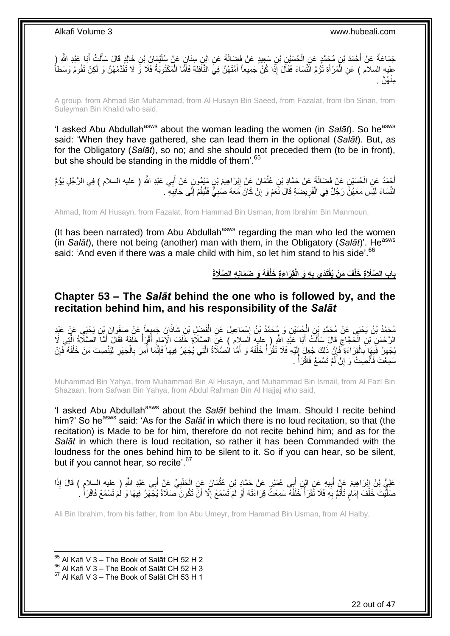جَمَاعَةٌ عَنْ أَحْمَدَ بْنِ مُحَمَّدٍ عَنِ الْحُسَيْنِ بْنِ سَعِيدٍ عَنْ فَضَالَةً عَنِ ابْنِ سِنَانٍ عَنْ سُلَيْمَانَ بْنِ خَالِرٍ قَالَ سَأَلْتُ أَبَا عَبْدِ اللَّهِ (ِ ْ َ ْ ĺ َ عليهِ السلام ) عَنِ الْمَرْأَةِ تَؤُمُّ الَّنِّسَاءَ فَقَالَ إِذَا كُنَّ جَمِيعاً أَمَّتْهُنَّ فِيَ النَّافِلَةِ فَأَمَّا الْمَكْتُوبَةُ فَلَا وَ لَا تَقَدَّمْهُنَّ وَ لَكِنْ تَقُومُ وَسَطأُ<br>\*\*\* ْ َ َ ْ ُ ُه َّن . ِمنْ

A group, from Ahmad Bin Muhammad, from Al Husayn Bin Saeed, from Fazalat, from Ibn Sinan, from Suleyman Bin Khalid who said,

'I asked Abu Abdullah<sup>asws</sup> about the woman leading the women (in *Salāt*). So he<sup>asws</sup> said: 'When they have gathered, she can lead them in the optional (*Salāt*). But, as for the Obligatory (*Salāt*), so no; and she should not preceded them (to be in front), but she should be standing in the middle of them'.<sup>65</sup>

ِ أَحْمَدُ عَنِ الْحُسَيْنِ عَنْ فَضَالَةً عَنْ حَمَّادِ بْنِ عُثْمَانَ عَنْ إِبْرَاهِيمَ بْنِ مَيْمُونٍ عَنْ أَبِي عَبْدِ اللَّهِ ( عليه السلام ) فِي الرَّجُلِ يَؤُمُّ َ ِ ْ ْ النِّسَاءَ لَيْسَ مَعَهُنَّ رَجُلٌ فِي الْفَرِيضَةِ قَالَ نَعَمْ وَ إِنْ كَانَ مَعَهُ صَبِيٌّ فَلْيَقُمْ إِلَى جَانِبِهِ ۖ . ِ ِ ْ ِ ِ **ٍ** ْ

Ahmad, from Al Husayn, from Fazalat, from Hammad Bin Usman, from Ibrahim Bin Manmoun,

(It has been narrated) from Abu Abdullah<sup>asws</sup> regarding the man who led the women (in *Salāt*), there not being (another) man with them, in the Obligatory (Salat)'. He<sup>asws</sup> said: 'And even if there was a male child with him, so let him stand to his side'.<sup>66</sup>

> باب الصَّلَاةِ خَلْفَ مَنْ يُقْتَدَى بِهِ وَ الْقِرَاءَةِ خَلْفَهُ وَ ضَمَانِهِ الصَّلَاةَ **ِ**

### <span id="page-21-0"></span>**Chapter 53 – The** *Salāt* **behind the one who is followed by, and the recitation behind him, and his responsibility of the** *Salāt*

مُحَمَّدُ بْنُ يَحْيَى عَنْ مُحَمَّدِ بْنِ الْجُسَيْنِ وَ مُحَمَّدُ بْنُ إِسْمَاعِيلَ عَنِ الْفَضْلِ بْنِ شَاذَانَ جَمِيعاً عَنْ صَفْوَانَ بْنِ يَحْيَى عَنْدِ<br>مَعَظَّدُ بْنُ يَحْيَى عَنْ مُحَمَّدِ بْنِ الْجُسَيْنِ وَ مُحَم ْ ِ ْ ُ الرَّحْمَنِ بْنِ الْحَجَّاجِ قَالَ سَأَلْتُ أَبَا عَنْدِ اللَّهِ ( عليه السلام ) عَنِ الصَّلَاَةِ خَلْفَ الْإِمَامِ أَقْرَأُ خَلْفَهُ فَقَالَ أَمَّا الصَّلَاةُ الَّتِي لَا<br>ادب المسلم َ ِ ْ َ ْ َ  $\zeta$ ْ َّ َ ْ يُجْهَرُ فِيهَا بِالْقِرَاءَةِ ۖ فَإِنَّ ذَلِكَ جُعِلَ إِلَيْهِ فَلَا تَقْرُأُ خَلْفَهُ وَ أَمَّا الْصَّلَاةُ الْتِي يُجْهَرُ فِيهَا فَإِنَّمَا أُمِرَ بِالْجَهْرِ لِيُنْصِتَ مَنْ خَلْفَهُ فَإِنْ َّ َ ْ ْ لَ ∣∣<br>≀ ِ ْ ِ ِ ْ ِ ْ ِ ا<br>ا ا∣<br>ِ∘ِ سَمِعْتَ فَأَنْصِنْ وَ إِنْ َلَمْ تَسْمَعْ فَاقْرَأَ . َ **ٔ** ِ

Muhammad Bin Yahya, from Muhammad Bin Al Husayn, and Muhammad Bin Ismail, from Al Fazl Bin Shazaan, from Safwan Bin Yahya, from Abdul Rahman Bin Al Hajjaj who said,

'I asked Abu Abdullah<sup>asws</sup> about the *Salāt* behind the Imam. Should I recite behind him?' So he<sup>asws</sup> said: 'As for the *Salāt* in which there is no loud recitation, so that (the recitation) is Made to be for him, therefore do not recite behind him; and as for the *Salāt* in which there is loud recitation, so rather it has been Commanded with the loudness for the ones behind him to be silent to it. So if you can hear, so be silent, but if you cannot hear, so recite<sup>'.67</sup>

عَلِيُّ بْنُ إِبْرَاهِيمَ عَنْ أَبِيهِ عَنِ ابْنِ أَبِي عُمَيْرٍ عَنْ حَمَّادٍ بْنِ عُثْمَانَ عَنِ الْحَلَبِيِّ عَنْ أَبِي عَبْدِ اللَّهِ ( عِليه السلام ) قَالَ إِذَا **ٔ** َ **!** َ ِ َ **∶** ْ صَلَّيْتَ خَلْفَ إِمَامٍ تَأْتَمُّ بِهِ فَلَا تَقْرَأْ خَلْفَهُ سَمِعْتَ قِرَاءَتَهُ أَوْ لَمْ تَسْمَعْ إِلَّا أَنْ تَكُونَ صَلَاةً يُجْهَرُ فِيهَا وَ لَمْ تَسْمَعْ فَاقْرَأْ ` َ ِ َ ْ ْ ِ ֧֧֧֧֧֧ׅ֧֦֧֦֧֦֧֧֧֧֧֧֧֧֧֧֝֟֘֝֟֓֝֟֓֝֟֓֝֟֓֝֟֓֝֬֝֓֟֓֟֓֟֓֟֓֟֓֟֓֟֓֟֓֟֓֟֓֟֓֟֓֝֬֜֓֝֬֝֬֓֝֬֝֬֝֬֝֬֝֬֝֬֝֬֝֬ ٍ ِ ْ ا<br>أ

Ali Bin Ibrahim, from his father, from Ibn Abu Umeyr, from Hammad Bin Usman, from Al Halby,

 $65$  Al Kafi V 3 – The Book of Salāt CH 52 H 2

<sup>66</sup> Al Kafi V 3 – The Book of Salāt CH 52 H 3

 $67$  Al Kafi V 3 – The Book of Salāt CH 53 H 1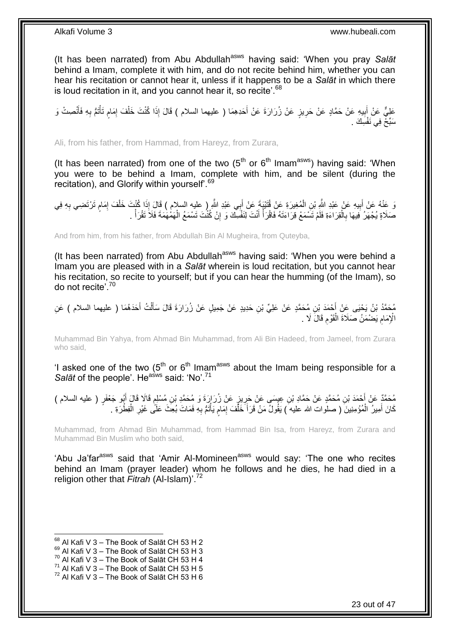(It has been narrated) from Abu Abdullah<sup>asws</sup> having said: 'When you pray Salat behind a Imam, complete it with him, and do not recite behind him, whether you can hear his recitation or cannot hear it, unless if it happens to be a *Salāt* in which there is loud recitation in it, and you cannot hear it, so recite'.<sup>68</sup>

عَلِيٌّ عَنْ أَبِيهِ عَنْ حَمَّادٍ عَنْ حَرِيزٍ عَنْ زُرَارَةَ عَنْ أَحَدِهِمَا ( عليهما السلام ) قَالَ إِذَا كُنْتَ خَلْفَ إِمَامٍ تَأْتُمُّ بِهِ فَأَنْصِتْ وَ َ ِ **!** َ ِ ْ م ِ ْ سَبِّحْ فِي نَفْسِكَ .

Ali, from his father, from Hammad, from Hareyz, from Zurara,

(It has been narrated) from one of the two  $(5<sup>th</sup>$  or  $6<sup>th</sup>$  Imam<sup>asws</sup>) having said: 'When you were to be behind a Imam, complete with him, and be silent (during the recitation), and Glorify within yourself<sup>'.69</sup>

وَ عَنْهُ عَنْ أَبِيهِ عَنْ عَبْدِ اللَّهِ بْنِ الْمُغِيرَةِ عَنْ قُتَيْبَةَ عَنْ أَبِي عَبْدِ اللَّهِ ( عليه السلام ) قَالَ إِذَا كُنْتَ خَلْفَ إِمَامٍ تَرْتَضِي بِهِ فِي َ ْ **!** َ ِ ٍ ِ ْ صَلَاةٍ يُجْهَرُ فِيهَا بِالْقِرَاءَةِ فَلَمْ تَسْمَعْ قِرَاءَتَهُ فَاقْرَأْ أَنْتَ لِنَفْسِكَ وَ إِنْ كُنْتَ تَسْمَعُ الْهَمْهَمَةَ فَلَا تَقْرَأْ . ْ ِ َ ة<br>أ ْ **∶** ْ

And from him, from his father, from Abdullah Bin Al Mugheira, from Quteyba,

(It has been narrated) from Abu Abdullah $a$ <sup>asws</sup> having said: 'When you were behind a Imam you are pleased with in a *Salāt* wherein is loud recitation, but you cannot hear his recitation, so recite to yourself; but if you can hear the humming (of the Imam), so do not recite'.<sup>70</sup>

مُحَمَّدُ بْنُ يَحْيَى عَنْ أَحْمَدَ بْنِ مُحَمَّدٍ عَنْ عَلِيٍّ بْنِ حَدِيدٍ عَنْ جَمِيلٍ عَنْ زُرَارَةَ قَالَ سَأَلْتُ أَحَدَهُمَا ( عليهما السلام ) عَنِ َ ْ اً ا الْإِمَامِ يَضْمَنُ صَلَاةَ الْقَوْمِ قَالَ لَا . ِ ْ ِ

Muhammad Bin Yahya, from Ahmad Bin Muhammad, from Ali Bin Hadeed, from Jameel, from Zurara who said,

'I asked one of the two ( $5<sup>th</sup>$  or  $6<sup>th</sup>$  Imam<sup>asws</sup> about the Imam being responsible for a Salāt of the people'. He<sup>asws</sup> said: 'No'.<sup>71</sup>

مُحَمَّدٌ عَنْ أَحْمَدَ بْنِ مُحَمَّدٍ عَنْ حَمَّادِ بْنِ عِيسَى عَنْ جَرِيزٍ عَنْ زُرَارَةَ وَ مُحَمَّدِ بْنِ مُسْلِمٍ قَالَا قَالَ أَبُو جَعْفَرٍ ( عليه السلام )<br>ـ ِ َ َ ٍ ِ كَانَ أَمِيرُ ۖ الْمُؤْمِنِينَ ۖ ( صلُوات الله عليه ۖ ) يَقُولُ مَنْ قَرَأَ خَلْفَ إِمَامٍ يَأْتُمُّ بِهِ فَمَاتَ بُعِثَ عَلَى غَيْرِ الْفِطْرَةِ ۚ . ِ ْ ٍ ِ ْ َ ْ َ ْ

Muhammad, from Ahmad Bin Muhammad, from Hammad Bin Isa, from Hareyz, from Zurara and Muhammad Bin Muslim who both said,

'Abu Ja'far<sup>asws</sup> said that 'Amir Al-Momineen<sup>asws</sup> would say: 'The one who recites behind an Imam (prayer leader) whom he follows and he dies, he had died in a religion other that *Fitrah* (Al-Islam)'.<sup>72</sup>

 $^{68}$  Al Kafi V 3 – The Book of Salāt CH 53 H 2

 $^{69}$  Al Kafi V 3 – The Book of Salāt CH 53 H 3

 $70$  Al Kafi V 3 – The Book of Salāt CH 53 H 4

 $^{71}_{-71}$  Al Kafi V 3 – The Book of Salāt CH 53 H 5

 $72$  Al Kafi V 3 – The Book of Salāt CH 53 H 6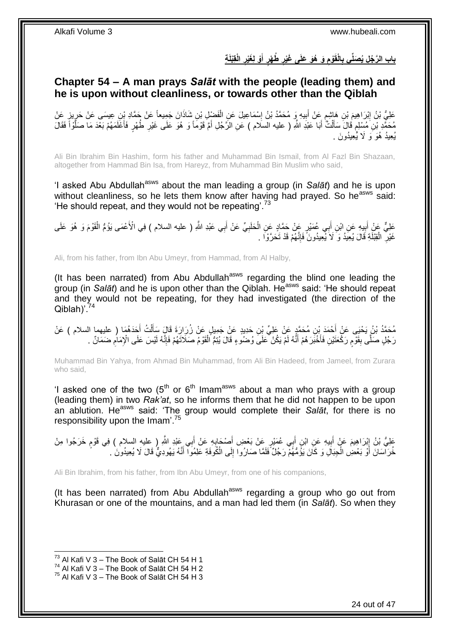باب الرَّجُلِ يُصَلِّى بِالْقَوْمِ وَ هُوَ عَلَى غَيْرِ طُهْرٍ أَوْ لِغَيْرِ الْقِبْلَةِ **ِ َ ٍ ِ ِ ِ**

## <span id="page-23-0"></span>**Chapter 54 – A man prays** *Salāt* **with the people (leading them) and he is upon without cleanliness, or towards other than the Qiblah**

عَلِّيُّ بْنُ إِبْرَاهِيمَ بْنِ هَاشِمٍ عَنْ أَبِيهِ وَ مُحَمَّدُ بْنُ إِسْمَاعِيلَ عَنِ الْفَضْلِ بْنِ شَاذَانَ جَمِيعاً عَنْ جَمَّادِ بْنِ عِيسَى عَنْ حَرِيزٍ عَنْ ِ ْ ِ **!** ٍ **∶** مُحَمَّدٍ بْنِ َمُسْلِمٍ قَالَ سَأَلْتٌ أَبَا عَبْدِ اللَّهِ ( عليه السلام ) عَنِ الرَّجُلِ أَمَّ قَوْماً وَ هُوَ عَلَى غَيْرِ طُهْرٍ فَأَغَلَمَهُمْ بَعْدَ مَا صَلَّوْاً فَقَالَ َ ْ َ ٍ َّ َ ُي ِعيُد ُهَو َو ََّل ُي ِعيُدو َن .

Ali Bin Ibrahim Bin Hashim, form his father and Muhammad Bin Ismail, from Al Fazl Bin Shazaan, altogether from Hammad Bin Isa, from Hareyz, from Muhammad Bin Muslim who said,

'I asked Abu Abdullah<sup>asws</sup> about the man leading a group (in *Salāt*) and he is upon without cleanliness, so he lets them know after having had prayed. So he<sup>asws</sup> said: 'He should repeat, and they would not be repeating'.<sup>73</sup>

عَلِيٌّ عَنْ أَبِيهِ عَنِ ابْنِ أَبِي عُمَيْرٍ عَنْ حَمَّادٍ عَنِ الْحَلَبِيِّ عَنْ أَبِي عَبْدِ اللَّهِ ( عليه السلام ) فِي الْأَعْمَى يَؤُمُّ الْقَوْمَ وَ هُوَ عَلَى<br>حَفَّ فَيْ أَبِيهِ عَنِ ابْنِ أَبِي عُمَيْرٍ عَنْ حَم ِ ْ َ ِ ْ غَيْرِ ۗ الْقِبْلَةِ قَالَ يُعِيدُ وَ لَا يُعِيدُونَ فَإِنَّهُمْ قَدْ تَحَرَّوْاً . ِ ْ **∶** 

Ali, from his father, from Ibn Abu Umeyr, from Hammad, from Al Halby,

(It has been narrated) from Abu Abdullah<sup>asws</sup> regarding the blind one leading the group (in *Salāt*) and he is upon other than the Qiblah. He<sup>asws</sup> said: 'He should repeat and they would not be repeating, for they had investigated (the direction of the Qiblah)'.<sup>74</sup>

مُحَمَّدُ بْنُ يَحْيَى عَنْ أَحْمَدَ بْنِ مُحَمَّدٍ عَنْ عَلِيٍّ بْنِ حَدِيدٍ عَنْ جَمِيلٍ عَنْ زُرَارَةَ قَالَ سَأَلْتُ أَحَدَهُمَا ( عليهما السلام ) عَنْ َ ْ َ رَجُلٍ صَلَّى بِقَوْمٍ رَكْعَتَيْنِ فَأَخْبَرَ هُمْ أَنَّهُ لَمْ يَكُنْ عَلَى وُضُوعٍ قَالَ يُتِمُّ الْقَوْمُ صَلَاتَهُمْ فَإِنَّهُ لَيْسَ عَلَى الْإِمَامِ ضَمَانٌ . َ َ ٍ **∣** ِ ׀ו<br>ְי ْ

Muhammad Bin Yahya, from Ahmad Bin Muhammad, from Ali Bin Hadeed, from Jameel, from Zurara who said,

'I asked one of the two  $(5<sup>th</sup>$  or  $6<sup>th</sup>$  Imam<sup>asws</sup> about a man who prays with a group (leading them) in two *Rak'at*, so he informs them that he did not happen to be upon an ablution. He<sup>asws</sup> said: 'The group would complete their Salat, for there is no responsibility upon the Imam'.<sup>75</sup>

عَلِيُّ بْنُ إِبْرَاهِيمَ عَنْ أَبِيهِ عَنِ ابْنِ أَبِي عُمَيْرِ عَنْ بَعْضِ أَصْحَابِهِ عَنْ أَبِي عَبْدِ اللَّهِ ( ِعليهِ السلام ) فِي قَوْمٍ خَرَجُوا مِنْ ׀<br>ׇ֧֧֧֦֦֘֝֘֝֝֝֝ ֧֧֖֚֚֓֝֝֓֝ َ **∶** َ َ  $\frac{1}{2}$ َ خُرَ اسَانَ أَوْ بَعْضِ الْجِبَالِ وَ كَانَ يَؤُمُّهُمْ رَجُلٌ فَلَمًا صَارُوا إِلَى الْكُوفَةِ عَلِمُوا أَنَّهُ يَهُودِيٌّ قَالَ لَا يُعِيدُونَ . َ  $\frac{1}{2}$ ْ َ

Ali Bin Ibrahim, from his father, from Ibn Abu Umeyr, from one of his companions,

(It has been narrated) from Abu Abdullah<sup>asws</sup> regarding a group who go out from Khurasan or one of the mountains, and a man had led them (in *Salāt*). So when they

 $^{73}$  Al Kafi V 3 – The Book of Salāt CH 54 H 1

 $^{74}$  Al Kafi V 3 – The Book of Salāt CH 54 H 2

 $75$  Al Kafi V 3 – The Book of Salāt CH 54 H 3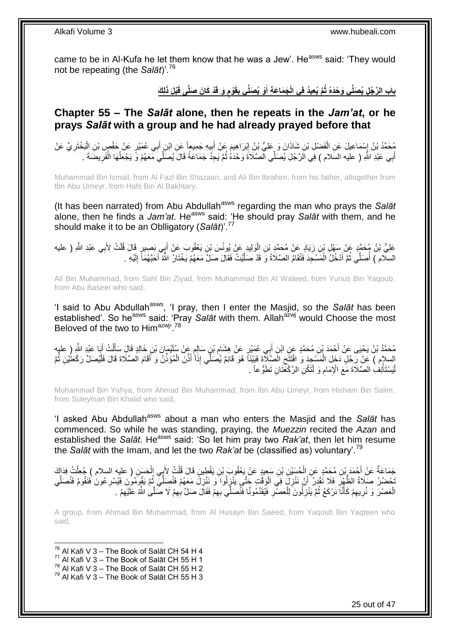came to be in Al-Kufa he let them know that he was a Jew'. He<sup>asws</sup> said: 'They would not be repeating (the *Salāt*)'.<sup>76</sup>

> باب الرَّجُلِ يُصَلِّى وَحْدَهُ ثُمَّ يُعِيدُ فِى الْجَمَاعَةِ أَوْ يُصَلِّى بِقَوْمٍ وَ قَدْ كَانَ صَلَّى قَبْلَ ذَلِكَ **ٍ َ**

### <span id="page-24-0"></span>**Chapter 55 – The** *Salāt* **alone, then he repeats in the** *Jam'at***, or he prays** *Salāt* **with a group and he had already prayed before that**

ُمْحَمَّدُ بْنُ إِسْمَاعِيلَ عَنِ الْفَضْلِ بْنِ شَاذَانَ وَ عَلِيُّ بْنُ إِبْرَاهِيمَ عَنْ أَبِيهِ جَمِيعاً عَنِ ابْنِ أَبِي عُمَيْرٍ عَنْ خَفْصٍ بْنِ الْبَخْتَرِيِّ عَنْ َ ¦; َ ِ ْ ِ ْ أَبِي عَبْدِ اللَّهِ ( عليه السلام ) فِي الَرَّجُلِ يُصَلِّي الْصَّلَاةَ وَحْدَهُ ثُمَّ يَجِدُ جَمَاعَةً قَالَ يُصَلِّيَ مَعَهُمْ وَّ يَجْعَلُهَا الْفَرِيضَةَ . ان<br>المقام َ ِ ْ ُ

Muhammad Bin Ismail, from Al Fazl Bin Shazaan, and Ali Bin Ibrahim, from his father, altogether from Ibn Abu Umeyr, from Hafs Bin Al Bakhtary,

(It has been narrated) from Abu Abdullah<sup>asws</sup> regarding the man who prays the Salat alone, then he finds a *Jam'at*. Heasws said: 'He should pray *Salāt* with them, and he should make it to be an Oblligatory (*Salāt*)'.<sup>77</sup>

عَلِيُّ بْنُ مُحَمَّدٍ عَنْ سَهْلِ بْنِ زِيَادٍ عَنْ مُحَمَّدِ بْنِ الْوَلِيدِ عَنْ يُونُسَ بْنِ يَعْقُوبَ عَنْ أَبِي بَصِيرٍ قَالَ قُلْتُ لِأَبِي عَبْدِ اللَّهِ ( عليه َ ْ **∶** ْ السلّام ) أُصَلِّي ثُمَّ أَدْخُلُ الْمَسْجِدَ فَتُقَامُ الصَّلَاةُ وَ قَدْ صَلَّيْتُ فَقَالَ صَلِّ مَعَهُمْ يَخْتَارُ اللَّهُ أَحَبَّهُمَاً إِلَيْهِ . ْ َ ُ ُ لَ ِ َ مَّةٍ<br>إ

Ali Bin Muhammad, from Sahl Bin Ziyad, from Muhammad Bin Al Waleed, from Yunus Bin Yaqoub, from Abu Baseer who said,

'I said to Abu Abdullah<sup>asws</sup>, 'I pray, then I enter the Masjid, so the Salat has been established'. So he<sup>asws</sup> said: 'Pray *Salāt* with them. Allah<sup>azwj</sup> would Choose the most Beloved of the two to Him<sup>azwj, 78</sup>

ِ مُحَمَّدُ بْنُ يَحْيَى عَنْ أَحْمَدَ بْنِ مُحَمَّدٍ عَنِ ابْنِ أَبِي عُمَيْرٍ عَنْ هِتْنَامِ بْنِ سَالِمٍ عَنْ سُلَيْمَانَ بْنِ خَالِدٍ قَالَ سَأَلْتُ أَبَا عَبْدِ اللَّهِ (ِ عليهِ<br>. َ َ ْ ĺ ٍ السلام ) عَنْ رِّجُلٍ دَخَلَ الْمَسْجِدَ وَ افْتَتَّحَ الْصَّلَاَةَ فَبَيْنَاً هُوَ قَائِمٌ يُصَلِّي إِذَاً أَذَّنَ الْمُؤَذِّنُ وَ أَقَامَ الصَّلَاةَ قَالَ فَلْيُصَلِّ رَكْعَتُيْنِ ثُم<br>السيام ) عَنْ رِّجُلٍ دَخَلَ الْمَس ْ َ ْ ْ ُ لَيَسْتَأْنِفْ المصَّلَاةَ مَعَ الْإِمَامِ وَ لْتَكُنِ الرَّكْخَتَانِ تَطَوُّعاً . ْ ِ **ٔ** ْ

Muhammad Bin Yahya, from Ahmad Bin Muhammad, from Ibn Abu Umeyr, from Hisham Bin Salim, from Suleyman Bin Khalid who said,

'I asked Abu Abdullah<sup>asws</sup> about a man who enters the Masjid and the Salat has commenced. So while he was standing, praying, the *Muezzin* recited the *Azan* and established the *Salāt*. He<sup>asws</sup> said: 'So let him pray two *Rak'at*, then let him resume the *Salāt* with the Imam, and let the two *Rak'at* be (classified as) voluntary'.<sup>79</sup>

جَمَاعَةٌ عَنْ أَحْمَدَ بْنِ مُحَمَّدٍ عَنِ الْحُسَيْنِ بْنِ سَعِيدٍ عَنْ يَعْقُوبَ بْنِ يَقْطِينٍ قَالَ قُلْتُ لِأَبِي الْحَسَنِ ( عليه السلام ) جُعِلْتُ فِدَاكَ<br>بِمَدَّدَتِ مَنْ أَحْمَدَ بْنِ مُحَمَّدٍ عَنِ الْحُسَيْنِ ب ْ ْ ْ ْ :<br>ا َبَّحْضُرُ صَلَاةُ الظَّهْرِ فَلَا نَّقْدِرُ ۗ أَنْ نَنْزِلَ فِيَ الْوَقْتِ جَتَّى يَنْزِلُوا َو نَنْزِلَّ مَعَهُمْ فَنُصَلِّيَّ ثُمَّ يَقُومُونَ فَيُسْرِعُونَ فَنَقُومُ فَنُصَلِّي ِ َ ِ ِّ ِ ُ ِّ ِ ِ الْعَصْرَ وَ نُرِيهِمْ كَأَنَّا نَرْكَعُ ثُمَّ يَنْزِلُونَ لِلْعَصّْرِ فَيُقَدِّمُونَّا فَنُصَلِّي بِهِمْ فَقَالَ صَلِّ بِهِمْ لَا صَلَّىٰ اللَّهُ عَلَيْهِمْ . ِ ِ **∶** ْ **∶** ٔ.<br>ـ َ ِ ِ ِ لَ

A group, from Ahmad Bin Muhammad, from Al Husayn Bin Saeed, from Yaqoub Bin Yaqteen who said,

1  $^{76}$  Al Kafi V 3 – The Book of Salāt CH 54 H 4

- $77$  Al Kafi V 3 The Book of Salāt CH 55 H 1
- $^{78}$  Al Kafi V 3 The Book of Salāt CH 55 H 2

 $^{79}$  Al Kafi V 3 – The Book of Salāt CH 55 H 3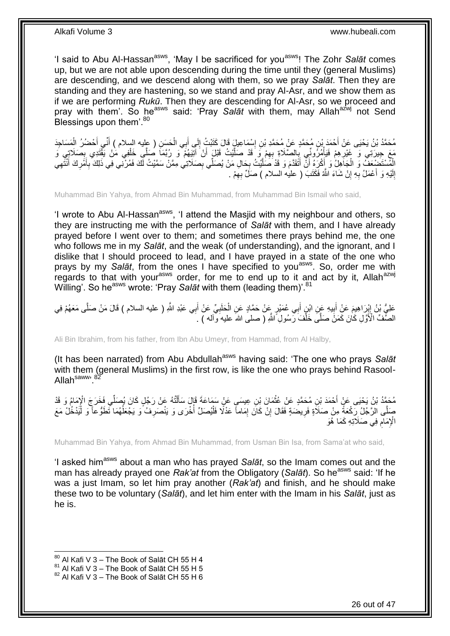'I said to Abu Al-Hassan<sup>asws</sup>, 'May I be sacrificed for you<sup>asws</sup>! The Zohr Salat comes up, but we are not able upon descending during the time until they (general Muslims) are descending, and we descend along with them, so we pray *Salāt*. Then they are standing and they are hastening, so we stand and pray Al-Asr, and we show them as if we are performing *Rukū*. Then they are descending for Al-Asr, so we proceed and pray with them'. So he<sup>asws</sup> said: 'Pray *Salāt* with them, may Allah<sup>azwj</sup> not Send Blessings upon them'.<sup>80</sup>

مُحَمَّدُ بْنُ يَحْيَى عَنْ أَحْمَدَ بْنِ مُحَمَّدٍ عَنْ مُحَمَّدِ بْنِ إِسْمَاعِيلٍ قَالَ كَتَبْتُ إِلَى أَبِي الْحَسِنِ ( عِليه السلام ) أَنِّي أَحْضُرُ الْمَسَاجِدَ ْ َ ِ ∣l<br>∶ َ ْ مَعَ جِبِرَتِي وَ غَيْرِهِمْ فَبَأْمُرُونِّي بِالصَّلَاةِ بِهِمْ وَ َقَدْ صَلَّيْتُ قَبْلَ أَنْ اَنِيَهُمْ وَ رُبَّمَا صَلَّي خَلْفِي مَٰنْ يَقْتَدِي بِصَلَاتٍي وَ َ َّ ِ ِ ْ ِ **∶** ْ الْمُسْتَضِعَفُّ وَ الْجَاهِلُ وَ أَكْرَهُ أَنَّ أَتَقَدَّمَ وَ قَدْ صَلَّيْتُ بِحَالِ مَنْ يُصَلِّي بِصَلَاتِي مِمَّنْ سَمَّيْتُ لَّكَ فَمُرْنِّنِي فِي ذَلِكَ بِأَمْرِكَ أَنْثَهِي ֧<u>֓</u> مُّ َ اً َ ْ ِ َ ِ َ ِ ِ إِلَيْهِ وَ أَعْمَلُ بِهِ إِنْ شَاءَ اللَّهُ فَكَتَبَ ( عليه السلام ) صَلَّ بِهِمْ . ِ יֲ<br>י **∶** َ لَ ِ

Muhammad Bin Yahya, from Ahmad Bin Muhammad, from Muhammad Bin Ismail who said,

'I wrote to Abu Al-Hassan<sup>asws</sup>, 'I attend the Masjid with my neighbour and others, so they are instructing me with the performance of *Salāt* with them, and I have already prayed before I went over to them; and sometimes there prays behind me, the one who follows me in my *Salāt*, and the weak (of understanding), and the ignorant, and I dislike that I should proceed to lead, and I have prayed in a state of the one who prays by my Salat, from the ones I have specified to you<sup>asws</sup>. So, order me with regards to that with your<sup>asws</sup> order, for me to end up to it and act by it, Allah<sup>azwj</sup> Willing'. So he<sup>asws</sup> wrote: 'Pray *Salāt* with them (leading them)'.<sup>81</sup>

عَلِيُّ بْنُ إِبْرَاهِيمَ عَنِْ أَبِيهِ عَنِ ابْنِ أَبِي عُمَيْرٍ عَنْ حَمَّادٍ عَنِ الْحَلَبِيِّ عَنْ أَبِي عَبْدِ اللَّهِ ( عليه السلام ) قَالَ مَنْ صَلَّى مَعَهُمْ فِي َ **∶** ْ َ  $\frac{1}{2}$ َّ الصَّفَّ الْأَوَّلِ كَانَ كَمَنَْ صَلَّى خَلْفَ َرَّسُولِ ۖ اللَّهِ ( صلى اللهَ عليه وَّاله ) ۚ . ْ

Ali Bin Ibrahim, from his father, from Ibn Abu Umeyr, from Hammad, from Al Halby,

(It has been narrated) from Abu Abdullah<sup>asws</sup> having said: 'The one who prays Salat with them (general Muslims) in the first row, is like the one who prays behind Rasool-Allah<sup>saww, 82</sup>

مُحَمَّدُ بْنُ يَحْيَى عَنْ أَحْمَدَ بْنِ مُحَمَّدٍ عَنْ عُثْمَانَ بْنِ عِيسَى عَنْ سَمَاعَةَ قَالَ سَأَلْتُهُ عَنْ رَجُلٍ كَانَ يُصَلِّي فَخَرَجَ الْإِمَامُ وَ قَدْ<br>وَيَسْتَمِينَ بِينَ مِنْ الْإِمَامُ وَاللّهِ عَنْ عُثْم ْ ْ َ صَلَّى الرَّجُلُ رَكْعَةً مِنْ صَلَاةٍ فَرِيضَةٍ فَقَالَ إِنْ كَانَ إِمَاماً عَدْلًا فَلْيُصَلِّ أُخْرَى وَ يَنْصَرِفُ وَ يَجْعَلُهُمَا تَطَوُّعاً وَ لْيَدْخُلْ مَعَ ِ ا<br>أ ْ ِ יֲ<br>י ِ ْ ُ الْإِمَامِ فِي صَلَاتِهِ كَمَا هُوَ ِ

Muhammad Bin Yahya, from Ahmad Bin Muhammad, from Usman Bin Isa, from Sama'at who said,

'I asked himasws about a man who has prayed *Salāt*, so the Imam comes out and the man has already prayed one *Rak'at* from the Obligatory (Salat). So he<sup>asws</sup> said: 'If he was a just Imam, so let him pray another (*Rak'at*) and finish, and he should make these two to be voluntary (*Salāt*), and let him enter with the Imam in his *Salāt*, just as he is.

 $80$  Al Kafi V 3 – The Book of Salāt CH 55 H 4

 $81$  Al Kafi V  $3 -$  The Book of Salāt CH 55 H 5

 $82$  Al Kafi V 3 – The Book of Salāt CH 55 H 6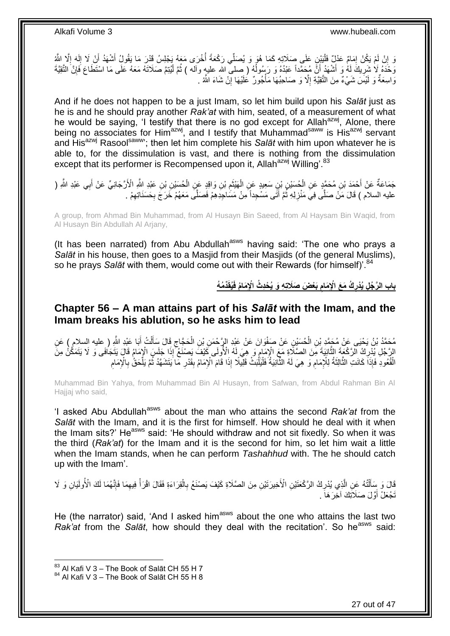وَ إِنْ لَمْ يَكُنْ إِمَامٌ عَذْلٌ فَلْيَبْنِ عَلَى صَلَاتِهِ كَمَا هُوَ وَ يُصَلِّي رَكْعَةً أُخْرَى مَعَهُ يَجْلِسُ قَدْرَ مَا يَقُولُ أَشْهَدُ أَنْ لَا إِلَمَ إِلَّا اللَّهُ :<br>إ ِ ِ ِ لَ ∣∣<br>ح َ َ ا<br>أ وَحْدَهُ لَا شَرِيكَ لَمُهُ وَ أَشْهَدُ أَنَّ مُحَمَّداً عَبْدُهُ وَ رَسُولُهُ ( صلى الله عليهٍ وأله ) نُمَّ لُنُنِمَّ صَلَاتَهُ مَعَهُ عَلَى مَا اسْتَطَاعَ فَإِنَّ التَّقِيَّةَ ْ ُ ُ َ َ ِ ∣ļ وَاسِعَةٌ وَ لَيْسَ شَيْءٌ مِنَ النَّقِيَّةِ إِلَّا وَ صَاحِبُهَا مَأْجُورٌ كَلَيْهَا إِنْ شَاءَ اللَّهُ . ِ ْ ِ

And if he does not happen to be a just Imam, so let him build upon his *Salāt* just as he is and he should pray another *Rak'at* with him, seated, of a measurement of what he would be saying, 'I testify that there is no god except for Allah<sup>azwj</sup>, Alone, there being no associates for Him<sup>azwj</sup>, and I testify that Muhammad<sup>saww</sup> is His<sup>azwj</sup> servant and His<sup>azwj</sup> Rasool<sup>saww</sup>; then let him complete his *Salāt* with him upon whatever he is able to, for the dissimulation is vast, and there is nothing from the dissimulation except that its performer is Recompensed upon it, Allah<sup>azwj</sup> Willing'.<sup>83</sup>

جَمَاعَةٌ عَنْ أَحْمَدَ بْنِ مُحَمَّدٍ عَنِ الْحُسَيْنِ بْنِ سَعِيدٍ عَنِ الْهَيْثَمِ بْنِ وَاقِدٍ عَنِ الْحُسَيْنِ بْنِ عَبْدِ اللَّهِ الْأَرَّجَانِيِّ عَنْ أَبِي عَبْدِ اللَّهِ ( ْ َ َ ْ ِ َ ْ عليه السلام ) قَالَ مَنْ صَلَّى فِيَ مَنْزِلِهِ ثُمَّ أَتَى مَسْجِداً مِنْ مَسَاجِدِهِمْ فَصَلَّى مَعَهُمْ خَرَجَ بِحَسَنَاتِهِمْ . ِ َ ُ ِ

A group, from Ahmad Bin Muhammad, from Al Husayn Bin Saeed, from Al Haysam Bin Waqid, from Al Husayn Bin Abdullah Al Arjany,

(It has been narrated) from Abu Abdullah $a<sup>asws</sup>$  having said: 'The one who prays a *Salāt* in his house, then goes to a Masjid from their Masjids (of the general Muslims), so he prays *Salāt* with them, would come out with their Rewards (for himself)<sup>'.84</sup>

> بابِ الرَّجُلِ يُدْرِكُ مَعَ الْإِمَامِ بَعْضَ صَلَاتِهِ وَ يُحْدِثُ الْإِمَامُ فَيُقَدِّمُهُ **ِ ِ**

### <span id="page-26-0"></span>**Chapter 56 – A man attains part of his** *Salāt* **with the Imam, and the Imam breaks his ablution, so he asks him to lead**

ُت ل َقا َل َسأ َح َّجاج ِن ال ِن ْب َوا َن َع ْن َعْبِد ال َّر ْح َم ِن َع ْن َصفْ ُح َسْي ِن ال َبا َعْبِد ََّّللاِ ) عليه السالم ( َع ِن ُم َح َّمُد ْب ُن َي ْحَيى َع ْن ُم َح َّمِد ْب أ ْ َ ِ ْ ْ َ الرَّجُلِ يُذِّرِكُ الرَّكْجَةَ الثَّانِيَةَ مِنَ الصَّلَّاةِ مَعَ الْإِمَامِ وَ هِيَ لَهُ الْأُولَى كَيْفَ يَصنُعُ إِذَا جَلَسَ الْإِمَامُ قَالَ يَتَحَلُّفَى مِنَّ مِنَّ ֧֧׆֧ َّ ِ الْقُعُودِ فَإِذَا كَانَتِ الثَّالِثَةُ لِلْإِمَامِ وَ هِيَ لَهُ الثَّانِيَةُ فَلْيَلْبَثْ قَلِيلًا إِذَا قَامَ الْإِمَامُ بِقَدْرِ مَّا يَتَشَهَّدُ ثُمَّ يَلْحَقُّ بِالْإِمَامِ ْ **ٔ** ِ َ َّ :<br>ا ِ **∶** ْ ال<br>ا ِ ِ :<br>ا

Muhammad Bin Yahya, from Muhammad Bin Al Husayn, from Safwan, from Abdul Rahman Bin Al Hajjaj who said,

'I asked Abu Abdullah<sup>asws</sup> about the man who attains the second *Rak'at* from the *Salāt* with the Imam, and it is the first for himself. How should he deal with it when the Imam sits?' He<sup>asws</sup> said: 'He should withdraw and not sit fixedly. So when it was the third (*Rak'at*) for the Imam and it is the second for him, so let him wait a little when the Imam stands, when he can perform *Tashahhud* with. The he should catch up with the Imam'.

.<br>قَالَ وَ سَأَلْتُهُ عَنِ الَّذِي يُدْرِكُ الرَّكْعَتَيْنِ الْأَخِيرَتَيْنِ مِنَ الصَّلَاةِ كَيْفَ يَصْنَعُ بِالْقِرَاءَةِ فَقَالَ اقْرَأْ فِيهِمَا فَإِنَّهُمَا لَكَ الْأُولَيَانِ وَ لَا ْ ِ **∶** َّ ْ َ ا∣<br>ِ∘ِ ِ ْ تَجْعَلْ أَوَّلَ صَلَاَتِكَ آخِرَ هَا . َ

He (the narrator) said, 'And I asked him<sup>asws</sup> about the one who attains the last two *Rak'at* from the *Salāt*, how should they deal with the recitation'. So he<sup>asws</sup> said:

 $83$  Al Kafi V 3 – The Book of Salāt CH 55 H 7

 $84$  Al Kafi V 3 – The Book of Salāt CH 55 H 8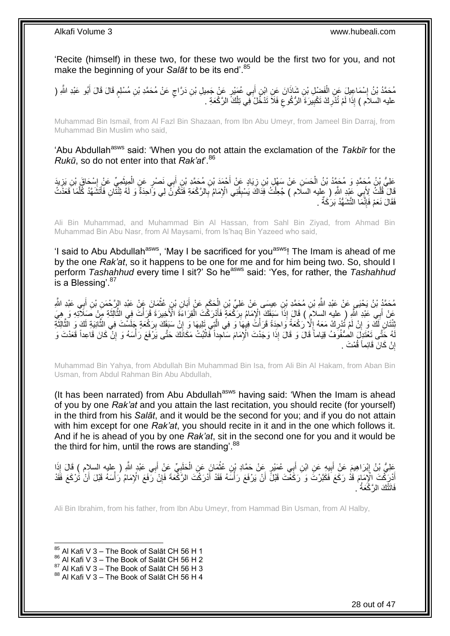'Recite (himself) in these two, for these two would be the first two for you, and not make the beginning of your *Salāt* to be its end'.<sup>85</sup>

مُحَمَّدُ بْنُ إِسْمَاعِيلَ عَنِ الْفَضْلِ بْنِ شَاذَانَ عَنِ ابْنِ أَبِي عُمَيْرٍ عَنْ جَمِيلِ بْنِ دَرَّاجٍ عَنْ مُحَمَّدِ بْنِ مُسْلِمٍ قَالَ قَالَ أَبُو عَبْدِ اللَّهِ ( ٍ ْ ِ َ م<br>م عليه السلاَم ) إِذَا لَمْ تُذْرِكْ تَكْبِيرَةَ الرُّكُوعِ فَلَا تَدْخُلُ فِي تِلْكَ الرَّكْعَةِ . ْ ِ ِ ِ

Muhammad Bin Ismail, from Al Fazl Bin Shazaan, from Ibn Abu Umeyr, from Jameel Bin Darraj, from Muhammad Bin Muslim who said,

'Abu Abdullah<sup>asws</sup> said: 'When you do not attain the exclamation of the Takbir for the *Rukū*, so do not enter into that *Rak'at*'.<sup>86</sup>

َعْلِيُّ بِنُ مُحَمَّدٍ وَ مُحَمَّدُ بْنُ الْحَسَنِ عَنْ سَهْلٍ بْنِ زِيَادٍ عَنْ أَحْمَدَ بْنِ مُحَمَّدٍ بْنِ أَبِي نَصْرٍ عَنِ الْمِبِثَمِيِّ عَنْ إِسْحَاقَ بْنِ يَزِيدَ<br>عَلَيُّ بْنُ مُحَمَّدٍ وَ مُحَمَّدُ بْنُ الْحَسَن َ **∶** ِ ِ َ ْ َ قَالَ ۖ قُلْتُ لِأَبِي عَبْدِ اللَّهِ ( عِليه السلَّام ) جُعِلْتُ فَدَاكَ يَسْبِقُنِي الْإِمَامُ بِالرَّكْعَةِ فَتَكُونَ لِي وَاحِدَةً وَ لَهُ تِثْنَّانِ فَأَتَشَهَّدُ كُلَّمَا ۖ قَعَذَتُ<br>ِنَ نَّ قَلْتُ لِأَبِي عَبْدِ الل **∶**  $\frac{1}{2}$ ْ ْ َّ َ فَقَالَ نَعَمْ فَإِنَّمَا النَّشَهُّدُ بَرَكَةٌ . ِ

Ali Bin Muhammad, and Muhammad Bin Al Hassan, from Sahl Bin Ziyad, from Ahmad Bin Muhammad Bin Abu Nasr, from Al Maysami, from Is'haq Bin Yazeed who said,

'I said to Abu Abdullah<sup>asws</sup>, 'May I be sacrificed for you<sup>asws</sup>! The Imam is ahead of me by the one *Rak'at*, so it happens to be one for me and for him being two. So, should I perform *Tashahhud* every time I sit?' So he<sup>asws</sup> said: 'Yes, for rather, the *Tashahhud* is a Blessing'.<sup>87</sup>

مُحَمَّدُ بْنُ يَحْيَي عَنْ عَلِدِ اللَّهِ بْنِ مُحَمَّدِ بْنِ عِيسَى عَنْ عَلِيِّ بْنِ الْحَكَمِ عَنْ أَبَانِ بْنِ عُثْمَانَ عَنْ عَبْدِ الرَّحْمَنِ بْنِ أَبِي عَبْدِ اللَّهِ ِ َ **ٔ** َ ِ ْ عَنْ أَبِي عَبْدِ اللَّهِ ( عليه السلامِ ) قَالَ إِذَا سَبَقَكَ الْإِمَامُ بِرَكْعَةٍ فَأَيْرَكْتَ الْقِرَاءَةَ الْأَخِيرَةَ قَرَأْتَ فِي الثَّالِثَةِ مَنْ صَلَاتَةِ وَ هِيَ ْ َ ِ َ َّ **ٔ** ُنْتَانِ لَكَ وَ إِنْ لَمْ تُدْرِكْ مَعَهُ إِلَّا رَكْعَةً وَاحِدَةً قَرَأْتَ فِيهَا وَ فِي الَّذِي تَلِيهَا وَ إِنْ سَنَقَكَ بِرَكْعَةٍ جَلَسْتَ فِي الثَّانِيَةِ لَكَ وَ الثَّالِثَةِ ِ َّ **ٔ** ِ ِ ِ َ َّ َّ ِ هُ خَتَّى تَعْتَدِلَ الصُّفُوفُ قِيَاماً قَالَ وَ قَالَ إِذَا وَجَدْتَ الْإِمَامَ سَاجِداً فَاتْبُتْ مَكَانَكَ حَتَّى يَرْفَعَ رَأْسَهُ وَ إِنْ كَانَ قَاعِداً قَعَدْتَ وَ لَ ِ ْ ْ إِنْ كَانَ قَائِماً قُمْتَ . ا

Muhammad Bin Yahya, from Abdullah Bin Muhammad Bin Isa, from Ali Bin Al Hakam, from Aban Bin Usman, from Abdul Rahman Bin Abu Abdullah,

(It has been narrated) from Abu Abdullah<sup>asws</sup> having said: 'When the Imam is ahead of you by one *Rak'at* and you attain the last recitation, you should recite (for yourself) in the third from his *Salāt*, and it would be the second for you; and if you do not attain with him except for one *Rak'at*, you should recite in it and in the one which follows it. And if he is ahead of you by one *Rak'at*, sit in the second one for you and it would be the third for him, until the rows are standing'.<sup>88</sup>

عَلِيُّ بْنُ إِبْرَاهِيمَ عَنْ أَبِيهِ عَنِ ابْنِ أَبِي عُمَيْرٍ عَنْ حَمَّادِ بْنِ عُثْمَانَ عَنِ الْخَلَبِيِّ عَنْ أَبِي عَبْدٍ اللَّهِ ( عِليه السلام ) قَالَ إِذَا َ **∶** ْ **ٔ** َ **!** َ ِ ْذَرَكْتَ الْإِمَامَ قَدْ رَكَعَ فَكَبَرْتَ وَ رَكَعْتَ قَبْلُ ۚ أَنْ يَرْفَعَ رَأْسَهُ فَقَدْ أَدْرَكْتَ الرَّكْعَةَ فَإِنْ رَفَعَ الْإِمَامُ رَأْسَهُ قَبْلَ أَنْ تُرْكَعَ فَقَدْ<br>يَرْمَد نَبَيْرَ الْإِمَامَ اللّهِ عَلَيْ َ **ٔ** ِ َ ؙ<br>֧֧֦֧֦֧֦֧֦֧֦֧֧֦֧֦֪֦֖֧֦֦֖֧֦֧֦֦֧֦֧֦֧֦֧֦֧֦֪֦֧֦֧֦֦֧֧֦֧֟֟֓֕֓֕֓֬֓֬֓֓֬֓֓֝֬֓֓֝֬֝֬֝֬֝֬֬֬֬֓ . فَاتَتْكَ الرَّكْعَةُ

Ali Bin Ibrahim, from his father, from Ibn Abu Umeyr, from Hammad Bin Usman, from Al Halby,

- 86 Al Kafi V 3 The Book of Salāt CH 56 H 2
- $87$  Al Kafi V 3 The Book of Salāt CH 56 H 3

 $85$  Al Kafi V 3 – The Book of Salāt CH 56 H 1

<sup>88</sup> Al Kafi V 3 – The Book of Salāt CH 56 H 4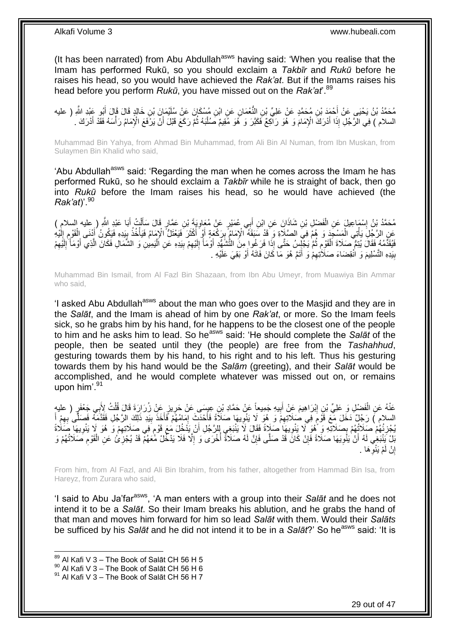(It has been narrated) from Abu Abdullah<sup>asws</sup> having said: 'When you realise that the Imam has performed Rukū, so you should exclaim a *Takbīr* and *Rukū* before he raises his head, so you would have achieved the *Rak'at*. But if the Imams raises his head before you perform *Rukū*, you have missed out on the *Rak'at*'.<sup>89</sup>

مُحَمَّدُ بْنُ يَحْيَي عَنْ أَحْمَدَ بْنِ مُحَمَّدٍ عَنْ عَلِيِّ بْنِ النُّعْمَانِ عَنِ ابْنِ مُسْكَانَ عَنْ سُلَيْمَانَ بْنِ خَالِدٍ قَالَ قَالَ أَبُو عَبْدِ اللَّهِ ( عليه<br>مُحَمَّدُ بْنُ يَحْيَي عَنْ أَحَمَّدَ بْنِ مُحَ َ َ السلام ) فِي الرَّجُلِ إِذَا أَدْرَكَ الْإِمَامَ وَ هُوَ رَاكِعٌ فَكَبَّرَ وَ هُوَ مُقِيمٌ صُلْبَهُ ثُمَّ رَكَعَ قَبْلَ أَنْ يَرْفَعَ الْإِمَامُ رَأْسَهُ فَقَدْ أَدْرَكَ . ْ َ ُ ْ َ

Muhammad Bin Yahya, from Ahmad Bin Muhammad, from Ali Bin Al Numan, from Ibn Muskan, from Sulaymen Bin Khalid who said,

'Abu Abdullah<sup>asws</sup> said: 'Regarding the man when he comes across the Imam he has performed Rukū, so he should exclaim a *Takbīr* while he is straight of back, then go into *Rukū* before the Imam raises his head, so he would have achieved (the *Rak'at*)'.<sup>90</sup>

ْ مُحَمَّدُ بِنُ إِسْمَاعِيلَ عَنِ الْفَضْلِ بْنِ شَاذَانَ عَنِ ابْنِ أَبِي عُمَيْرٍ عَنْ مُعَاوِيَةَ بْنِ عَمَّارٍ قَالَ سَأَأَيْتُ أَبَا عَبْدِ اللَّهِ ( عِليه السلام )<br>مُحَمَّدُ بِنُ إِسْمَاعِيلَ عَنِ الْفَضْلِ بْنِ شَاذَ ĺ ِ َ ْ יִין<br>∶ َ ِ عَنِ الرَّجُلِّ بِأَتِي الْمَسْجَدَ وَ هُمْ فِيَ الصَّلَاةِ وَ قَدْ سَبَقَهُ الْإِمَامُ بِرَكْعَةٍ أَوْ أَكْثَرَ فَيَعْتَلُّ الْإِمَامُ فَيَأْخُذُ بِيَدِهِ فَيَكُونُ أَذْنَى الْقَوْمِ إِلَّٰذِهِ<br>يَزْعَلْ مَرَجِّينَ فَي ال ْ ْ لَ  $\frac{1}{2}$ ِ ْ َ ِ ْ َ َ َ ِ فَيُقَذَّمُهُ فَقَالَ يُتِمُّ صَلَاةَ الْقَوْمِ ثُمَّ يَجْلِسُ حَتَّى إِذَا فَرَغُوا مِنَ التَّشَهُّدِ أَوْمَأَ إِلَيْهِمْ بِيَدِهِ عَنِ الْيَمِينِ وَ الشَّمَالِ فَكَانَ الَّذِي أَوْمَأَ إِلَيْهِمْ ِ لَ ِ **∫** اُ .<br>• • • • ِ ْ ْ ِ لَ ِ َ َ َّ بِيَدِهِ التَّسْلِيمَ وَ انْقِضَاءَ صَلَاَتِهِمْْ وَ أَتَمَّ هُوَ مَا كَانَ فَاتَهُ أَوْ بَقِيَ عَلَيْهِ . َ َ ِ **∣** 

Muhammad Bin Ismail, from Al Fazl Bin Shazaan, from Ibn Abu Umeyr, from Muawiya Bin Ammar who said,

'I asked Abu Abdullah<sup>asws</sup> about the man who goes over to the Masjid and they are in the *Salāt*, and the Imam is ahead of him by one *Rak'at*, or more. So the Imam feels sick, so he grabs him by his hand, for he happens to be the closest one of the people to him and he asks him to lead. So he<sup>asws</sup> said: 'He should complete the *Salat* of the people, then be seated until they (the people) are free from the *Tashahhud*, gesturing towards them by his hand, to his right and to his left. Thus his gesturing towards them by his hand would be the *Salām* (greeting), and their *Salāt* would be accomplished, and he would complete whatever was missed out on, or remains upon him'.<sup>91</sup>

عَنْهُ عَنِ الْفَضْلِ وَ عَلِيٍّ بْنِ إِبْرَاهِيمَ عَنْ أَبِيهِ جَمِيعاً عَنْ حَمَّادِ بْنِ عِيِسَى عَنْ حَرِيزٍ عَنْ زُرَارَةَ قَالَ قُلْتُ لِأَبِي جَعْفَرٍ ( عليهم عَليه **!** َ ِ ْ ْ **ٍ** السلام ) رَجُلٌ دَخَلَ مِّعَ قَوْمٍ فِي صُلَاتِهِمْ وَ هُوَ لَا يَنْوِيهَا صَلَاَةً فَأَخْذَتَ إِمَامُهُمْ فَأَخَذَ بِيَدِ ذَلِكَ الرَّجُلِ فَقَدَّمَهُ فَصَلَّى بِهِمْ أَ<br>ریمان الریس ِ َ ِ َ ِ ِ ٍ َ ِ يُجْزِئُهُمْ صَلَاتُهُمْ بِصَلَاتِهِ وَ ۗ هُوَ لَا يَنْوِيهَا صَلَاةً فَقَالَ لَا يَنْنَغِي لِلرَّجُلِ أَنْ يَذْخُلَ مَعَ قَوْمٍ فِي صَلَاتِهِمْ وَ هُوَ لَا يَنْوِيهَا صَلَاةً **↓ ∶** ِ ٍ َ **∶ ∶** َبْلْ يَنْنَغِي لَهُ أَنْ يَنُّوِيَهَا صَلَاةً فَإِنْ كَانَ قَدْ صَلَّى فَإِنَّ لَهُ صَلَاةً أُخْرَى وَ إِلَّا فَلَا يَدْخُلْ مُّعَهُمْ قَدْ يُجْزِئُ عَنِ الْقَوْمِ صَلَاتُهُمْ وَ ِ ا<br>ا ِ ِ ِ ِ ْ ِ إِنْ لَمْ يَنْوِّهَا . ِ اٍ

From him, from Al Fazl, and Ali Bin Ibrahim, from his father, altogether from Hammad Bin Isa, from Hareyz, from Zurara who said,

'I said to Abu Ja'farasws, 'A man enters with a group into their *Salāt* and he does not intend it to be a *Salāt*. So their Imam breaks his ablution, and he grabs the hand of that man and moves him forward for him so lead *Salāt* with them. Would their *Salāts* be sufficed by his *Salāt* and he did not intend it to be in a *Salāt*?' So he<sup>asws</sup> said: 'It is

 $89$  Al Kafi V 3 – The Book of Salāt CH 56 H 5

 $90$  Al Kafi V 3 – The Book of Salāt CH 56 H 6

 $91$  Al Kafi V 3 – The Book of Salāt CH 56 H 7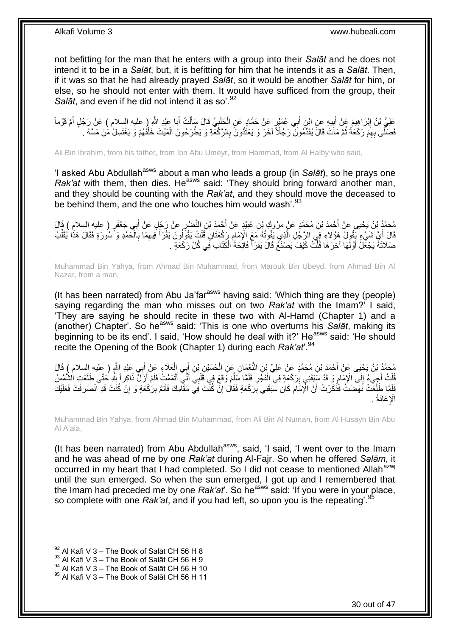not befitting for the man that he enters with a group into their *Salāt* and he does not intend it to be in a *Salāt*, but, it is befitting for him that he intends it as a *Salāt*. Then, if it was so that he had already prayed *Salāt*, so it would be another *Salāt* for him, or else, so he should not enter with them. It would have sufficed from the group, their *Salāt*, and even if he did not intend it as so<sup>'.92</sup>

عَلِيُّ بْنُ إِبْرَاهِيمَ عَنْ أَبِيهِ عَنِ ابْنِ أَبِي عُمَيْرٍ عَنْ حَمَّادٍ عَنِ الْحَلَيِيِّ قَالَ سَأَلْتُ أَبَا عَيْدِ اللَّهِ ( عليه السلام ) عَنْ رَجُلٍ أَمَّ قَوْماً َ **!** َ ِ َ َ ْ َ .<br>ة ْ فَصَلَّى بِهِمْ رَكْعَةً ثُمَّ مَاتَ قَالَ يُقَدِّمُونَ رَجُلًا ۖ آخَرَ وَ يَعْتُدُونَ بِالرَّكْعَةِ وَ يَطْرَحُونَ الْمَيِّتَ خَلْفُهُمْ وَ يَغْتَسِلُ مَنْ مَسَّهُ . ْ **∶** ُ ِ ْ

Ali Bin Ibrahim, from his father, from Ibn Abu Umeyr, from Hammad, from Al Halby who said,

'I asked Abu Abdullah<sup>asws</sup> about a man who leads a group (in *Salāt*), so he prays one *Rak'at* with them, then dies. He<sup>asws</sup> said: 'They should bring forward another man, and they should be counting with the *Rak'at*, and they should move the deceased to be behind them, and the one who touches him would wash'.<sup>93</sup>

ِن ُعَبْيٍد َع ِن ُم َح َّمٍد َع ْن َم ْرَو ِك ْب ْح َمَد ْب ٍر ُم َح َّمُد ْب ُن َي ْحَيى َع ْن <sup>أ</sup> ) عليه السالم ( َقا َل َ ِي َج ْعَف ب َع ْن َر ُج ٍل َع ْن أ ْضر ِن النَّ ْح َمَد ْب ْن أ َ **∶** َ قَالَ أَيَّ شَيْءٍ يَقُولُ هَؤُكْءٍ فِي الرَّجُلِ الَّذِي يَفُوتُهُ مَعَ الْإِمَامِ رَكْعَتَانِ قَلْتُ يَقُولُونَ يَقْرَأُ فَنِهِمَا بِاَلْحَمْدِ وَ ۗسُورَةٍ فَقَالَ هَذَا يُقَلِّبُ<br>يَرَبَّ مَنْ فَقَالَ هَذَا يُقَلِّبُ ْ ِ ِ ا<br>أ ْ ِ َّ ِّ صَلَاتَهُ يَجْعَلُ أَوَّلَهَا آخِرَ هَا قُلْتُ كَيْفَ يَصْنَغُ قَالَ يَقْرَأَ فَاتِحَةَ الْكِتَابِ فِي كُلِّ رَكْعَةٍ . ْ ُ ْ َ

Muhammad Bin Yahya, from Ahmad Bin Muhammad, from Marouk Bin Ubeyd, from Ahmad Bin Al Nazar, from a man,

(It has been narrated) from Abu Ja'far $a<sup>asws</sup>$  having said: 'Which thing are they (people) saying regarding the man who misses out on two *Rak'at* with the Imam?' I said, 'They are saying he should recite in these two with Al-Hamd (Chapter 1) and a (another) Chapter'. So heasws said: 'This is one who overturns his *Salāt*, making its beginning to be its end'. I said, 'How should he deal with it?' He<sup>asws</sup> said: 'He should recite the Opening of the Book (Chapter 1) during each *Rak'at*'.<sup>94</sup>

ِن ُم َح َّمٍد َع ْن ْح َمَد ْب ِي َعْبِد ََّّللا ُم َح َّمُد ْب ُن َي ْحَيى َع ْن <sup>أ</sup> ِ ) عليه السالم ( َقا َل َ ب َعَالِء َع ْن أ ِي ال ب ِن أ ِن ْب ُح َسْي ِن َع ِن ال ْعَما ِن النُّ َعلِ ِّي ْب َ ْ َ ْ ثُلُثُ أَجِيءُ إِلَى الْإِمَامِ وَ قَدْ سَنَقَنِي بِرَكْعِةٍ فِي الْفَجَْرِ فَلَمَّا سَلَّمَ وَقَعَ فِي قَلْبِيَ أَنَّي أَتْمَمْتُ فَلَمْ أَزَلْ ذَاكِراً شَّرِ حَتَّى طَلَعَتِ الشَّمْسُ<br>َئَفَيْتُ أَجِيءُ إِلَى الْإِمَامِ َ ْ اً َ َ ْ َّ **∶** ْ ِ ِ  $\frac{1}{2}$ فَلَمَّا طَلََعَتْ نَهَضْتُ فَذَكَرْتُ أَنَّ الْإِمَامَ كَانَ سَبَقَنِي بِرَكْعَةٍ فَقَالَ إِنَّ كُنْتَ فِي مَقَامِكَ فَأَتِمَّ بِرَكْعَةٍ وَ إِنْ كُنْتَ قَدِ انْصَرَفْتَ فَعَلَيْكَ َ ِ ِ ِ ِ الْإِعَادَةُ .

Muhammad Bin Yahya, from Ahmad Bin Muhammad, from Ali Bin Al Numan, from Al Husayn Bin Abu Al A'ala,

(It has been narrated) from Abu Abdullah $^{asws}$ , said, 'I said, 'I went over to the Imam and he was ahead of me by one *Rak'at* during Al-Fajr. So when he offered *Salām*, it occurred in my heart that I had completed. So I did not cease to mentioned Allah<sup>azwj</sup> until the sun emerged. So when the sun emerged, I got up and I remembered that the Imam had preceded me by one Rak'at'. So he<sup>asws</sup> said: 'If you were in your place, so complete with one *Rak'at*, and if you had left, so upon you is the repeating'.<sup>9</sup>

 $92$  Al Kafi V 3 – The Book of Salāt CH 56 H 8

 $93$  Al Kafi V 3 – The Book of Salāt CH 56 H 9

 $^{94}$  Al Kafi V 3 – The Book of Salāt CH 56 H 10

<sup>95</sup> Al Kafi V 3 - The Book of Salāt CH 56 H 11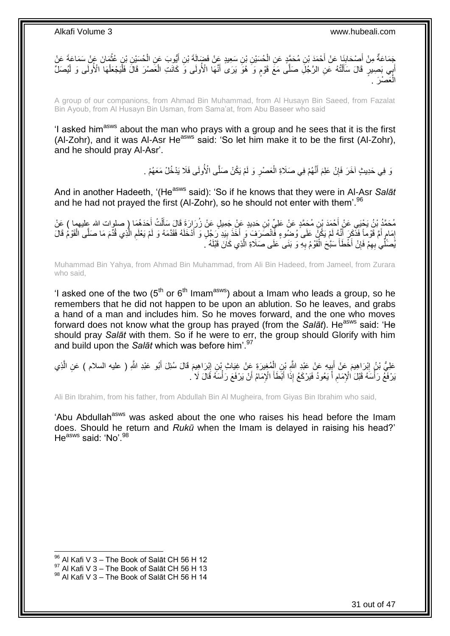ِجَمَاعَةٌ مِنْ أَصِنْحَابِنَا عَنْ أَحْمَدَ بْنِ مُحَمَّدٍ عَنِ الْحُسَيْنِ بْنِ سَعِيدٍ عَنْ فَضَالَةَ بْنِ أَيُّوِبَ عَنِ الْحُسَيْنِ بْنِ عُثْمَانَ عَنْ سَمَاعَةَ عَنْ ْ َ ْ َ ِ َ **ٔ** أَبِي بَصِيرٍ ۚ قَالَ سَأَلْتُهُ عَنِ الرَّجُٰلِّ صَلَّى مَعَ قَوْمٍ وَ ۖ هُوَ يَرَى ۖ أَنَّهَا الْأُولَى وَرَ ْ ْ ْ َ ٍ ْ ْ الْعَصْرَ . **ٔ** 

A group of our companions, from Ahmad Bin Muhammad, from Al Husayn Bin Saeed, from Fazalat Bin Ayoub, from Al Husayn Bin Usman, from Sama'at, from Abu Baseer who said

'I asked him<sup>asws</sup> about the man who prays with a group and he sees that it is the first (Al-Zohr), and it was Al-Asr He<sup>asws</sup> said: 'So let him make it to be the first (Al-Zohr), and he should pray Al-Asr'.

> وَ فِي حَدِيثٍ آخَرَ فَإِنْ عَلِمَ أَنَّهُمْ فِي صَلَاةِ الْعَصْرِ وَ لَمْ يَكُنْ صَلَّى الْأُولَى فَلَا يَدْخُلْ مَعَهُمْ . ِ ْ َ ِ

And in another Hadeeth, '(He<sup>asws</sup> said): 'So if he knows that they were in Al-Asr Salat and he had not prayed the first (Al-Zohr), so he should not enter with them'.<sup>96</sup>

مُحَمَّدُ بْنُ يَحْيَىِ عَنْ أَحْمَدَ بْنِ مُحَمَّدٍ عَنْ عَلِيٍّ بْنِ حَدِيدٍ عَنْ جَمِيلٍ عَنْ زُرَارَةَ قَالَ سَأَلْتُ أَحَدَهُمَا ( صلوات الله عليهما ) عَنْ َ ْ َ إِمَامٍ أَمَّ قَوْماً فَذَكَرَ ۖ أَنَّهُ لَمْ يَكُنَّ عَلَى وُضُوءٍ فَانْصَرَفَ وَ أَخَذَ بِيَدِ رَجُلٍ وَ أَدْخَلَهُ فَقَدَّمَهُ وَ لَمْ يَعْلَمِ الَّذِي قُدِّمَ مَا صَلَّى الْقَوْمُ قَالَ َ َ ֧֧֧֧֧֧֧֧֧֧֧֧֧֧֧֧֧֧֧֧֧֧֧֧֧֧֚֚֚֝֝֝֝֝֝֝֝֓֝֓֝֬֝֓֝֬֝֓֝֬֝֬֝֬֝֓֝֬֜֓֓֝֬֝֬֝֬ ِ َّ ِ َ ِ َ ْ يَٰصَلِّي ٰبِهِمْ فَإِنْ أَخْطَأَ سَبَّحَ الْقَوْمُ بِهِ وَ بَنَى عَلَى صَلَاةِ الَّذِي كَانَ قَبْلَهُ ۚ. َّ ِ ْ َ َ ِ ِ

Muhammad Bin Yahya, from Ahmad Bin Muhammad, from Ali Bin Hadeed, from Jameel, from Zurara who said,

'I asked one of the two ( $5<sup>th</sup>$  or  $6<sup>th</sup>$  Imam<sup>asws</sup>) about a Imam who leads a group, so he remembers that he did not happen to be upon an ablution. So he leaves, and grabs a hand of a man and includes him. So he moves forward, and the one who moves forward does not know what the group has prayed (from the *Salat*). He<sup>asws</sup> said: 'He should pray *Salāt* with them. So if he were to err, the group should Glorify with him and build upon the *Salāt* which was before him'.<sup>97</sup>

عَلِيُّ بْنُ إِبْرَاهِيمَ عَنْ أَبِيهِ عَنْ عَيْدِ اللَّهِ بْنِ الْمُغِيرَةِ عَنْ غِيَابْ بْنِ إِبْرَاهِيمَ قَالَ سُئِلَ أَبُو عَبْدِ اللَّهِ ( عليه السلام ) عَنِ الَّذِي َ ِ ْ ِ َ ِ َّ ِ يَرْفَعُ رَأْسَهُ قَبْلَ الْإِمَامِ أَ يَعُودُ فَيَرْكَعُ إِذَا أَبْطَأَ الْإِمَامُ أَنْ يَرْفَعَ رَأْسَهُ قَالَ لَا لَ ֡֟֟֓֕֓֓֕֓֓֕*֬* **ٔ** اُ **∫** َ َ

Ali Bin Ibrahim, from his father, from Abdullah Bin Al Mugheira, from Giyas Bin Ibrahim who said,

'Abu Abdullah<sup>asws</sup> was asked about the one who raises his head before the Imam does. Should he return and *Rukū* when the Imam is delayed in raising his head?' He<sup>asws</sup> said: 'No'.<sup>98</sup>

 $96$  Al Kafi V 3 – The Book of Salāt CH 56 H 12

 $97$  Al Kafi V 3 – The Book of Salāt CH 56 H 13

 $98$  Al Kafi V 3 – The Book of Salāt CH 56 H 14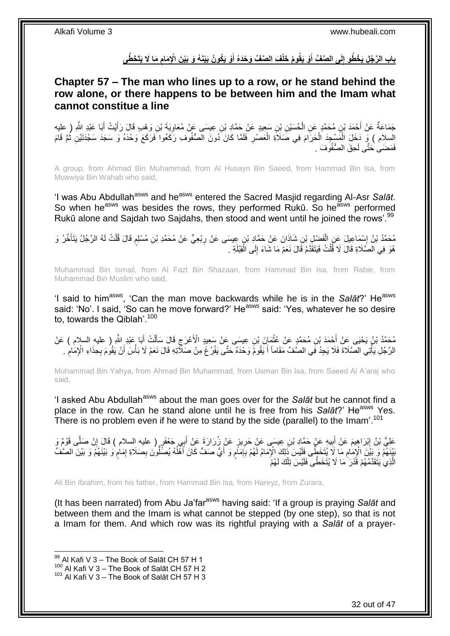باب الرَّجُلِ يَخْطُو إِلَى الصَّفِّ أَوْ يَقُومُ خَلْفَ الصَّفِّ وَحْدَهُ أَوْ يَكُونُ بَيْنَهُ وَ بَيْنَ الْإِمَامِ مَا لَا يَتَخَطَّى **ِ َ َ ِ**

## <span id="page-31-0"></span>**Chapter 57 – The man who lines up to a row, or he stand behind the row alone, or there happens to be between him and the Imam what cannot constitue a line**

جَمَاعَةٌ عَنْ أَحْمَدَ بْنِ مُحَمَّدٍ عَنِ الْحُسَيْنِ بْنِ سَعِيدٍ عَنْ حَمَّادِ بْنِ عِيسَى عَنْ مُعَاوِيَةَ بْنِ وَهْبِ قَالَ رَأَيْتُ أَبَا عَبْدِ اللَّهِ ( عليه ِ ْ َ َ السلام ) وَ دَخَلَ الْمَسْجِدَ الْحَرَامَ فِي صَلَاَةِ الْعَصْرِ فَلَمَّا كَانَ َدُونَ الصُّفُوفِ رَكَعُوا فَرَكَعَ وَحْدَهُ وَ سَجَدَ سَجْدَتَيْنِ ثُمَّ قَامَ ِ ْ ْ ْ ُ فَمَضَى حَتَّى لَحِقَ الصُّفُوفَ .

A group, from Ahmad Bin Muhammad, from Al Husayn Bin Saeed, from Hammad Bin Isa, from Muawiya Bin Wahab who said,

'I was Abu Abdullah<sup>asws</sup> and he<sup>asws</sup> entered the Sacred Masjid regarding Al-Asr Salat. So when he<sup>asws</sup> was besides the rows, they performed Rukū. So he<sup>asws</sup> performed Rukū alone and Saidah two Saidahs, then stood and went until he joined the rows'.<sup>99</sup>

֧֖֧֖֖֖֖֖֧֖֖֖֖֧֧֧֧֧֧֧֧֧֧֧֧֧֧֧֧֧֚֚֚֚֚֚֚֚֚֚֚֝֝֟֓֝֓֝֓֝֬֟֓֝֬֟֓֝֬֝֓֝֓֝֬֝֓֝֬֝֬֝֓֝֬֝֬֓֝֬֝֬֝֬ مُحَمَّدُ بْنُ إِسْمَاعِيلَ عِنِ الْفَضْلِ بْنِ شَاذَانَ عَنْ حَمَّادٍ بْنِ عِيسَى عَنْ رِبْعِيٍّ عَنْ مُحَمَّدِ بْنِ مُسْلِمٍ قَالَ قُلْتُ لَهُ الرَّجُلُ يَتَأَخَّرُ وَ<br>. ِ ْ ِ ْ َ هُوَ فِي الصَّلَاةِ قَالَ لَا قُلْتُ فَيَتَقَدَّمُ قَالَ نَعَمْ مَا شَاءَ إِلَى الْقِبْلَةِ . :<br>ا  $\frac{1}{2}$ ْ

Muhammad Bin Ismail, from Al Fazl Bin Shazaan, from Hammad Bin Isa, from Rabie, from Muhammad Bin Muslim who said,

'I said to him<sup>asws</sup>, 'Can the man move backwards while he is in the *Salāt*?' He<sup>asws</sup> said: 'No'. I said, 'So can he move forward?' He<sup>asws</sup> said: 'Yes, whatever he so desire to, towards the Qiblah'.<sup>100</sup>

مُحَمَّدُ بْنُ يَحْيَى عَنْ أَحْمَدَ بْنِ مُحَمَّدٍ عَنْ عُثْمَانَ بْنِ عِيسَى عَنْ سَعِيدٍ الْأَعْرَجِ قَالَ سَأَلْتُ أَبَا عَبْدِ اللَّهِ ( عليه السلام ) عَنْ<br>مَعَلَّدُ بْنُ يَحْيَى عَنْ أَحْمَدَ بْنِ مُحَمَّدٍ عَنْ عُث **ٔ** َ ْ ĺ ِ الرَّجُلِ يَأْتِي الصَّلَاةَ فَلَا يَجِدُ فَي الصَّفِّ مَقَاماً أَ يَقُومُ وَحْدَهُ حَتَّى يَفْرُغَ مِنْ صَلَّاتِهِ قَالَ نَعَمْ لَا بَأْسَ أَنْ يَقُومَ بِحِذَاءِ الْإِمَامِ . َ ر<br>ا ِ **∶** َ ْ

Muhammad Bin Yahya, from Ahmad Bin Muhammad, from Usman Bin Isa, from Saeed Al A'araj who said,

'I asked Abu Abdullah<sup>asws</sup> about the man goes over for the *Salāt* but he cannot find a place in the row. Can he stand alone until he is free from his *Salāt*?' He<sup>asws</sup> Yes. There is no problem even if he were to stand by the side (parallel) to the Imam<sup>'.101</sup>

عَلِيُّ بْنُ إِبْرَاهِيمَ عَنْ أَبِيهِ عَنْ خَمَّادِ بْنِ عِيسَى عَنْ حَرِيزٍ عَنْ زُرَارَةَ عَنْ أَبِي جَعْفَرٍ ( عليه السلام ) قَالَ إِنْ صَلَّى قَوْمٌ وَ َ ِ **!** َ ِ ِ بَيْنَهُمْ وَ بَيْنَ الْإِمَامِ مَا لَا يُتَخَطَّى فَلَيْسَ ذَلِكَ الْإِمَامُ لَهُمْ بِإِمَامٍ وَ أَيُّ صَفٍّ كَانَ أَهْلُهُ يُصَلِّونَ بِصَلَاةِ إِمَامٍ وَ بَيْنَ الصَّفْ ِ ا<br>ا َ َ ٍ ِ ِ ِ م ِ الَّذِي يَتَقَدَّمُهُمْ قَُدْرَ ٰهَا لَا يُتَخَطَّى فَلَيْسَ تِلْكَ لَهُمْ ْ َّ

Ali Bin Ibrahim, from his father, from Hammad Bin Isa, from Hareyz, from Zurara,

(It has been narrated) from Abu Ja'farasws having said: 'If a group is praying *Salāt* and between them and the Imam is what cannot be stepped (by one step), so that is not a Imam for them. And which row was its rightful praying with a *Salāt* of a prayer-

 $^{99}$  Al Kafi V 3 – The Book of Salāt CH 57 H 1

<sup>100</sup> Al Kafi V 3 – The Book of Salāt CH 57 H 2

 $101$  Al Kafi V 3 – The Book of Salāt CH 57 H 3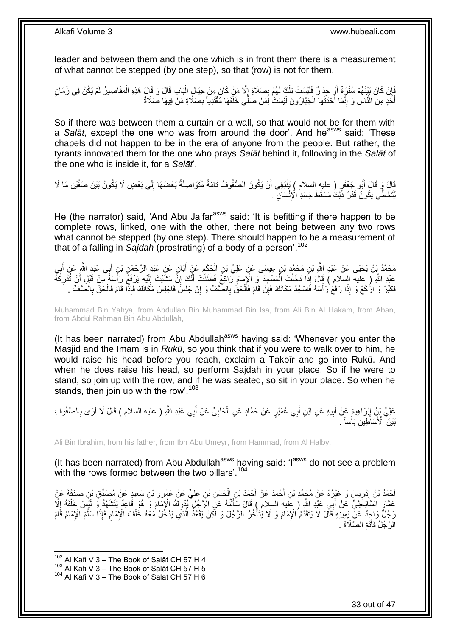leader and between them and the one which is in front them there is a measurement of what cannot be stepped (by one step), so that (row) is not for them.

َفَإِنْ كَانَ بَيْنَهُمْ سُتْرٍَةٌ أَوْ جِدَارٌ فَلَيْسَتْ تِلْكَ لَهُمْ بِصَلَاةٍ إِلَّا مَنْ كَانَ مِنْ جِيَالِ الْبَابِ قَالَ وَ قَالَ هَذِهِ الْمَقَاصِيرُ لَمْ يَكُنْ فِي زَمَانِ َ ِ ْ ْ ا<br>≀ھە  $\frac{1}{2}$ ْ أُخَدٍ مِنَ النَّاسِ وَ إِنَّمَا أَحْذَثَهَا الْجَبَّارُونَ لَيْسَتْ لِمَنْ صَلَّى خَلْفَهَا مُقْتَدِياً بِصَلَاةِ مَنْ فِيهَا صَلَاةٌ ِ ْ ْ  $\ddot{\phantom{0}}$ َ ِ َ

So if there was between them a curtain or a wall, so that would not be for them with a Salat, except the one who was from around the door'. And he<sup>asws</sup> said: 'These chapels did not happen to be in the era of anyone from the people. But rather, the tyrants innovated them for the one who prays *Salāt* behind it, following in the *Salāt* of the one who is inside it, for a *Salāt*'.

لَا وَ قَالَ أَبُو جَعْفَرٍ ( عليهِ السلام ) يَنْبَغِي أَنْ يَكُونَ الصُّفُوفُ تَامَّةً مُتَوَاصِلَةً بَعْضُهَا إِلَى بَعْضٍ لَا يَكُونُ بَيْنَ صَفَّيْنِ مَا لَا َ َ ِ يُتَخَطَّى يَكُونُ قَدْرُ ذَلِكَ مَسْقَطَ جَسَدِ الْإِنْسَانِ ۖ .

He (the narrator) said, 'And Abu Ja'far<sup>asws</sup> said: 'It is befitting if there happen to be complete rows, linked, one with the other, there not being between any two rows what cannot be stepped (by one step). There should happen to be a measurement of that of a falling in *Sajdah* (prostrating) of a body of a person'.<sup>102</sup>

مُحَمَّدُ بِنُ يَحْيَى عَنْ عَبْدِ اللَّهِ بْنِ مُحَمَّدِ بْنِ عِيسَى عَنْ عَلِيِّ بْنِ الْحَكَمِ عَنْ أَبَانٍ عَنْ عَبْدِ الزَّحْمَنِ بْنِ أَبِي عَبْدِ اللَّهِ عَنْ أَبِي ِ َ َ َ ِ ْ عَبْدِ اللَّهِ ( عليه السلام ) قَالَ إِذَا دَخَلْتَ الْمَسْجِدَ وَ الْإِمَامُ رَاكِعٌ فَظَنَنْتَ أَنَّكَ إِنَّ مَشَيْتَ إِلَيْهِ يَرْفَعُ رَأْسَهُ مِنْ قَبْلِ أَنْ تُدْرِكَهُ<br>يَتَمَّدُ وَيَوْمَ مِنْ يَبْنِي بِهِ وَوْمِ يَ لَ ِ ِ َ ْ ْ َ ْ ِ فَكَّبِّرْ وَ ارْكَعْ وَ إِذَا رَفَعَ رَأْسَهُ فَاسْجُدْ مَكَانَكَ فَإِنْ قَامَ فَالْحَقُّ بِالصَّفِّ وَ إِنْ جَلَسَ فَاجْلِسْ مَكَانَكَ فَإِذَا قَامَ فَالْحَقْ بِالصَّفِّ . ِ ِ ْ ِ **ٔ ∶** ْ

Muhammad Bin Yahya, from Abdullah Bin Muhammad Bin Isa, from Ali Bin Al Hakam, from Aban, from Abdul Rahman Bin Abu Abdullah,

(It has been narrated) from Abu Abdullah<sup>asws</sup> having said: 'Whenever you enter the Masjid and the Imam is in *Rukū*, so you think that if you were to walk over to him, he would raise his head before you reach, exclaim a Takbīr and go into Rukū. And when he does raise his head, so perform Sajdah in your place. So if he were to stand, so join up with the row, and if he was seated, so sit in your place. So when he stands, then join up with the row'.<sup>103</sup>

عَلِيُّ بْنٍُ إِبْرَاهِيمَ عَنْ أَبِيهِ عَنِ ابْنِ أَبِي عُمَيْرٍ عَنْ حَمَّادٍ عَنِ الْحَلَبِيِّ عَنْ أَبِي عَبْدِ اللَّهِ ( عليه السلام ) قَالَ لَا أَرَى بِالصُّفُوفِ َ ِ ْ َ **!** <u>֖֓</u> ِ َ بَيْنَ ۗ الْأَسَاطِينِ بَأْساً ۚ ؚ<br>֦֧֦֦֧֦֧֦֧֦֧֦֧֡֩֟֓֟֓֟֓֬֘<u>֛</u>

Ali Bin Ibrahim, from his father, from Ibn Abu Umeyr, from Hammad, from Al Halby,

(It has been narrated) from Abu Abdullah<sup>asws</sup> having said: 'l<sup>asws</sup> do not see a problem with the rows formed between the two pillars'.<sup>104</sup>

أَحْمَدُ بْنُ إِدْرِيسَ وَ غَيْرُهُ عَنْ مُجَمَّدِ بْنِ أَحْمَدَ عَنْ أَحْمَدَ بْنِ الْحَسَنِ بْنِ عَلِيٍّ عَن<br>يَعْدُ بَنْ يَرْبِ بِّي وَ غَيْرُهُ عَنْ مُجَمَّدِ بْنِ أَحْمَدَ عَنْ أَحْمَدَ بْنَ الْحَسَنِ بْنِ عَلَيْ عَنْ ْ َ **∶** ِ عَمَّارِ السَّآبَاطِيِّ عَنْ أَبِي عَبْدِ اللَّهِ ( عَليه السلام ) قَالَ سَأَلْتُهُ عَنِّ الرَّجُلِ يُدْرِكُ الْإِمَامَ وَ هُوَ قَاعِدٌ يَتَشَهَّدُ وَ لَيْسَ خَلْفَهُ إِلَّا<br>مذاقين السَّابَاطِيِّ عَنْ أَيِّن مَيَ رَبَّهَ ِ ْ َ َ **⊥** ْ رَجُلٌّ وَاحِدٌ عَنّْ بَمِبِنِهِ قَالَ لَا يَتَقَدَّمُ الْإِمَامَ وَ لَا يُتَأَخَّرُ الرَّجُلَ وَ لَكِنْ يَقْحُذُ الَّذِي يَدْخُلُ مَعَهُ خَلْفَ الْإِمَامِ فَإِذَا سَلَّمَ الْإِمَامُ قَامَ<br>رَيَبُنِ وَجَبَتَ اللَّهَ الْإِم ْ َّ َ َّ ِ الرَّجُلُ فَأَتَمَّ الصَّلَاةَ . َ

 $102$  Al Kafi V 3 – The Book of Salāt CH 57 H 4

<sup>103</sup> Al Kafi V  $3 -$  The Book of Salāt CH 57 H 5

 $104$  Al Kafi V 3 – The Book of Salāt CH 57 H 6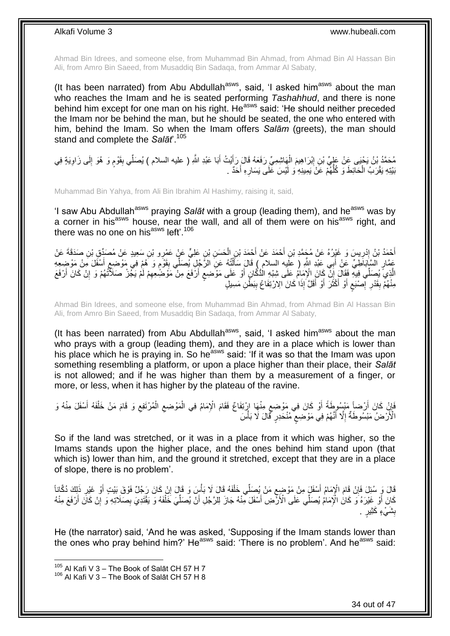Ahmad Bin Idrees, and someone else, from Muhammad Bin Ahmad, from Ahmad Bin Al Hassan Bin Ali, from Amro Bin Saeed, from Musaddiq Bin Sadaqa, from Ammar Al Sabaty,

(It has been narrated) from Abu Abdullah<sup>asws</sup>, said, 'I asked him<sup>asws</sup> about the man who reaches the Imam and he is seated performing *Tashahhud*, and there is none behind him except for one man on his right. He<sup>asws</sup> said: 'He should neither preceded the Imam nor be behind the man, but he should be seated, the one who entered with him, behind the Imam. So when the Imam offers *Salām* (greets), the man should stand and complete the *Salāt*'.<sup>105</sup>

ُ مُحَمَّدُ بْنُ يَحْيَى عَنْ عَلِيٍّ بْنِ إِبْرَاهِيمَ الْهَاشِمِيِّ رَفَعَهُ قَالَ رَأَيْتُ أَبَا عَبْدِ اللَّهِ ( عليه السلام ) يُصَلِّي بِقَوْمٍ وَ هُوَ إِلَى زَاوِيَةٍ فِي َ َ ْ ِ ِ ِ ֖֖֖֖֖֖֦֚֚֚֚֚֚֚֚֚֚֚֚֚֚֬֝֟׆֧ ِ بَيْتِهِ يَقْرَبُ الْحَائِطَ وَ كُلُّهُمْ عََنْ يَمِينِهِ وَ لَيْسَ عَلَى يَسَارِهِ أَحَدٌ . ُّ ْ َ ِ

Muhammad Bin Yahya, from Ali Bin Ibrahim Al Hashimy, raising it, said,

'I saw Abu Abdullah<sup>asws</sup> praying Salat with a group (leading them), and he<sup>asws</sup> was by a corner in his<sup>asws</sup> house, near the wall, and all of them were on his<sup>asws</sup> right, and there was no one on his<sup>asws</sup> left'.<sup>106</sup>

أَحْمَدُ بْنُ إِدْرِيسَ وَ غَيْرُهُ عَنْ مُحَمَّدِ بْنِ أَحْمَدَ عَنْ أَحْمَدَ بْنِ الْحَسَنِ بْنِ عَلِيٍّ عَن<br>يَسَدُّ بِنَ يَجْبَدَ مَنْ عَلَيْهِ مَنْ مَحَمَّدِ بْنِ أَحْمَدَ عَنْ أَحْمَدَ بِنَّهُ الْحَسَنِ بِهِ بَعِينٍ ْ َ ِ ِ عَمَّارِ السَّابَاطِيِّ عِنْ أَبِي عَبْدِ اللَّهِ ( علَيه السلام ) قَالَ سَأَلْتُهُ عَنِ الرَّجُلِ يُصَلِّي بِقَوْمٍ وَ هُمْ فِي مَوْضِعِ أَسْفَلَ مَنْ مَوْضِعِهِ<br>\* َ ว<br>: ֧֖֧֖֖֖֖֖֧֖֖֖֖֧֧֧֧֧֧֧֧֧֧֧֧֧֧֧֧֧֚֚֚֚֚֚֚֚֚֚֚֝֝֟֓֝֓֝֓֝֬֟֓֝֬֟֓֝֬֝֓֝֓֝֬֝֓֝֬֝֬֝֓֝֬֝֬֓֝֬֝֬֝֬ **∶** ْ َ الَّذِيَّ يُصِلِّي فِيهِ فَقَالَ إِنّْ كَانَ الْإِمَامُ عَلَى شِبْهِ الْذُكَانِ أَوْ عَلَى مَوْضِعٍ أَرْفَعَ مِنْ مَوْضِعِهِمْ لَمْ يَجُزْ صَلَّأَتُهُمْ وَ إِنْ كَانَ أَرْفَعَ اً ٍ َ ِ َ ِ ِ مِنْهُمْ بِقَدْرِ ۚ إِصْبَعٍ أَوْ أَكْثَرَ أَوْ أَقَلَّ إِذَا كَانَ الِارْتِفَاعُ بِبَطَّنِ مَسِيلٍۗ **!** َ َ َ َ ٍ ِ ِ **∣** 

Ahmad Bin Idrees, and someone else, from Muhammad Bin Ahmad, from Ahmad Bin Al Hassan Bin Ali, from Amro Bin Saeed, from Musaddiq Bin Sadaqa, from Ammar Al Sabaty,

(It has been narrated) from Abu Abdullah<sup>asws</sup>, said, 'I asked him<sup>asws</sup> about the man who prays with a group (leading them), and they are in a place which is lower than his place which he is praying in. So he<sup>asws</sup> said: 'If it was so that the Imam was upon something resembling a platform, or upon a place higher than their place, their *Salāt* is not allowed; and if he was higher than them by a measurement of a finger, or more, or less, when it has higher by the plateau of the ravine.

ِ َفَإِنْ كَانَ أَرْضاً مَنْسُوطَةً أَوْ كَانَ فِي مَوْضِعٍ مِنْهَا إِرْتِفَاعٌ فَقَامَ الْإِمَامُ فِي الْمَوْضِعِ الْمُرْتَفِعِ وَ قَامَ مَنْ خَلْفَهُ أَسْفَلَ مِنْهُ وَ ْ ِ ْ ٍ َ ِ َ ْ ٍ الْأَرْضُ مَبْسُوطَةٌ إِلَّا أَنَّهُمْ فِي مَوْضِعٍ مُنْخَدِرٍ قَالَ لَا بَأْسَ َ  $\ddot{\phantom{a}}$ ،<br>أ

So if the land was stretched, or it was in a place from it which was higher, so the Imams stands upon the higher place, and the ones behind him stand upon (that which is) lower than him, and the ground it stretched, except that they are in a place of slope, there is no problem'.

قَالَ وَ سُئِلَ فَإِنْ قَامَ الْإِمَامُ أَسْفَلَ مِنْ مَوْضِعٍ مَنْ يُصَلِّي خَلْفَهُ قَالَ لَا بَأْسٍ وَ قَال<br>مَن يَجْمَعُونَ فَيْلِ عَلَيْهِ فَيْلِ الْإِمَامُ أَسْفَلَ مِنْ مَوْضِعٍ مَنْ يُصَنِّي خَلْفَهُ قَالَ لَا بَأْ ِ ْ ْ ِ َ ِ ِ َ َانَ أَوْ غَيْرَهُ وَ كَانَ الْإِمَامُ يُصَلِّي عَلَى الْأَرْضِ أَسْفَلَ مِنْهُ جَازَ لِلرَّجُلِ أَنْ يُصَلِّيَ خَلْفَهُ وَ يَقْتَدِيَ بِصَلَاتِهِ وَ إِنْ كَانَ أَرْفَعَ مِنْهُ ِ ِ ْ ِّ َ َ َ بِشَيْءٍ كَثِيرٍ ۚ. **ِ** 

He (the narrator) said, 'And he was asked, 'Supposing if the Imam stands lower than the ones who pray behind him?' He<sup>asws</sup> said: 'There is no problem'. And he<sup>asws</sup> said:

<sup>105</sup> Al Kafi V 3 - The Book of Salāt CH 57 H 7

<sup>106</sup> Al Kafi V 3 – The Book of Salāt CH 57 H 8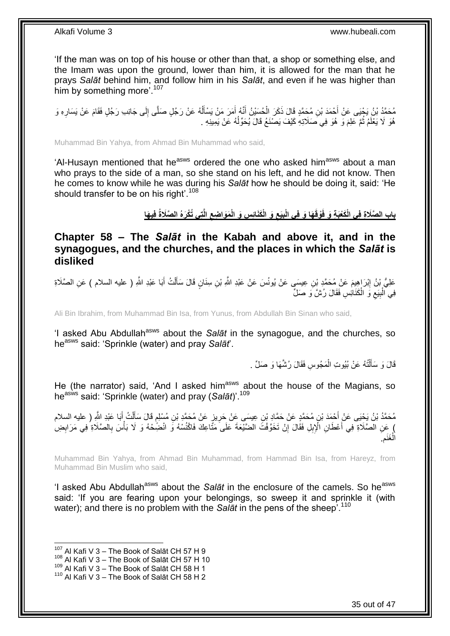'If the man was on top of his house or other than that, a shop or something else, and the Imam was upon the ground, lower than him, it is allowed for the man that he prays *Salāt* behind him, and follow him in his *Salāt*, and even if he was higher than him by something more'.<sup>107</sup>

َّ مُحَمَّدُ بْنُ يَجْيَى عَنْ أَحْمَدَ بْنِ مُحَمَّدٍ قَالَ ذَكَرَ الْحُسَيْنُ أَنَّهُ أَمَرَ مَنْ يَسْأَلُّهُ عَنْ رَجُلٍ صَلَّى إِلَى جَانِب رَجُلٍ فَقَامَ عَنْ يَسَارِهِ وَ<br>إِن زَيْدَةٍ وَيُرَى إِنِّ مِنْ أَحْمَدَ بِّنَ ُ َ َ َ ْ َ ِ هُوَ لَا يَعْلَمُ ثُمَّ عَلِمَ وَ هُوَ فِي صَلَاتِهِ كَيْفَ يَصْنَعُ قَالَ يُحَوِّلُهُ عَنْ يَمِينِهِ .  $\overline{a}$ ُ

Muhammad Bin Yahya, from Ahmad Bin Muhammad who said,

'Al-Husayn mentioned that he<sup>asws</sup> ordered the one who asked him<sup>asws</sup> about a man who prays to the side of a man, so she stand on his left, and he did not know. Then he comes to know while he was during his *Salāt* how he should be doing it, said: 'He should transfer to be on his right'.<sup>108</sup>

> باب الصَّلَاةِ فِى الْكَعْبَةِ وَ فَوْقَهَا وَ فِى الْبِيَعِ وَ الْكَذَائِسِ وَ الْمَوَاضِعِ الَّتِى تُكْرَهُ الصَّلَاةُ فِيهَا **ِ ِ ِ**

<span id="page-34-0"></span>**Chapter 58 – The** *Salāt* **in the Kabah and above it, and in the synagogues, and the churches, and the places in which the** *Salāt* **is disliked**

عَلِيُّ بْنُ إِبْرَاهِيمَ عَنْ مُحَمَّدِ بْنِ عِيسَى عَنْ يُونُسَ عَنْ عَبْدِ اللَّهِ بْنِ سِنَانٍ قَالَ سَأَلْتُ أَبَا عَبْدِ اللَّهِ ( عليه السلام ) عَنِ الصَّلَاةِ **ֽוּ** َ ْ َ فِي الْبِيَعِ وَ الْكَذَانِسِ فَقَالَ رُشَّ وَ صَلِّ ْ  $\zeta$ ِ ْ

Ali Bin Ibrahim, from Muhammad Bin Isa, from Yunus, from Abdullah Bin Sinan who said,

'I asked Abu Abdullah<sup>asws</sup> about the *Salāt* in the synagogue, and the churches, so he<sup>asws</sup> said: 'Sprinkle (water) and pray Salāt'.

> قَالَ وَ سَأَلْتُهُ عَنْ بُيُوتِ الْمَجُوسِ فَقَالَ رُشَّهَا وَ صَلِّ ۚ . ْ ֺ֧֦֧֦֧֦֦֦֦֖֦֪֦֪֦֧֦֪֦֪֦֪֪֦֪֪֦֪֪֦֪֦֪֪֦֝֟֟֟֟֟֟֟֟֟֟֟֟֟֟֟֟֟֟֟֟֟֟֓֕֟֓֟֓֟֓֟֓֟֓֟֓֟֓֟֓֟֓֟֓֟֟֟֝֟֟֟֟֟֟֟֝֟ َ

He (the narrator) said, 'And I asked him<sup>asws</sup> about the house of the Magians, so he<sup>asws</sup> said: 'Sprinkle (water) and pray (*Salāt*)'.<sup>109</sup>

َقا َل ِن ُم ْسلِم ٍَ َع ْن ُم َح َّمِد ْب ي ِن ِعي َسى َع ْن َحر ِن ُم َح َّمٍد َع ْن َح َّماِد ْب ْح َمَد ْب َبا َعْبِد ََّّللا ُم َح َّمُد ْب ُن َي ْحَيى َع ْن أ ِ ) عليه َ ُت أ ل َسأ السالم ֧֖֧֚֚֓֝֝֝ ِ َ ْ َ ) عَنِ الْصَّلَاةِ فِي أَعْطَانِ الْإِبِلِ فَقَالَ إِنْ تَخَوَّفْتَ الْصَّيْعَةَ عَلَى مَثَّاعِكَ فَاكْنُسْهُ وَّ انْضِّحْهُ وَ لَا بَأْسَ بِالْصَلَاةِ فِي مَرَابِضِ ِ َ ِ َغَنم ْ الغَنَمِ.

Muhammad Bin Yahya, from Ahmad Bin Muhammad, from Hammad Bin Isa, from Hareyz, from Muhammad Bin Muslim who said,

'I asked Abu Abdullah<sup>asws</sup> about the *Salāt* in the enclosure of the camels. So he<sup>asws</sup> said: 'If you are fearing upon your belongings, so sweep it and sprinkle it (with water); and there is no problem with the *Salat* in the pens of the sheep<sup>' 110</sup>

 $107$  Al Kafi V 3 – The Book of Salāt CH 57 H 9

<sup>108</sup> Al Kafi V 3 – The Book of Salāt CH 57 H 10

<sup>&</sup>lt;sup>109</sup> Al Kafi V 3 – The Book of Salāt CH 58 H 1

 $110$  Al Kafi V 3 – The Book of Salāt CH 58 H 2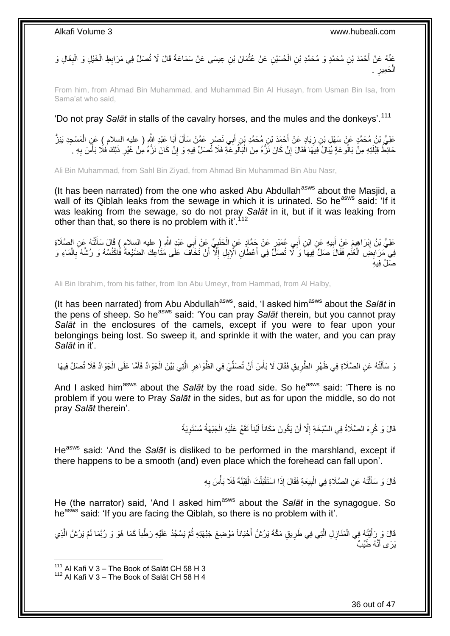عَنْهُ عَنْ أَحْمَدَ بْنِ مُحَمَّدٍ وَ مُحَمَّدِ بْنِ الْحُسَيْنِ عَنْ عُثْمَانَ بْنِ عِيسَى عَنْ سَمَاعَةَ قَالَ لَا تُصَلِّ فِي مَرَابِطِ الْخَيْلِ وَ الْبِغَالِ وَ ْ ْ َ ِ ْ ْ ِ . ِ حَمِيرِ ْ ال

From him, from Ahmad Bin Muhammad, and Muhammad Bin Al Husayn, from Usman Bin Isa, from Sama'at who said,

'Do not pray *Salāt* in stalls of the cavalry horses, and the mules and the donkeys'.<sup>111</sup>

عَلِيُّ بْنُ مُحَمَّدٍ عَنْ سَهْلِ بْنِ زِيَادٍ عَنْ أَحْمَدَ بْنِ مُحَمَّدِ بْنِ أَبِي نَصِّرٍ عَمَّنْ سَأَلَ أَبَا عَبْدِ الثَّهِ ( عليه السلام ) عَنِ الْمَسْجِدِ يَنِزُّ َ َ َ ِ ْ حَائِظُ فِبْلَتِهِ مِنْ بَالْوَعَةِ يُبَالُ فِيهَا فَقَالَ إِنْ كَانَ نَزُّهُ مِنَ الْبَالُوعَةِ فَلَا تُصَلِّ فِيهِ وَ إِنْ كَانَ نَزُّهُ مِنْ غَيْرِ ذَلِكَ فَلَا بَأْسَ بِهِ . ِ ْ ِ ِ **ٔ** ِ

Ali Bin Muhammad, from Sahl Bin Ziyad, from Ahmad Bin Muhammad Bin Abu Nasr,

(It has been narrated) from the one who asked Abu Abdullah<sup>asws</sup> about the Masjid, a wall of its Qiblah leaks from the sewage in which it is urinated. So he<sup>asws</sup> said: 'If it was leaking from the sewage, so do not pray *Salāt* in it, but if it was leaking from other than that, so there is no problem with it'.<sup>112</sup>

عَلِيُّ بْنُ إِبْرَاهِيمَ عَنِْ أَبِيهِ عَنِ ابْنِ أَبِي عُمَيْرٍ عَنْ جَمَّادٍ عَنِ الْحَلَيِيِّ عَنْ أَبِي عَبْدٍ اللَّهِ ( عليه السلام ) قَالَ سَأَلْتُهُ عَنِ الصَّلَاةِ َ ِ ْ َ **!** َ فِي مَرَابِضَ الْغَنْمِ فَقَالَ صَلٍّ فِيهَا وَ لَا تُصَلِّ فِي أَعْطَانِ الْإِبِلِ إِلَّا أَنْ تَخَافَ عَلَى مَثَاعِكَ الضَّيْعَةَ فَاكْنُسْهُ وَ رُشَّهُ بِالْمَاءِ وَ َ ِ َ **ُ** ْ ْ **∶** صَلِّ فِيهِ

Ali Bin Ibrahim, from his father, from Ibn Abu Umeyr, from Hammad, from Al Halby,

(It has been narrated) from Abu Abdullah<sup>asws</sup>, said, 'I asked him<sup>asws</sup> about the Salat in the pens of sheep. So he<sup>asws</sup> said: 'You can pray *Salāt* therein, but you cannot pray *Salāt* in the enclosures of the camels, except if you were to fear upon your belongings being lost. So sweep it, and sprinkle it with the water, and you can pray *Salāt* in it'.

نَّ سَأَلْتُهُ عَنِ الصَّلَاةِ فِي ظَهْرِ الطَّرِيقِ فَقَالَ لَا بَأْسَ أَنْ تُصَلِّيَ فِي الظَّوَاهِرِ الَّتِي بَيْنَ الْجَوَادِّ فَأَمَّا عَلَى الْجَوَادِّ فَلَا تُصَلِّ فِيهَا ْ َّ ِ ِّ اُ ِ ِ ֺ֦֧֦֧֦֧֦֧֦֧֦֦֦֦֪֦֧֦֧֦֪֪֦֪֦֪֦֧֝֟֟֓֕֟֓֓֟֓֓֞֟֓֟֓֓֞֓֞֓֞֓֞֓֞֓֓֞֓֓֞֓֡֟֓֡֟֓֡֟֓֡֟֓֡֟֓֡֟֓֓֞֓֟֓֓֞֓֟֓֞֟֟֟ َ ْ َ

And I asked him<sup>asws</sup> about the *Salāt* by the road side. So he<sup>asws</sup> said: 'There is no problem if you were to Pray *Salāt* in the sides, but as for upon the middle, so do not pray *Salāt* therein'.

> قَالَ وَ كُرِهَ الصَّلَاةُ فِي السَّبَخَةِ إِلَّا أَنْ يَكُونَ مَكَاناً لَيِّناً تَقَعُ عَلَيْهِ الْجَبْهَةُ مُسْتَوِيَةً **∶** ِ ْ لَ ِ

He<sup>asws</sup> said: 'And the *Salāt* is disliked to be performed in the marshland, except if there happens to be a smooth (and) even place which the forehead can fall upon'.

> قَالَ وَ سَأَلْتُهُ عَنِ الصَّلَاةِ فِي الْبِيعَةِ فَقَالَ إِذَا اسْتَقْبَلْتَ الْقِبْلَةَ فَلَا بَأْسَ بِهِ ِ ْ ْ ْ **!** ْ ֦֖֖֦֖֦֪֦֧֦֦֦֖֦֦֖֦֧֦֪֦֦֧֦֪֦֪֦֪֦֧֦֪֦֧֦֪֦֧֦֧֦֪֦֧֦֧֦֪֦֧֦֧֪֦֧֦֧֦֧֦֟֟֟֟֟֟֟֟֟֟֟֟֟֟֟֟֟֟֟֟֟֟֟֟֟֟֟֟֟֟֟֟֟֟֟֟֟֟֟֩֕֟֟֟֟֟֟֟֟֟ َ

He (the narrator) said, 'And I asked him<sup>asws</sup> about the *Salāt* in the synagogue. So heasws said: 'If you are facing the Qiblah, so there is no problem with it'.

قَالَ وَ رِأَيْتُهُ فِي الْمَنَازِلِ الَّتِي فِي طَرِيقِ مَكَّةَ يَرُشُّ أَحْيَاناً مَوْضِعَ جَبْهَتِهِ ثُمَّ يَسْجُدُ عَلَيْهِ رَطْباً كَمَا هُوَ وَ رُبَّمَا لَمْ يَرُشَّ الَّذِي ا<br>المقام َ **∶** َّ **∶** ْ َّ يَرَى أَنَّهُ طَيِّبٌ

1

36 out of 47

 $111$  Al Kafi V 3 – The Book of Salāt CH 58 H 3

 $112$  Al Kafi V 3 – The Book of Salāt CH 58 H 4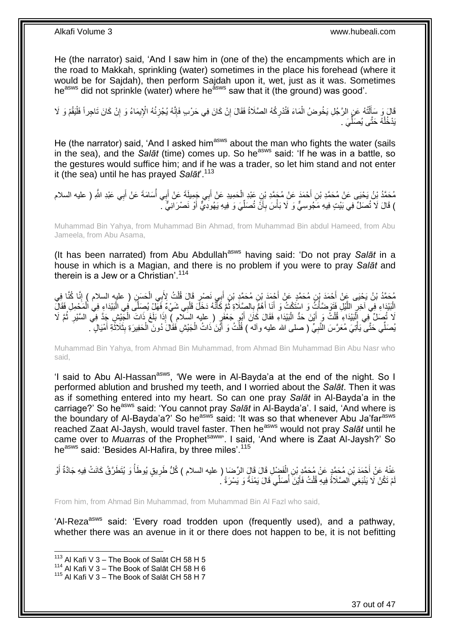He (the narrator) said, 'And I saw him in (one of the) the encampments which are in the road to Makkah, sprinkling (water) sometimes in the place his forehead (where it would be for Sajdah), then perform Sajdah upon it, wet, just as it was. Sometimes he<sup>asws</sup> did not sprinkle (water) where he<sup>asws</sup> saw that it (the ground) was good'.

ُه ئُ ُه ُي ْجَ نَّ ْن َكا َن ِفي َح ْر ٍب َفإ ُكُه ال َّصَالَُ َفَقا َل إ ْدر َما َء َفتُ ُه َع ِن ال َّر ُج ِل َي ُخو ُض ال تُ ل ْم َو َقا َل َو َسأ ََّل َ َيقُ ِجراً َفل ْن َكا َن َتا ي َما ُء َو إ ْْلِ ا ِ ِ ِ **∶** ْ ْ ْ ِ يَدْخُلْهُ حَتَّى يُصَلِّيَ . ْ ِّ

He (the narrator) said, 'And I asked him<sup>asws</sup> about the man who fights the water (sails in the sea), and the *Salāt* (time) comes up. So he<sup>asws</sup> said: 'If he was in a battle, so the gestures would suffice him; and if he was a trader, so let him stand and not enter it (the sea) until he has prayed *Salāt*'.<sup>113</sup>

مُحَمَّدُ بْنُ يَحْيَي عَنْ مُحَمَّدِ بْنِ أَحْمَدَ عَنْ مُجَمَّدِ بْنِ عَبْدِ الْحَمِيدِ عَنْ أَبِي جَمِيلَةَ عَنْ أَبِي أُسَامَةَ عَنْ أَبِي عَبْدِ اللَّهِ ( عليه السلام ُ َ َ ْ ا<br>ا َ ) قَالَ لَا تُصَلِّ فِي بَيْتٍ فِيهِ مَجُوسِيٌّ وَ لَا بَأْسَ بِأَنْ تُصَلِّيَ وَ فِيهِ يَهُودِيٌّ أَوْ نَصْرَانِيٌّ ـَ َ ِّ ر<br>ا ِ ،<br>ا

Muhammad Bin Yahya, from Muhammad Bin Ahmad, from Muhammad Bin abdul Hameed, from Abu Jameela, from Abu Asama,

(It has been narrated) from Abu Abdullah<sup>asws</sup> having said: 'Do not pray Salat in a house in which is a Magian, and there is no problem if you were to pray *Salāt* and therein is a Jew or a Christian'.  $114$ 

ْ مُحَمَّدُ بْنُ يَحْيَى عَنْ أَحْمَدَ بْنِ مُحَمَّدٍ عَنْ أَحْمَدَ بْنِ أُمِيَ أَبِي نَصِيْرٍ قَالَ قُلْتُ لِأَبِي الْحَسَنِ ( عليه السلام ) إِنَّا كُنَّا فِي<br>في الصَّافِرِ ِ ْ الْبَيْدَاءِ فِي آخِرِ اللَّيْلِ فَتَوَضَّأْتُ وَ اسْتَكْتُ وَ أَنَا أَهُمُّ بِالصِّلَاةِ ثُمَّ كَأَنَّهُ دَخَلَ قَلْبِي شَيْءٌ فَهَلْ يُصِلَّي فَبِي الْبَيْدَاءِ فِي الْمَحْمِلِ فَقَالَ ْ َ ُ ِ َ َ ْ َّ ِ ْ ْ لَا تُصِلِّ فِي إِلَيْدَاءِ قُلْتُ وَ أَيْنَ حَدُّ الْبَيْدَاءِ فَقَالَ كَانَ أَبُو جَعْفَرٍ ( عليه السلام ) إِذَا بَلَغَ ذَاتَ الْجَنْشِ جَدَّ فِي السَّيْرِ ثُمَّ لَا ْ َ :<br>ا َ ْ ْ ر<br>ا ِ ُبصَلِّي حَتَّى يَأْتِيَ مُعَرَّسَ النَّبِيِّ ( صلى الله عليه وآله ) قُلْتُ وَ أَيْنَ ذَاتُ الْجَيْشِ فَقَالَ دُونَ الْحَفِيرَةِ بِثَلَاثَةِ أَمْيَالٍ ۚ. ْ َ ْ **∶** ْ َ َ ِ ْ

Muhammad Bin Yahya, from Ahmad Bin Muhammad, from Ahmad Bin Muhammad Bin Abu Nasr who said,

'I said to Abu Al-Hassan<sup>asws</sup>, 'We were in Al-Bayda'a at the end of the night. So I performed ablution and brushed my teeth, and I worried about the *Salāt*. Then it was as if something entered into my heart. So can one pray *Salāt* in Al-Bayda'a in the carriage?' So he<sup>asws</sup> said: 'You cannot pray Salat in Al-Bayda'a'. I said, 'And where is the boundary of Al-Bayda'a?' So he<sup>asws</sup> said: 'It was so that whenever Abu Ja'far<sup>asws</sup> reached Zaat Al-Jaysh, would travel faster. Then heasws would not pray *Salāt* until he came over to Muarras of the Prophet<sup>saww</sup>. I said, 'And where is Zaat Al-Jaysh?' So he<sup>asws</sup> said: 'Besides Al-Hafira, by three miles'.<sup>115</sup>

*<u>I*</u> عَذْهُ عَنْ أَجْمَدَ بْنِ مُحَمَّدٍ عَنْ مُحَمَّدٍ بْنِ إِلْفَضْلِ قَالَ قَالَ الرِّضَا ( عليه السلام ) كُلُّ طَرِيقٍ يُوطَأُ وَ يُتَطَرَّقُ كَانَتْ فِيهِ جَادَّةٌ أَوْ<br>يَسَمَّدُ عَنْ أَجْمَدَ بْنِ مُحَمَّدٍ عَنْ مُحَمَّد ِ ْ َ نْمْ تَكُنْ لَا يَنْبَغِي اَلصَّلَاةُ فِيهِ قُلْتُ فَأَيْنَ أَصَلِّي قَالَ يَمْنَةً وَ يَسْرَةً ' ُ َ ْ

From him, from Ahmad Bin Muhammad, from Muhammad Bin Al Fazl who said,

'Al-Reza<sup>asws</sup> said: 'Every road trodden upon (frequently used), and a pathway, whether there was an avenue in it or there does not happen to be, it is not befitting

 $113$  Al Kafi V 3 – The Book of Salāt CH 58 H 5

 $114$  Al Kafi V 3 – The Book of Salāt CH 58 H 6

<sup>&</sup>lt;sup>115</sup> Al Kafi V 3 – The Book of Salāt CH 58 H 7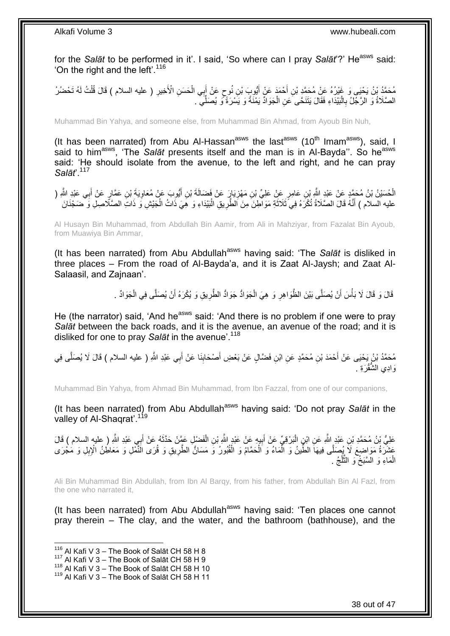for the Salat to be performed in it'. I said, 'So where can I pray Salat'?' He<sup>asws</sup> said: 'On the right and the left'.<sup>116</sup>

مُحَمَّدُ بْنُ يَحْيَى وَ غَيْرُهُ عَنْ مُحَمَّدٍ بْنِ أَحْمَدَ عَنْ أَيُّوبَ بْنِ نُوحٍ عَنْ أَبِي الْحَسَنِ الْأَخِيرِ ( عليه السلام ) قَالَ قُلْتُ لَهُ تَحْضُرُ ِ ْ َ ٍ َ َ ْ الصَّلَاةُ وَ الرَّجْلُ بِالْبَيْدَاءِ فَقَالَ يَتَنَحَّى عَنِ الْجَوَادِّ يَمْنَةً وَ يَسْرَةً وَ يُصَلِّيَّ . ْ :<br>ا **∶** 

Muhammad Bin Yahya, and someone else, from Muhammad Bin Ahmad, from Ayoub Bin Nuh,

(It has been narrated) from Abu Al-Hassan<sup>asws</sup> the last<sup>asws</sup> (10<sup>th</sup> Imam<sup>asws</sup>), said, I said to him<sup>asws</sup>, 'The *Salāt* presents itself and the man is in Al-Bayda". So he<sup>asws</sup> said: 'He should isolate from the avenue, to the left and right, and he can pray *Salāt*'.<sup>117</sup>

الْحُسَيْنُ بْنُ مُحَمَّدٍ عَنْ عَبْدِ اللَّهِ بْنِ عَامِرٍ عَنِْ عَلِيٍّ بْنِ مَهْزِيَارٍ عَنْ فَضَالَةَ بْنِ أَيُّوِبَ عَنْ مُعَاوِيَةَ بْنِ عَمَّارٍ عَنْ أَبِي عَبْدِ اللَّهِ ( ْ ِ َ ِ َ عليه السلام ) أَنَّهُ قَالَ الصَّلَاةُ تُكْرَهُ فِي َثَلاثَةِ مَوَالْطِنَ مِنَ الطَّرِيقِ الْبَيْدَاءِ وَ هِيَ ذَاتُ الْجَيْشِ وَ ذَاتِ الصَّلَاصِلِ وَ صَخْذَانَ ْ **∶** َ ْ

Al Husayn Bin Muhammad, from Abdullah Bin Aamir, from Ali in Mahziyar, from Fazalat Bin Ayoub, from Muawiya Bin Ammar,

(It has been narrated) from Abu Abdullah<sup>asws</sup> having said: 'The Salat is disliked in three places – From the road of Al-Bayda'a, and it is Zaat Al-Jaysh; and Zaat Al-Salaasil, and Zajnaan'.

> قَالَ وَ قَالَ لَا بَأْسَ أَنْ يُصَلَّى بَيْنَ الظُّوَاهِرِ وَ هِيَ الْجَوَادُّ جَوَادُّ الطَّرِيقِ وَ يُكْرَهُ أَنْ يُصَلَّى فِي الْجَوَادِّ . َ **∶** ْ ِ **ٔ** ْ

He (the narrator) said, 'And he<sup>asws</sup> said: 'And there is no problem if one were to pray *Salāt* between the back roads, and it is the avenue, an avenue of the road; and it is disliked for one to pray *Salāt* in the avenue'.<sup>118</sup>

مُحَمَّدُ بْنُ يَحْيَى عَنْ أَحْمَدَ بْنِ مُحَمَّدٍ عَنِ ابْنِ فَضَّالٍ عَنْ بَعْضِ أَصْحَابِنَا عَنْ أَبِي عَبْدِ اللَّهِ ( عليه السلام ) قَالَ لَا يُصَلَّى فِي َّ َ ِ رَادِي الشُّقْرَةِ .

Muhammad Bin Yahya, from Ahmad Bin Muhammad, from Ibn Fazzal, from one of our companions,

(It has been narrated) from Abu Abdullah<sup>asws</sup> having said: 'Do not pray *Salāt* in the valley of Al-Shaqrat'.<sup>119</sup>

عَلِيُّ بْنُ مُحَمَّدِ بْنِ عَبْدٍ اللَّهِ عَنِ ابْنِ الْبَرْقِيِّ عَنْ أَبِيهِ عَنْ عَبْدٍ اللَّهِ بْنِ الْفَضْلِ عَمَّنْ حَدَّثَهُ عَنْ أَبِي عَبْدِ اللَّهِ ( عليه السلام ) قَالَ ْ **!** َ ْ َ َ عَشَّرَةُ مَوَاضِعَ لَاَ يُصَلَّى فِيهَاَ الطَّينُ وَ الْمَاءُ وَ الْحَمَّامُ وَ الْقُبُورُ وَ مَسَانٌ الطَّرِيقِ وَ قُرَى النَّمْلِ وَ مَعَاطِنُ الْإِبِلِ وَ مَجْرَى<br>أَسْتُمْلُ وَ مَعَاطِنُ الْإِبْلِ وَ مُجْرَى ِ ْ ْ ْ الْمَاءِ وَ السَّبَخُ وَ الثَّلْجُ . ْ َّ ْ

Ali Bin Muhammad Bin Abdullah, from Ibn Al Barqy, from his father, from Abdullah Bin Al Fazl, from the one who narrated it,

(It has been narrated) from Abu Abdullah<sup>asws</sup> having said: 'Ten places one cannot pray therein – The clay, and the water, and the bathroom (bathhouse), and the

 $116$  Al Kafi V 3 – The Book of Salāt CH 58 H 8

 $117$  Al Kafi V 3 – The Book of Salāt CH 58 H 9

<sup>118</sup> Al Kafi V 3 – The Book of Salāt CH 58 H 10

<sup>119</sup> Al Kafi V 3 – The Book of Salāt CH 58 H 11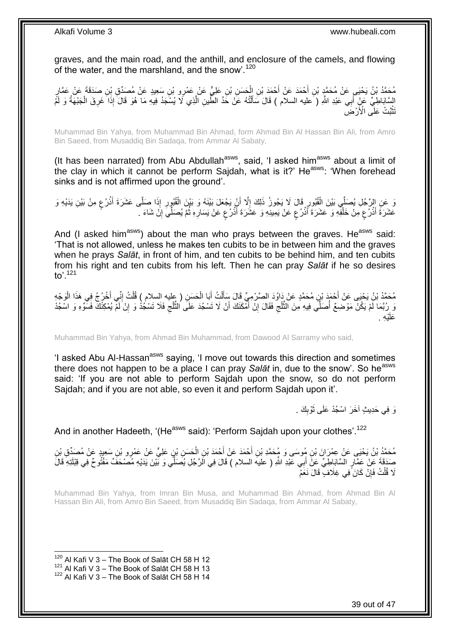graves, and the main road, and the anthill, and enclosure of the camels, and flowing of the water, and the marshland, and the snow'.<sup>120</sup>

مُحَدَّدُ بْنُ يَحْيَى عَنْ مُحَمَّدٍ بْنِ أَحْمَدَ عَنْ أَحْمَدَ بْنِ الْحَسَنِ بْنِ عَلِيٍّ عَنْ عَمْرٍ بْنِ سَعِيدٍ عَنْ مُصدِّقٍ بْنِ صَدَقَةَ عَنْ عَمَّارٍ<br>بِنَعْيَدِ بِنَّ مَرْدَةٍ وَمَثَّلِ بِنَّ مِنْ الْحَمَدَ عَن ْ َ السَّابَاطِيِّ عَنْ أَبِي عَبْدِ اللَّهِ ( عليه السلام ) قَالَ سَأَلْتُهُ عَنْ خَدِّ الطَّينِ الَّذِي لَا يُسْجَدُ فِيهِ مَا هُوَ قَالَ إِذَا َغَرِقَ الْجَبْهَةُ وَ لَمَّ َّ ْ َ ْ ِ ُنَّتُبُتْ عَلَّى الْأَرْضَ*ّ* **ٔ** 

Muhammad Bin Yahya, from Muhammad Bin Ahmad, form Ahmad Bin Al Hassan Bin Ali, from Amro Bin Saeed, from Musaddiq Bin Sadaqa, from Ammar Al Sabaty,

(It has been narrated) from Abu Abdullah<sup>asws</sup>, said, 'I asked him<sup>asws</sup> about a limit of the clay in which it cannot be perform Sajdah, what is it?' He<sup>asws</sup>: 'When forehead sinks and is not affirmed upon the ground'.

وَ عَنِ إِلزَّجُلِ بُصَلِّي بَيْنَ الْقُبُورِ فَالَ لَا يَجُوزُ ذَلِكَ إِلَّا أَنْ يَجْعَلَ بَيْنَهُ وَ بَيْنَ الْقُبُورِ إِذَا صَلَّى عَشَرَةَ أَذْرُعٍ مِنْ بَيْنِ يَدَيْهِ وَ **ٍ** ْ اُ ِ ¦ ْ ٍ **ٔ** َ عَشَرَةَ أُذْرُعِ مِنْ خَلْفِهِ وَ عَشَرَةَ أَذْرُعٍ عَنْ يَمِينِهِ وَ عَشَرَةَ أَذْرُعٍ عَنْ يَسَارِهِ ثُمَّ يُصَلِّيَ إِنَّ شَاءَ . ِ ُ **ٍ** ٍ **ٔ** َ ٍ **ٔ** َ ْ ٍ **ٔ** َ

And (I asked him<sup>asws</sup>) about the man who prays between the graves. He<sup>asws</sup> said: 'That is not allowed, unless he makes ten cubits to be in between him and the graves when he prays *Salāt*, in front of him, and ten cubits to be behind him, and ten cubits from his right and ten cubits from his left. Then he can pray *Salāt* if he so desires to $^{\prime}$ .<sup>121</sup>

مُحَمَّدُ بْنُ يَحْيَى عَنْ أَحْمَدَ بْنِ مُحَمَّدٍ عَنْ دَاوُدَ الصَّرْمِيِّ قَالَ سَأَلْتُ أَبَا الْحَسَنِ ( عليه السلام ) قُلْتُ إِنِّي أَخْرُجُ فِي هَذَا الْوَجْهِ<br>رَّءَ الْمَسْرَ الْمَسْرَ الْمَسْرَ الْمَسْرَ وَاللَّه َ َ ِ ْ ْ َ ْ َ ْ وَ رُبَّمَا لَمْ يَكُنْ مَوْضِعٌ أُصَلِّي فِيهِ مِنَ الثَّلْجِ فَقَالَ إِنْ أَمْكَنَكَ أَنْ لَا تَسْجُدَ عَلَى الثَّلْجِ فَلَا تَسْجُدْ وَ إِنْ لَمْ يُمْكِنُكَ فَسَوِّهِ وَ اسْجُدْ ِ َّ اُ َ ِ ِ َّ ُ ِ عَلَيْهِ .

Muhammad Bin Yahya, from Ahmad Bin Muhammad, from Dawood Al Sarramy who said,

'I asked Abu Al-Hassan<sup>asws</sup> saying, 'I move out towards this direction and sometimes there does not happen to be a place I can pray *Salāt* in, due to the snow'. So he<sup>asws</sup> said: 'If you are not able to perform Sajdah upon the snow, so do not perform Sajdah; and if you are not able, so even it and perform Sajdah upon it'.

> **!** نَ فِي حَدِيثٍ آخَرَ اسْجُدْ عَلَى ثَوْبِكَ . َ

And in another Hadeeth, '(He<sup>asws</sup> said): 'Perform Sajdah upon your clothes'.<sup>122</sup>

مُحَمَّدُ بْنُ يَحْيَي عَنْ عِمْرَانَ بْنِ مُوسَى وَ مُحَمَّدِ بْنِ أَحْمَدَ عَنْ أَحْمَدَ بْنِ الْحَسَنِ بْنِ عَلِيٍّ عَنْ عَمْرِو بْنِ سَعِيدٍ عَنْ مُصَدِّقِ بْنِ<br>. ْ َ صَدَقَةَ عَنْ عَمَّارٍ السَّابَاطِيِّ عَنْ أَبِي عَبْدِ اللَّهِ ( عليه السلام ) قَالَ فِي الَرَّجُلِ يُصَلِّي وَ بَيْنَ يَدَيْهِ مُصنْحَفٌ مَفْتُوحٌ فِي قِبْلَتِهِ قَالَ ِّ َ لَا قُلْتُ فَإِنْ كَانَ ۖ فِي غِلَافٍۖ قَالَ نَعَمْ ِ ْ

Muhammad Bin Yahya, from Imran Bin Musa, and Muhammad Bin Ahmad, from Ahmad Bin Al Hassan Bin Ali, from Amro Bin Saeed, from Musaddiq Bin Sadaqa, from Ammar Al Sabaty,

 $120$  Al Kafi V 3 – The Book of Salāt CH 58 H 12

<sup>121</sup> Al Kafi V 3 – The Book of Salāt CH 58 H 13

<sup>122</sup> Al Kafi V 3 – The Book of Salāt CH 58 H 14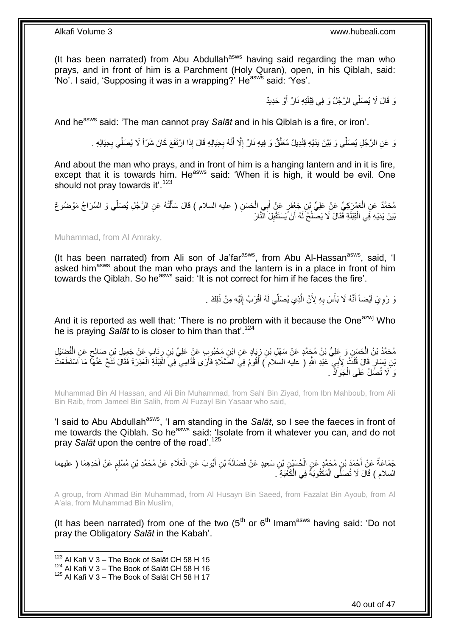(It has been narrated) from Abu Abdullah<sup>asws</sup> having said regarding the man who prays, and in front of him is a Parchment (Holy Quran), open, in his Qiblah, said: 'No'. I said, 'Supposing it was in a wrapping?' He<sup>asws</sup> said: 'Yes'.

نَ قَالَ لَا يُصَلِّّي الرَّجُلُ وَ فِي قِبْلَتِهِ نَارٌ ۖ أَوْ حَدِيدٌ

And he<sup>asws</sup> said: 'The man cannot pray *Salāt* and in his Qiblah is a fire, or iron'.

وَ عَنِ الرَّجُلِ يُصَلِّي وَ بَيْنَ يَدَيْهِ قِنْدِيلٌ مُعَلَّقٌ وَ فِيهِ نَارٌ إِلَّا أَنَّهُ بِحِيَالِهِ قَالَ إِذَا ارْتَفَعَ كَانَ شَرّاً لَا يُصَلِّي بِحِيَالِهِ . **∶** َ ِ ِ

And about the man who prays, and in front of him is a hanging lantern and in it is fire, except that it is towards him. He<sup>asws</sup> said: 'When it is high, it would be evil. One should not pray towards it'.<sup>123</sup>

مُحَمَّدٌ عَنِ الْعَمْرِكِيِّ عَنْ عَلِيٍّ بْنِ جَعْفَرٍ عَنْ أَبِي الْحَسَنِ ( عليه السلام ) قَالَ سَأَلْتُهُ عَنِ الرَّجُلِ يُصَلِّي وَ السِّرَاجُ مَوْضُوعٌ ْ ĺ ْ َ ْ بَيْنَ يَدَيْهِ فِي الْقِبْلَةِ فَقَالَ لَا يَصْلُحُ لَهُ أَنْ يَسْتَقْبِلَ الْنَّارَ ِ ُ ْ

Muhammad, from Al Amraky,

(It has been narrated) from Ali son of Ja'far<sup>asws</sup>, from Abu Al-Hassan<sup>asws</sup>, said, 'I asked him<sup>asws</sup> about the man who prays and the lantern is in a place in front of him towards the Qiblah. So he<sup>asws</sup> said: 'It is not correct for him if he faces the fire'.

> نَ رُوِيَ أَيْضاً أَنَّهُ لَا بَأْسَ بِهِ لِأَنَّ الَّذِي يُصَلِّي لَهُ أَقْرَبُ إِلَيْهِ مِنْ ذَلِكَ . لَ ِ َ َّ ِ َ َ ِ

And it is reported as well that: 'There is no problem with it because the One<sup>azwj</sup> Who he is praying *Salāt* to is closer to him than that'.<sup>124</sup>

مُحَمَّدُ بْنُ الْحَسَنِ وَ عَلِيُّ بْنُ مُجَمَّدٍ عَنْ سَهْلِ بْنِ زِيَادٍ عَنِ ابْنِ مَِحْبُوبٍ عَنْ عَلِيٍّ بْنِ رِئَابٍ عَنْ جَمِيلِ بْنِ صَالِحٍ عَنِ الْفُضَيْلِ **∶** ِ ْ ْ ٍ ْ َنِ بَسَارٍ ۖ قَالَ قُلْتُ ۚ لِأَبِي ۖ عَبْدِ اللَّهِ ( عليه السلام ۖ ) أَقُومُ فِي الصَّلَاةِ فَأَرَى قُدَّامِي ۖ فِي الْقَبْلَةِ الْعَذِرَةَ فَقَالَ تَنَحَّ عَنْهَا مَا اَسْتَطَعْتَ ْ َ ْ وَ لَا تُصَّلِّ عَلَى الْجَوَاٰذُّ . ْ

Muhammad Bin Al Hassan, and Ali Bin Muhammad, from Sahl Bin Ziyad, from Ibn Mahboub, from Ali Bin Raib, from Jameel Bin Salih, from Al Fuzayl Bin Yasaar who said,

'I said to Abu Abdullah<sup>asws</sup>, 'I am standing in the Salat, so I see the faeces in front of me towards the Qiblah. So he<sup>asws</sup> said: 'Isolate from it whatever you can, and do not pray *Salāt* upon the centre of the road'.<sup>125</sup>

جَمَاعَةٌ عَنْ أَحْمَدَ بْنٍ مُحَمَّدٍ عَنِ الْحُسَيْنِ بْنِ سَعِيدٍ عَنْ فَضَالَةَ بْنِ أَيُّوبَ عَنِ الْعَلَاءِ عَنْ مُحَمَّدِ بْنِ مُسْلِمٍ عَنْ أَحَدِهِمَا ( عليهما ْ َ ْ َ َ م<br>وا السلام ) قَالَ لَا تُصَلَّى الْمَكْتُوبَةُ فِي الْكَغَبَةِ ۖ. ْ ْ

A group, from Ahmad Bin Muhammad, from Al Husayn Bin Saeed, from Fazalat Bin Ayoub, from Al A'ala, from Muhammad Bin Muslim,

(It has been narrated) from one of the two  $(5<sup>th</sup>$  or  $6<sup>th</sup>$  Imam<sup>asws</sup> having said: 'Do not pray the Obligatory *Salāt* in the Kabah'.

 $123$  Al Kafi V 3 – The Book of Salāt CH 58 H 15

 $^{124}$  Al Kafi V 3 – The Book of Salāt CH 58 H 16

<sup>125</sup> Al Kafi V 3 – The Book of Salāt CH 58 H 17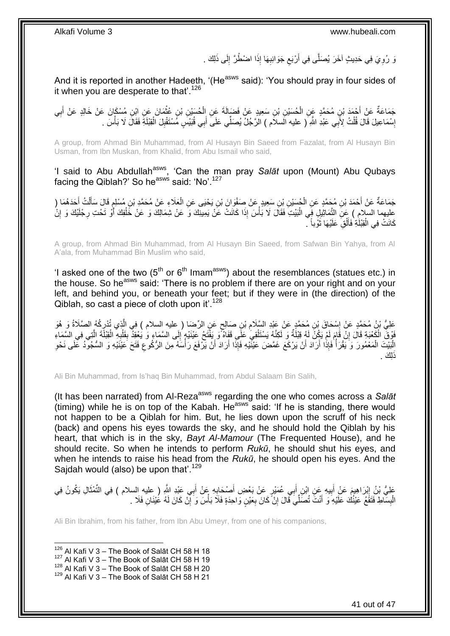نَ رُوِيَ فِي حَدِيثٍ آخَرَ يُصَلَّى فِي أَرْبَعِ جَوَانِبِهَا إِذَا اضْطُرَّ إِلَى ذَلِكَ . ِ **∶**  $\zeta$ ِ

And it is reported in another Hadeeth, '(He<sup>asws</sup> said): 'You should pray in four sides of it when you are desperate to that'.<sup>126</sup>

جَمَاعَةٌ عَنْ أَجْمَدَ بْنِ مُحَمَّدٍ عَنِ الْجُسَيْنِ بْنِ سَعِيدٍ عَنْ فَضَالَةَ عَنِ الْجُسَيْنِ بْنِ عُثْمَانَ عَنِ اِبْنِ مُسْكَانَ عَنْ خَالِدٍ عَنْ أَبِي ْ ْ ْ ِ َ إِسْمَاعِيلَ قَالَ قُلْتُ لِأَبِي عَنْدِ اللَّهِ ۖ طليه السلاَم ) الْرَجُلِّ يُصَلِّي عَلَى أَبِي قُبَيْسٍ مُسْتَقْبِلَ الْقِبْلَةِ فَقَالَ لَا بَأْسَ . ْ ا<br>: ْ ْ ِ

A group, from Ahmad Bin Muhammad, from Al Husayn Bin Saeed from Fazalat, from Al Husayn Bin Usman, from Ibn Muskan, from Khalid, from Abu Ismail who said,

'I said to Abu Abdullah<sup>asws</sup>, 'Can the man pray Salat upon (Mount) Abu Qubays facing the Qiblah?' So he<sup>asws</sup> said: 'No'.<sup>127</sup>

جَمَاعَةٌ عَنْ أَحْمَدَ بْنِ مُحَمَّدٍ عَنِ الْجُسَيْنِ بْنِ سَعِيدٍ عَنْ صَفْوَانَ بْنِ يَحْيَى عَنِ الْعَلَاءِ عَنْ مُحَمَّدِ بْنِ مُسْلِمٍ قَالَ سَأَلْتُ أَحَدَهُمَا ( ْ ْ َ َ ْ َ ¦ عليهما السلام ) عَنِّ الثَّمَاثِيلِ فِي الْبَيْتِ فَقَالَ لَا بَأْسَ إِذَا كَانَتْ عَنْ يَمِينِكَ وَ عَنْ شِمَالِكَ وَ عَنْ خُلْفِكَ أَوْ تَحْتِ رِجْلَيْكَ وَ إِنْ<br>يَهَ وَ عَنْ خُلْفِكَ أَوْ تَحْتَ رَبِّهَ مِنْ يَهْدِينَ **ٔ** ا.<br>ا ِ ا<br>ا ْ كَانَتْ فِي الْقِبْلَةِ فَأَلْقِ عَلَيْهَا ثَوْباً ۚ  $\ddot{\phantom{0}}$ ْ Í ْ

A group, from Ahmad Bin Muhammad, from Al Husayn Bin Saeed, from Safwan Bin Yahya, from Al A'ala, from Muhammad Bin Muslim who said,

'I asked one of the two ( $5<sup>th</sup>$  or  $6<sup>th</sup>$  Imam<sup>asws</sup>) about the resemblances (statues etc.) in the house. So he<sup>asws</sup> said: 'There is no problem if there are on your right and on your left, and behind you, or beneath your feet; but if they were in (the direction) of the Qiblah, so cast a piece of cloth upon it'.<sup>128</sup>

عَلِيُّ بْنُ مُحَمَّدٍ عَنْ إِسْحَاقَ بْنِ مُحَمَّدٍ عَنْ عَبْدِ السَّلَامِ بْنِ صَالِحٍ عَنِ الرِّضَا ( عليه السلام ) فِي الَّذِي تُدْرِكُهُ الصَّلَاةُ وَ هُوَ<br>تَعِنُّ يَوْمَ مُحَمَّدٍ عَنْ إِسْحَاقَ بِنِ مُحَمَّدٍ عَنَّ ِ ِ ِ َّ ٍ ِ فَوْقَ الْكَعْبَةِ قَالَ إِنْ قَامَ لَمْ يَكُِنَّ لَهُ قِبْلَةٌ وَ لَكِنَّهُ يَسْتَلْقِيَ عَلَى قَفَاهٌ ۖ وَ يَفْتَحُ عَيْنَيْهٍ إِلَى السَّمَاءِ وَ يُغِقِدْ بِقَلْدِ الْقِبْلَةَ الَّتِي فِي السَّمَاءِ ْ ֧<u>׀</u> ْ ِ ْ ِ َّ الْبَيْتَ الْمَعْمُورَ وَ يَقْرَأُ فَإِذَا أَرَادَ أَنْ يَرْكَعَ غَمَّضَ عَيْنَيْهِ فَإِذَا أَرَادَ أَنْ يَرْفَعَ رَأْسَهُ مِنَ الرُّكُوعِ فَتَحَ عَيْنَنْيهِ وَ السُّجُودُ عَلَى نَحْوِ ة<br>أ اُ اُ اً َ المناطقي.<br>أحداث المناطقين المناطقين المناطقين المناطقين المناطقين المناطقين المناطقين المناطقين المناطقين المناطقين المناطقين<br>المناطقين المناطقين المناطقين المناطقين المناطقين المناطقين المناطقين المناطقين المناطقين المنا ْ :<br>ا ِ ِ <u>اِکَ</u> ذَ

Ali Bin Muhammad, from Is'haq Bin Muhammad, from Abdul Salaam Bin Salih,

(It has been narrated) from Al-Reza<sup>asws</sup> regarding the one who comes across a *Salat* (timing) while he is on top of the Kabah. He $^{asws}$  said: 'If he is standing, there would not happen to be a Qiblah for him. But, he lies down upon the scruff of his neck (back) and opens his eyes towards the sky, and he should hold the Qiblah by his heart, that which is in the sky, *Bayt Al-Mamour* (The Frequented House), and he should recite. So when he intends to perform *Rukū*, he should shut his eyes, and when he intends to raise his head from the *Rukū*, he should open his eyes. And the Sajdah would (also) be upon that'.<sup>129</sup>

عَلِيُّ بْنُ إِبْرَاهِيمَ عَنْ أَبِيهِ عَنِ ابْنِ أَبِي عُمَيْرٍ عَنْ بَعْضِ أَصْحَابِهِ عَنْ أَبِي عَبْدِ اللَّهِ ( عليه السلام ) فِي التِّمْثَالِ يَكُونُ فِي َ ِ َ َ **!** َ َ الْبِسَاطِ فَتَقَعُ عَيْنُكَ عَلَيْهِ َوَ أَنْتَ نُصَلِّيَ قَالَ إِنْ كَانَ بِعَيْنٍ وَاحِدَةٍ فَلَا بَأْسَ وَ إِنْ كَانَ لَهُ عَيْنَانِ فَلَا . ِ ْ ِ اٍ **∣** ْ

Ali Bin Ibrahim, from his father, from Ibn Abu Umeyr, from one of his companions,

 $126$  Al Kafi V 3 – The Book of Salāt CH 58 H 18

<sup>127</sup> Al Kafi V 3 – The Book of Salāt CH 58 H 19

 $^{128}$  Al Kafi V 3 – The Book of Salāt CH 58 H 20

<sup>129</sup> Al Kafi V 3 – The Book of Salāt CH 58 H 21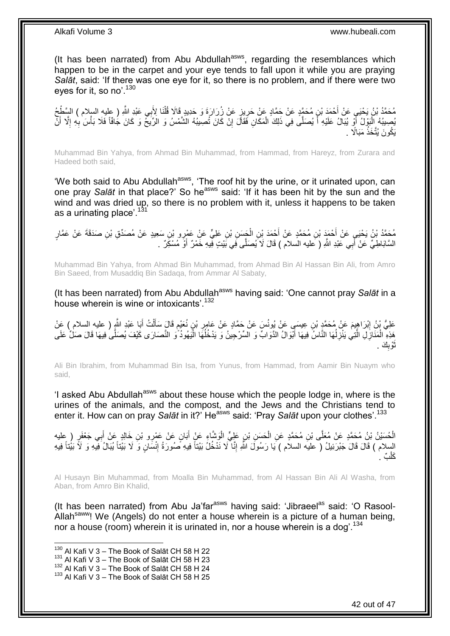(It has been narrated) from Abu Abdullah<sup>asws</sup>, regarding the resemblances which happen to be in the carpet and your eye tends to fall upon it while you are praying *Salāt*, said: 'If there was one eye for it, so there is no problem, and if there were two eves for it, so no'.  $130$ 

ِ مُحَمَّدُ بْنُ يَحْيَي عَنْ أَحْمَدَ بْنِ مُحَمَّدٍ عَنْ جَمَّادٍ عَنْ حَرِينٍ عَنْ زُِرَارَةَ وَ حَدِيدٍ قَالَا قُلْنَا لِأَبِي عَبْدِ اللَّهِ ( عِلْيهِ السِلام ) السَّطْبُحُ<br>. ْ ِ يُصِيبُهُ إِلْبَوْلُ أَوْ يُبَالُ عَلَيْهِ أَ يُصَلَّى فِي ذَلِكَ الْمَكَانِ فَقَالَ إِنْ كَانَ تُصِيبُهُ الشَّمْسُ وَ الرِّيخُ وَ كَانَ جَاقًا فَلَا بَأْسَ بِهِ إِلَّا أَنَّ َ َ َ ا<br>ڊ ِ ْ ِ ْ يَكُونَ يُتَّخَذُ مَبَالًا ۚ .

Muhammad Bin Yahya, from Ahmad Bin Muhammad, from Hammad, from Hareyz, from Zurara and Hadeed both said,

'We both said to Abu Abdullah<sup>asws</sup>, 'The roof hit by the urine, or it urinated upon, can one pray *Salāt* in that place?' So heasws said: 'If it has been hit by the sun and the wind and was dried up, so there is no problem with it, unless it happens to be taken as a urinating place'.<sup>131</sup>

مُحَمَّدُ بْنُ يَحْيَى عَنْ أَحْمَدَ بْنِ مُحَمَّدٍ عَنْ أَحْمَدَ بْنِ الْحَسَنِ بْنِ عَلِيٍّ عَنْ عَمْرٍو بْنِ سَعِيدٍ عَنْ مُصَدِّقٍ بْنِ صَدَقَةَ عَنْ عَمَّارٍ<br>نشست نسبته ْ َ َ السَّابَاطِيِّ عَنْ أَبِي عَبْدِ اللَّهِ ( َعليه السلام ) قَالَ لَا يُصَلَّى فِي بَيْتٍ فِيهِ خَمْرٌ ۖ أَوْ مُسْكِّرٌ ۚ ـ َ َ

Muhammad Bin Yahya, from Ahmad Bin Muhammad, from Ahmad Bin Al Hassan Bin Ali, from Amro Bin Saeed, from Musaddiq Bin Sadaqa, from Ammar Al Sabaty,

(It has been narrated) from Abu Abdullah<sup>asws</sup> having said: 'One cannot pray Salat in a house wherein is wine or intoxicants'.<sup>132</sup>

عَلِيُّ بِْنُ اِبْرَاهِيمَ عَنْ مُحَمَّدٍ بْنِ عِيسَى عَنْ يُونُسَ عَنْ حَمَّادٍ عَنْ عَامِرٍ بْنٍ نُعَيْمٍ قَالَ سَأَلْتُ أَبَا عَبْدِ اللَّهِ ( عليه السلام ) عَنْ َ ْ ĺ ٍ ِ ِ َّ هَذِهِ الْمَذَازِلِ الَّتِي يَنْزِلُهَا النَّاسُ فِيهَا أَبْوَالُ الدَّوَابِّ وَ السِّرْجِينُ وَ يَدْخُلُهَا الْيَهُودُ ّوَ النَّصَارَى كَيْفَ يُصَلَّى فِيهَا قَالَ صَلِّ عَلَى ِ ْ َّ ْ ُ َ ا<br>ا ِ َك .  $\frac{1}{2}$ وبا ن<br>با ث

Ali Bin Ibrahim, from Muhammad Bin Isa, from Yunus, from Hammad, from Aamir Bin Nuaym who said,

'I asked Abu Abdullah<sup>asws</sup> about these house which the people lodge in, where is the urines of the animals, and the compost, and the Jews and the Christians tend to enter it. How can on pray *Salāt* in it?' He<sup>asws</sup> said: 'Pray *Salāt* upon your clothes'.<sup>133</sup>

الْحُسَيْنُ بْنُ مُحَمَّدٍ عَنْ مُعَلَّى بْنِ مُحَمَّدٍ عَنِ الْحَسَنِ بْنِ عَلِيٍّ الْوَشَاءِ عَنْ أَبَانٍ عَنْ عَمْرِو بْنِ خَالِدٍ عَنْ أَبِي جَعْفَرٍ ( عليه َ ْ ْ َ السلام ) قَالَ قَالَ جَبْرَئِيلُ ( عليه السلام ) يَا رَسُولَ اللَّهِ إِنَّا لَا نَدْخُلُ بَيْتاً فِيهِ صُورَةُ إِنْسَانٍ وَ لَا بَيْتاً لِيَّهِ وَ لَا بَيْتاً فِيهِ ِ ِ كَلْبٌ . ْ

Al Husayn Bin Muhammad, from Moalla Bin Muhammad, from Al Hassan Bin Ali Al Washa, from Aban, from Amro Bin Khalid,

(It has been narrated) from Abu Ja'far $a<sup>asws</sup>$  having said: 'Jibraeel $a<sup>as</sup>$  said: 'O Rasool-Allah<sup>saww</sup>! We (Angels) do not enter a house wherein is a picture of a human being, nor a house (room) wherein it is urinated in, nor a house wherein is a dog<sup>'.134</sup>

 $130$  Al Kafi V 3 – The Book of Salāt CH 58 H 22

 $131$  Al Kafi V 3 – The Book of Salāt CH 58 H 23

 $^{132}$  Al Kafi V 3 – The Book of Salāt CH 58 H 24

<sup>133</sup> Al Kafi V 3 – The Book of Salāt CH 58 H 25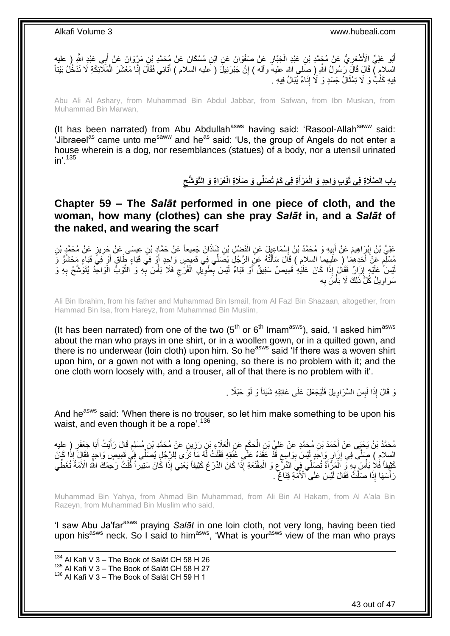أَبُو عَلِيٍّ الْأَشْعَرِيُّ عَنْ مُجَمَّدِ بْنِ عَبْدِ الْجَبَّارِ عَنْ صَفْوَانَ عَنِ ابْنِ مُسْكَانَ عَنْ مُحَمَّدِ بْنِ مَرْوَانَ عَنْ أَبِي عَبْدِ اللَّهِ ( عليه ْ ِ َ **ٍ** السلامِ ) قَالَ قَالَ رَسُولُ اللّهِ ( صَلى الله عليهَ وأله ) إِنَّ جَبْرَئِيلَ ( عليه السلام ) أَتَانِي فَقَالَ إِنَّا مَعْشَرَ الْمَلَأَئِكَةِ لَا نَدْخُلُ بَيْتَأَ ِ َ ِ ْ فِيهِ كَلْبٌ وَ لَا تِمْثَالُ جَسَدٍ وَ لَا إِنَاءٌ يُبَالُ فِيهِ . יִי (ו ة<br>أ ْ

Abu Ali Al Ashary, from Muhammad Bin Abdul Jabbar, from Safwan, from Ibn Muskan, from Muhammad Bin Marwan,

(It has been narrated) from Abu Abdullah $^{asws}$  having said: 'Rasool-Allah $^{saww}$  said:  $\dot{y}$  Jibraeel<sup>as</sup> came unto me<sup>saww</sup> and he<sup>as</sup> said: 'Us, the group of Angels do not enter a house wherein is a dog, nor resemblances (statues) of a body, nor a utensil urinated  $in$ '.<sup>135</sup>

> باب الصَّلَاةِ فِى ثَوْبٍ وَاحِدٍ وَ الْمَرْأَةِ فِى كَمْ تُصَلِّّى وَ صَلَاةِ الْعُرَاةِ وَ التَّوَشُّح **َ ِ**

<span id="page-42-0"></span>**Chapter 59 – The** *Salāt* **performed in one piece of cloth, and the woman, how many (clothes) can she pray** *Salāt* **in, and a** *Salāt* **of the naked, and wearing the scarf**

عَلِيُّ بْنُ إِبْرَاهِيمَ عَنْ أَبِيهِ وَ مُحَمَّدُ بْنُ إِسْمَاعِيلَ عَنِ الْفَضْلِ بْنِ شَاذَانَ جَمِيعاً عَنْ حَمَّادٍ بْنِ عِيسَى عَنْ جَرِيزٍ عَنْ مُحَمَّدٍ بْنِ **∣** َ ِ ِ ْ ِ يُسْلِمِ عَنْ أَخَدِهِمَا ِ( علَيهما السلامِ ) قَالَ سَأَلْتُهُ عَنِ الرَّجُلِ يُصَلِّي فِي قَمِيصٍ وَاحِدٍ أَوْ فِي قَبَاءٍ طَاقٍ أَوْ فِي قَبَاءٍ مَحْشُوٌّ وَ َ ْ َ َ م َ لَيْسَ ۖ عَلَيْهِ إِزَالٌ فَقَالَ إِذَا كَانَ عَلَيْهِ فَمِيصٌ سَفِيقٌ أَوْ قَبَاءٌ لَيْسَ بِطَوِيلِ الْفُرَجِ فَلَا بَأْسَ بِهِ وَ الثَّوْبُ الْوَاحِدُ يُتَوَشَّحُ بِهِ وَ ِ ْ ِ ْ ِ ِ َ **∶** ْ َّ مَرَ اوِيلُ كُلُّ ذَٰلِكَ لَا بَأْسَ بِهِ ِ **ٔ** ِ

Ali Bin Ibrahim, from his father and Muhammad Bin Ismail, from Al Fazl Bin Shazaan, altogether, from Hammad Bin Isa, from Hareyz, from Muhammad Bin Muslim,

(It has been narrated) from one of the two  $5<sup>th</sup>$  or  $6<sup>th</sup>$  Imam<sup>asws</sup>), said, 'I asked him<sup>asws</sup> about the man who prays in one shirt, or in a woollen gown, or in a quilted gown, and there is no underwear (loin cloth) upon him. So he<sup>asws</sup> said 'If there was a woven shirt upon him, or a gown not with a long opening, so there is no problem with it; and the one cloth worn loosely with, and a trouser, all of that there is no problem with it'.

> وَ قَالَ إِذَا لَبِسَ السَّرَاوِيلَ فَلْيَجْعَلْ عَلَى عَاتِقِهِ شَيْئاً وَ لَوْ حَبْلًا ۚ . :<br>ا ِ **ِ**

And he<sup>asws</sup> said: 'When there is no trouser, so let him make something to be upon his waist, and even though it be a rope<sup>'.136</sup>

مُحَمَّدُ بْنُ يَحْيَى عَنْ أَحْمَدَ بْنِ مُحَمَّدٍ عَنْ عَلِيٍّ بْنِ الْحَكَمِ عَنِ الْعَلَاءِ بْنِ رَزِينٍ عَنْ مُحَمَّدٍ بْنِ مُسْلِمٍ قَالَ رَأَيْتُ أَبَا جَعْفَرٍ ( عِليه ِ ْ ِ ْ َ َ ٍ لِسلامِ ) صَلَّى فِي إِزَارٍ وَاحِدٍ لَئِسَ بِوَاسِعٍ قَدْ عَقَدَهُ عَلَى غُنُقِهِ فَقُلْتُ لَّهُ مَا تَرَّى لِلرَّجُلِ يُصَلِّي فِي قَمِيصٍ وَاحِدٍ فَقَالٍ ۚ إِذَا كَانَ ٍ ِ ْ كَثِيفاً فَلَا بَأْسَ بِهِ فِّى الْفَرِّ أَةُ تُصَلِّي فِي الدِّرْعِ وَ الْمِقْنَعَةِ إِذَا كَانَ الدِّرْعُ كَثِيفاً يَعْنِي إِذَا كَانَ سَنَيْراً قَلْتُ رَحِمَكَ اللَّهُ الْأَمَةُ تُغَطِّي ْ ِ ْ ِ **ٔ** ْ رَ أُسَهَا إِذَا صَلَّتُ فَقَالَ لَيْسَ عَلَى الْأُمَّةِ قِنَاعٌ . ا<br>ا

Muhammad Bin Yahya, from Ahmad Bin Muhammad, from Ali Bin Al Hakam, from Al A'ala Bin Razeyn, from Muhammad Bin Muslim who said,

'I saw Abu Ja'farasws praying *Salāt* in one loin cloth, not very long, having been tied upon his<sup>asws</sup> neck. So I said to him<sup>asws</sup>, 'What is your<sup>asws</sup> view of the man who prays

1  $134$  Al Kafi V 3 – The Book of Salāt CH 58 H 26

135 Al Kafi V 3 – The Book of Salāt CH 58 H 27

 $136$  Al Kafi V 3 – The Book of Salāt CH 59 H 1

43 out of 47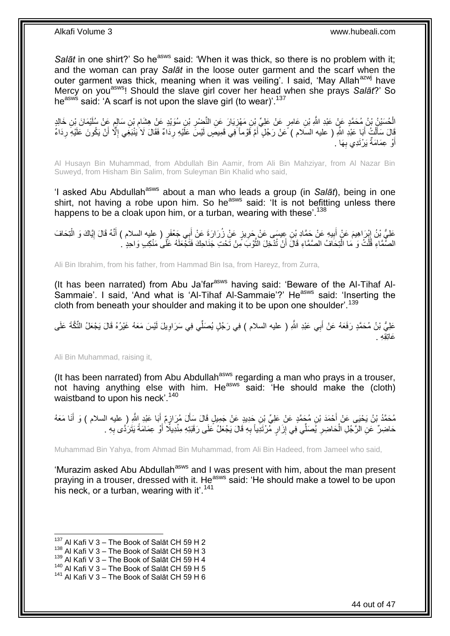*Salāt* in one shirt?' So he<sup>asws</sup> said: 'When it was thick, so there is no problem with it; and the woman can pray *Salāt* in the loose outer garment and the scarf when the outer garment was thick, meaning when it was veiling'. I said, 'May Allah<sup>azwj</sup> have Mercy on youasws! Should the slave girl cover her head when she prays *Salāt*?' So he<sup>asws</sup> said: 'A scarf is not upon the slave girl (to wear)'.<sup>137</sup>

الْحُسَيْنُ بْنُ مُحَمَّدٍ عَنْ عَبْدِ اللَّهِ بْنِ عَامِرٍ عَنْ عَلِيٍّ بْنِ مَهْزِيَارَ عَنِ النَّضِبْرِ بْنِ سُوَيْدٍ عَنْ هِشَامِ بْنِ سَالِمٍ عَنْ سُلَيْمَانَ بْنِ خَالِدٍ **∶** ِ م ِ قَالَ سَأَلْتُ أَبَا عَبْدِ اللَّهِ ( عليه السلام ) عَنْ رَجُلٍ أَمَّ قَوْماً فِي قَمِيصٍ لَيْسَ عَلَيْهِ رِدَاءٌ فَقَالَ لَا يَنْبَغِي إِلَّا أَنْ يَكُونَ عَلَيْهِ رِدَاءٌ َ ْ ِ َ ِ **∶** َ أَوْ عِمَامَةٌ يَرْتَدِي بِهَا . ِ َ

Al Husayn Bin Muhammad, from Abdullah Bin Aamir, from Ali Bin Mahziyar, from Al Nazar Bin Suweyd, from Hisham Bin Salim, from Suleyman Bin Khalid who said,

'I asked Abu Abdullah<sup>asws</sup> about a man who leads a group (in *Salāt*), being in one shirt, not having a robe upon him. So he<sup>asws</sup> said: 'It is not befitting unless there happens to be a cloak upon him, or a turban, wearing with these'.<sup>138</sup>

عَلِيُّ بْنُ إِبْرَاهِيمَ عَنْ إِبِيهِ عَنْ حَمَّادِ بْنِ عِيسَى عَنْ حَرِيزٍ عَنْ زُرَارَةَ عَنْ أَبِي جَعْفَرٍ ( عليه السلام ) أَنَّهُ قَالَ إِيَّاكَ وَ الْتِحَافَ<br>. َ ِ **!**  ِ ْ ון<br>≀ َ الصَّمَّاءِ قُلْتُ وَ مَا الْتِحَافُ الصَّمَّاءِ قَالَ أَنْ تُدْخِلَ الثَّوْبَ مِّنْ تَحْتِ جَنَاحِكَ فَتَّجْعَلَهُ عَلَى مَنْكِبٍ وَاحِدٍ ۚ ـ َ .<br>أ ْ َّ

Ali Bin Ibrahim, from his father, from Hammad Bin Isa, from Hareyz, from Zurra,

(It has been narrated) from Abu Ja'far<sup>asws</sup> having said: 'Beware of the Al-Tihaf Al-Sammaie'. I said, 'And what is 'Al-Tihaf Al-Sammaie'?' He<sup>asws</sup> said: 'Inserting the cloth from beneath your shoulder and making it to be upon one shoulder'.<sup>139</sup>

عَلِيُّ بْنُ مُحَمَّدٍ رَفَعَهُ عَنْ أَبِي عَبْدِ اللَّهِ ( عليه السلام ) فِي رَجُلٍ يُصَلِّي فِي سَرَاوِيلَ لَيْسَ مَعَهُ غَيْرُهُ قَالَ يَجْعَلُ الثَّكَّةَ عَلَى ِ عَاتِقِهِ .

Ali Bin Muhammad, raising it,

(It has been narrated) from Abu Abdullah<sup>asws</sup> regarding a man who prays in a trouser, not having anything else with him. He $^{asws}$  said: 'He should make the (cloth) waistband to upon his neck<sup>' 140</sup>

مُحَمَّدُ بْنُ يَحْيَى عَنْ أَحْمَدَ بْنِ مُجَمَّدٍ عَنْ عَلِيٍّ بْنِ حَدِيدٍ عَنْ جَمِيلٍ قَالَ سَأَلَ مُرَازِمٌ أَبَا عَبْدِ اللَّهِ ( عليه السلام ) وَ أَنَا مَعَهُ َ ِ َ َ حَاضِرٌ عَنِ الرَّجُلِ الْحَاضِرِ يُصَلِّي فِي إِزَارٍ مُرْتَدِياً بِهِ قَالَ يَجْعَلُ عَلَى رَقَبَتِهِ مِنْدِيلًا أَوْ عِمَامَةً يَتَرَدَّى بِهِ . ِ **∶** ْ **∶** َ **∶** 

Muhammad Bin Yahya, from Ahmad Bin Muhammad, from Ali Bin Hadeed, from Jameel who said,

'Murazim asked Abu Abdullah<sup>asws</sup> and I was present with him, about the man present praying in a trouser, dressed with it. He<sup>asws</sup> said: 'He should make a towel to be upon his neck, or a turban, wearing with it'.<sup>141</sup>

 $137$  Al Kafi V 3 – The Book of Salāt CH 59 H 2

 $138$  Al Kafi V 3 – The Book of Salāt CH 59 H 3

 $139$  Al Kafi V 3 – The Book of Salāt CH 59 H 4

 $140$  Al Kafi V 3 – The Book of Salāt CH 59 H 5

 $141$  Al Kafi V 3 – The Book of Salāt CH 59 H 6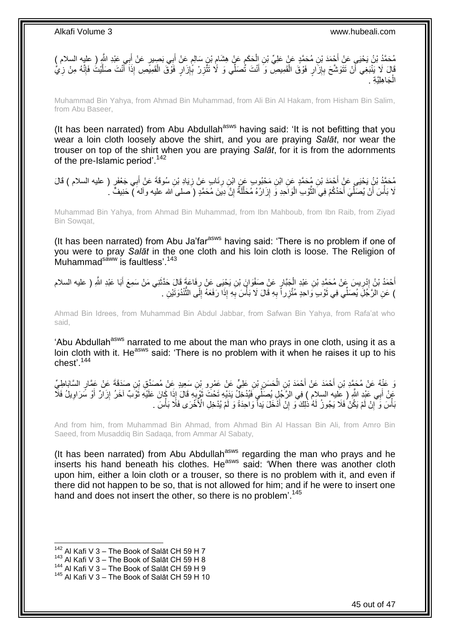

Muhammad Bin Yahya, from Ahmad Bin Muhammad, from Ali Bin Al Hakam, from Hisham Bin Salim, from Abu Baseer,

(It has been narrated) from Abu Abdullah<sup>asws</sup> having said: 'It is not befitting that you wear a loin cloth loosely above the shirt, and you are praying *Salāt*, nor wear the trouser on top of the shirt when you are praying *Salāt*, for it is from the adornments of the pre-Islamic period'.<sup>142</sup>

َ مُحَمَّدُ بْنُ يَحْيَى عَنْ أَحْمَدَ بْنِ مُحَمَّدٍ عَنِ ابْنِ مَحْبُوبٍ عَنٍ ابْنِ رِنَابٍ عَنْ زِيَادِ بْنِ سُوقَةَ عَنْ أَبِي جَعْفَرٍ ( عليه السلام ) قَالَ ِ **∶** َ لَا بَأْسَ أَنْ يُصَلِّيَ أَحَدُكُمْ فِي الثُّوْبِ الْوَاحِدِ وَ إِزَارُهُ مُحَلَّلَةٌ إِنَّ دِينَ مُحَمَّدٍ ( صلى الله عليه وآله ) حَنِيفٌ . ِ َّ ِ ر<br>ا ة<br>أ ِّ **ٔ** 

Muhammad Bin Yahya, from Ahmad Bin Muhammad, from Ibn Mahboub, from Ibn Raib, from Ziyad Bin Sowqat,

(It has been narrated) from Abu Ja'far $a<sup>asws</sup>$  having said: 'There is no problem if one of you were to pray *Salāt* in the one cloth and his loin cloth is loose. The Religion of Muhammad<sup>saww</sup> is faultless'.<sup>143</sup>

أَحْمَدُ بْنُ إِدْرِيسَ عَنْ مُحَمَّدِ بْنِ عَبْدِ الْجَبَّارِ عَنْ صَفْوَانَ بْنِ يَحْيَى عَنْ رِفَاعَةٍ قَالَ حَدَّثَنِي مَنْ سَمِعَ أَبَا عَبْدِ اللَّهِ ( عليه السلام ِ ין<br>∶ َ َ ِ ِ ْ ) عَنِ الرَّجُلِّ يُصَلِّي فِي ثَوْبِ وَاحِدٍ مُتَّزِراً بِهِ قَالَ لَا بَأْسَ بِهِ إِذَا رَفَعَهُ إِلَى النَّنْدُوَنَيْنِ . ُّ ِ **∶** ْ **∶** َ

Ahmad Bin Idrees, from Muhammad Bin Abdul Jabbar, from Safwan Bin Yahya, from Rafa'at who said,

'Abu Abdullah<sup>asws</sup> narrated to me about the man who prays in one cloth, using it as a loin cloth with it. He<sup>asws</sup> said: 'There is no problem with it when he raises it up to his chest'.<sup>144</sup>

ِ عَذْهُ عَنْ مُحَمَّدِ بْنِ أَحْمَدَ عَنْ أَحْمَدَ بْنِ الْحَسَنِ بْنِ عَلِيٍّ عَنْ عَمْرِو بْنِ سَعِيدٍ عَنْ مُصَدِّقٍ بْنِ صَدَقَةَ عَنْ عَمَّارٍ السَّابَاطِيِّ<br>وَ عَنْهُ عَنْ مَعَارٍ السَّابَاطِيِّ ْ َ عَنْ أَبِي عَبْدِ اللَّهِ ( عِلْيه السلام ) فِي الرَّجُلِ يُصَلِّي فَيُدْخِلُّ يَدَيْهِ تَحْتَ ثَوْرِيَهِ قَالَ إِذَا كَانَ عَلَيْهِ ثَوْبً لَحَدُّ إِزَارٌ أَوْ سَرَاوِيلُ فَلَا َ ِ َ ِ َ ِ َ َنَّاسَ وَ إِنْ لَمْ يَكُنْ فَلَا يَجُوزُ لَهُ ذَٰلِكَ وَ إِنَّ أَذَخَلَ يَداً وَاحِدَةً وَ لَمْ يُدْخِلِ الْأَخْرَى فَلَا بَأْسَ . ْ َ יֲ<br>י <u>֖֚֚֚֚֚֚֚֓</u> **ٔ** 

And from him, from Muhammad Bin Ahmad, from Ahmad Bin Al Hassan Bin Ali, from Amro Bin Saeed, from Musaddiq Bin Sadaqa, from Ammar Al Sabaty,

(It has been narrated) from Abu Abdullah<sup>asws</sup> regarding the man who prays and he inserts his hand beneath his clothes. He<sup>asws</sup> said: 'When there was another cloth upon him, either a loin cloth or a trouser, so there is no problem with it, and even if there did not happen to be so, that is not allowed for him; and if he were to insert one hand and does not insert the other, so there is no problem<sup>' 145</sup>

 $142$  Al Kafi V 3 – The Book of Salāt CH 59 H 7

 $143$  Al Kafi V 3 – The Book of Salāt CH 59 H 8

<sup>&</sup>lt;sup>144</sup> Al Kafi V 3 – The Book of Salāt CH 59 H 9

<sup>&</sup>lt;sup>145</sup> Al Kafi V 3 - The Book of Salāt CH 59 H 10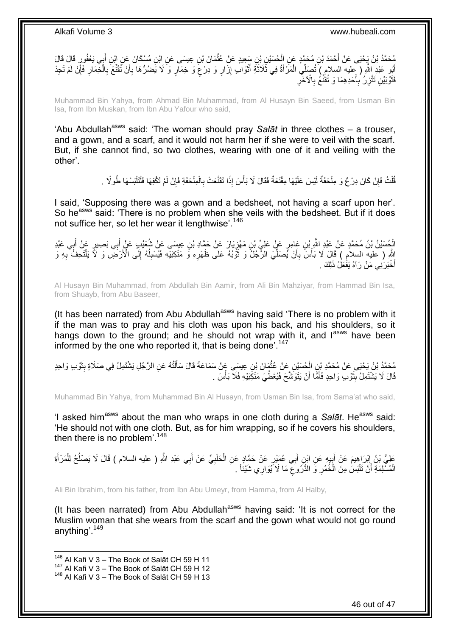

Muhammad Bin Yahya, from Ahmad Bin Muhammad, from Al Husayn Bin Saeed, from Usman Bin Isa, from Ibn Muskan, from Ibn Abu Yafour who said,

'Abu Abdullah<sup>asws</sup> said: 'The woman should pray Salat in three clothes - a trouser, and a gown, and a scarf, and it would not harm her if she were to veil with the scarf. But, if she cannot find, so two clothes, wearing with one of it and veiling with the other'.

> ∣ļ قُلْتُ فَإِنْ كَانَ دِرْ عٌ وَ مِلْحَفَةٌ لَيْسَ عَلَيْهَا مِقْنَعَةٌ فَقَالَ لَا بَأْسَ إِذَا تَقَنَّعَتْ بِالْمِلْحَفَةِ فَإِنْ لَمْ تَكْفِهَا فَلْتَلْبَسْهَا طُولًا . ْ ْ ِ **ٔ** لَ ْ ِ ْ ْ ْ

I said, 'Supposing there was a gown and a bedsheet, not having a scarf upon her'. So he<sup>asws</sup> said: 'There is no problem when she veils with the bedsheet. But if it does not suffice her, so let her wear it lengthwise'.<sup>146</sup>

الْجُسَيْنُ بْنُ مُحَمَّدٍ عَنْ عَبْدِ اللَّهِ بْنِ عَامِرٍ عَنْ عَلِيِّ بْنِ مَهْزِيَارَ عَنْ حَمَّادِ بْنِ عِيسَى عَنْ شُعَيْبٍ عَنْ أَبِي بَصِبِرٍ عَنْ أَبِي عَبْدِ ِ َ َ <u>ุ</u> ِ اللَّهِ ( عليه السلام ) قَالَ لَا بَأْسَ بِأَنْ يُصَلِّيَ الرَّجُلُ وَ ثَوْبُهُ عَلَى ظَهْرِهِ وَ مَنْكِبَيْهِ فَيُسْبِلُهُ إِلَى الْأَرْضَ وَ لَأَ يَلْتَحِفُ بِهِ وَ ا<br>ا ِ **ٍ** َ ِّ أ ِ ،<br>ا ِ ْ أَخْبَرَٰنِي مَنْ رَآهُ يَفْعَلُ ذَلِكَ . َ

Al Husayn Bin Muhammad, from Abdullah Bin Aamir, from Ali Bin Mahziyar, from Hammad Bin Isa, from Shuayb, from Abu Baseer,

(It has been narrated) from Abu Abdullah<sup>asws</sup> having said 'There is no problem with it if the man was to pray and his cloth was upon his back, and his shoulders, so it hangs down to the ground; and he should not wrap with it, and lasws have been informed by the one who reported it, that is being done'.<sup>147</sup>

مُحَمَّدُ بْنُ يَحْيَى عَنْ مُحَمَّدِ بْنِ الْجُسَيْنِ عَنْ عُثْمَانَ بْنِ عِيسَى عَنْ سَمَاعَةَ قَالَ سَأَلْتُهُ عَنِ الرَّجُلِ يَشْتَمِلُ فِي صَلَاةٍ بِثَوْبِ وَاحِدٍ َ ِ ْ ĺ ْ ْ قَالَ لَا يَشْتَمِلُ بِثَوْبٍ وَاحِدٍ فَأَمَّا أَنْ يَتَوَشَّحَ فَيُغَطِّيَ مَنْكِبَيْهِ فَلَا بَأْسَ . **ٔ** َ ة<br>ا **∣** 

Muhammad Bin Yahya, from Muhammad Bin Al Husayn, from Usman Bin Isa, from Sama'at who said,

'I asked him<sup>asws</sup> about the man who wraps in one cloth during a *Salāt*. He<sup>asws</sup> said: 'He should not with one cloth. But, as for him wrapping, so if he covers his shoulders, then there is no problem<sup>'.148</sup>

عَلِيُّ بْنُ إِبْرَاهِيمَ عَنْ أَبِيهِ عَنِ ابْنِ أَبِي عُمَيْرٍ عَنْ حَمَّادٍ عَنِ الْحَلَبِيِّ عَنْ أَبِي عَبْدِ اللَّهِ ( عليه السلام ) قَالَ لَا يَصْلُحُ لِلْمَرْ أَةِ َ ِ ْ َ **!** َ ِ َ ْ ُ الْمُسْلِمَةِ أَنْ تَلْبَسُ مِنَ الْخُمُرِ وَ الذُّرُوعِ مَا لَا َيُوَارِي شَيْئًا ۚ ـ ِ ِ ا<br>ا آ ْ

Ali Bin Ibrahim, from his father, from Ibn Abu Umeyr, from Hamma, from Al Halby,

(It has been narrated) from Abu Abdullah<sup>asws</sup> having said: 'It is not correct for the Muslim woman that she wears from the scarf and the gown what would not go round anything'.<sup>149</sup>

 $146$  Al Kafi V 3 – The Book of Salāt CH 59 H 11

<sup>&</sup>lt;sup>147</sup> Al Kafi V 3 - The Book of Salāt CH 59 H 12

<sup>&</sup>lt;sup>148</sup> Al Kafi V 3 - The Book of Salāt CH 59 H 13